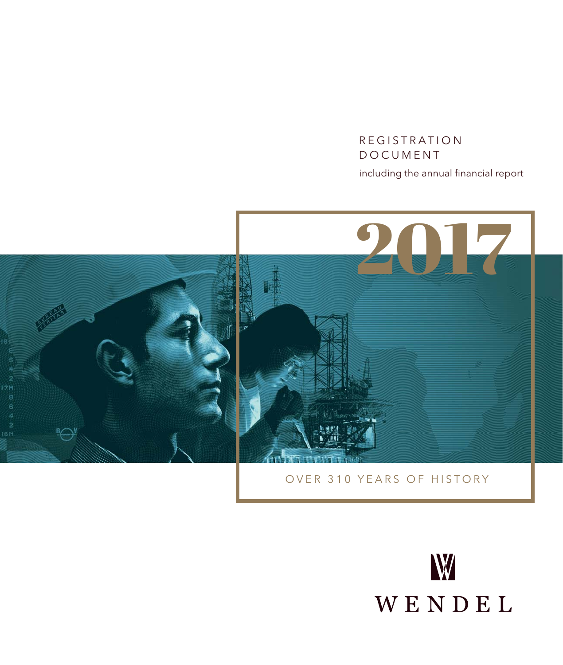# REGISTRATION DOCUMENT including the annual financial report



OVER 310 YEARS OF HISTORY

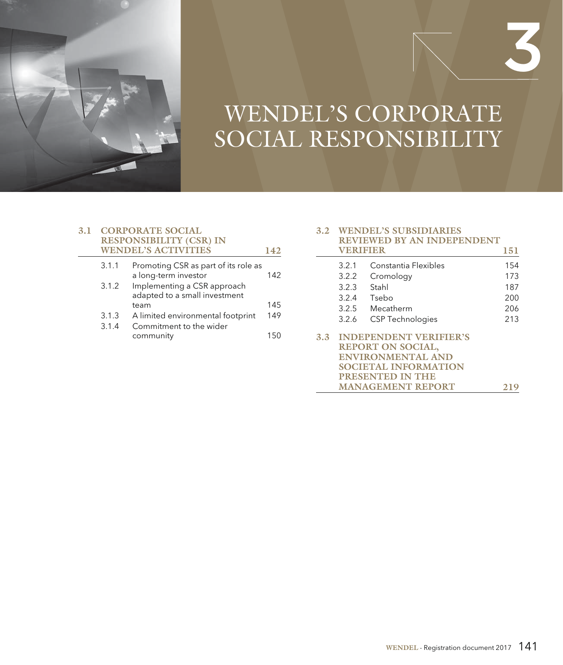

# WENDEL'S CORPORATE SOCIAL RESPONSIBILITY

## **3.1 CORPORATE SOCIAL RESPONSIBILITY (CSR) IN WENDEL'S ACTIVITIES 142**

| 3.1.1 | Promoting CSR as part of its role as<br>a long-term investor | 142 |
|-------|--------------------------------------------------------------|-----|
| 3.1.2 | Implementing a CSR approach<br>adapted to a small investment |     |
|       | team                                                         | 145 |
| 3.1.3 | A limited environmental footprint                            | 149 |
| 3.1.4 | Commitment to the wider                                      |     |
|       | community                                                    | 150 |
|       |                                                              |     |

#### **3.2 WENDEL'S SUBSIDIARIES REVIEWED BY AN INDEPENDENT VERIFIER 151**

3

|     |                             | V ENIFIER                     | 19 T |  |  |  |  |
|-----|-----------------------------|-------------------------------|------|--|--|--|--|
|     | 3.2.1                       | Constantia Flexibles          | 154  |  |  |  |  |
|     | 3.2.2                       | Cromology                     | 173  |  |  |  |  |
|     | 3.2.3                       | Stahl                         | 187  |  |  |  |  |
|     | 3.2.4                       | Tsebo                         | 200  |  |  |  |  |
|     | 3.2.5                       | Mecatherm                     | 206  |  |  |  |  |
|     | 3.2.6                       | <b>CSP Technologies</b>       | 213  |  |  |  |  |
| 3.3 |                             | <b>INDEPENDENT VERIFIER'S</b> |      |  |  |  |  |
|     | REPORT ON SOCIAL,           |                               |      |  |  |  |  |
|     | <b>ENVIRONMENTAL AND</b>    |                               |      |  |  |  |  |
|     | <b>SOCIETAL INFORMATION</b> |                               |      |  |  |  |  |
|     |                             | PRESENTED IN THE              |      |  |  |  |  |
|     |                             | <b>MANAGEMENT REPORT</b>      |      |  |  |  |  |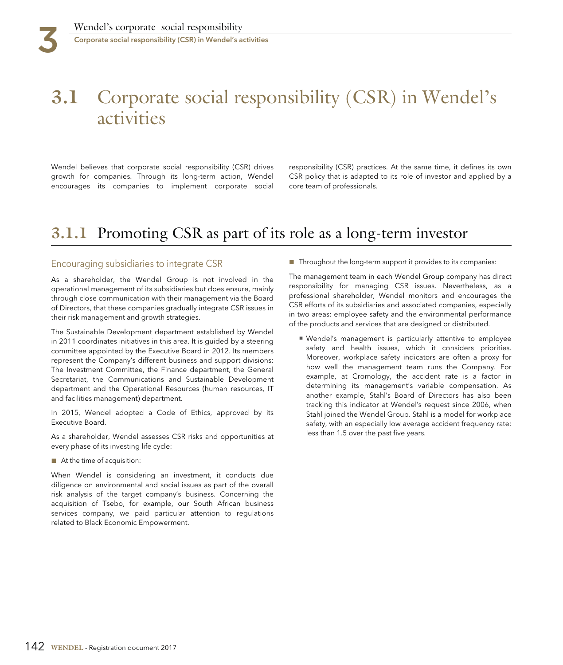# **3.1** Corporate social responsibility (CSR) in Wendel's activities

Wendel believes that corporate social responsibility (CSR) drives responsibility (CSR) practices. At the same time, it defines its own growth for companies. Through its long-term action, Wendel CSR policy that is adapted to its role of investor and applied by a encourages its companies to implement corporate social core team of professionals.

# **3.1.1** Promoting CSR as part of its role as a long-term investor

## Encouraging subsidiaries to integrate CSR

As a shareholder, the Wendel Group is not involved in the operational management of its subsidiaries but does ensure, mainly through close communication with their management via the Board of Directors, that these companies gradually integrate CSR issues in their risk management and growth strategies.

The Sustainable Development department established by Wendel in 2011 coordinates initiatives in this area. It is guided by a steering committee appointed by the Executive Board in 2012. Its members represent the Company's different business and support divisions: The Investment Committee, the Finance department, the General Secretariat, the Communications and Sustainable Development department and the Operational Resources (human resources, IT and facilities management) department.

In 2015, Wendel adopted a Code of Ethics, approved by its Executive Board.

As a shareholder, Wendel assesses CSR risks and opportunities at every phase of its investing life cycle:

■ At the time of acquisition:

When Wendel is considering an investment, it conducts due diligence on environmental and social issues as part of the overall risk analysis of the target company's business. Concerning the acquisition of Tsebo, for example, our South African business services company, we paid particular attention to regulations related to Black Economic Empowerment.

■ Throughout the long-term support it provides to its companies:

The management team in each Wendel Group company has direct responsibility for managing CSR issues. Nevertheless, as a professional shareholder, Wendel monitors and encourages the CSR efforts of its subsidiaries and associated companies, especially in two areas: employee safety and the environmental performance of the products and services that are designed or distributed.

■ Wendel's management is particularly attentive to employee safety and health issues, which it considers priorities. Moreover, workplace safety indicators are often a proxy for how well the management team runs the Company. For example, at Cromology, the accident rate is a factor in determining its management's variable compensation. As another example, Stahl's Board of Directors has also been tracking this indicator at Wendel's request since 2006, when Stahl joined the Wendel Group. Stahl is a model for workplace safety, with an especially low average accident frequency rate: less than 1.5 over the past five years.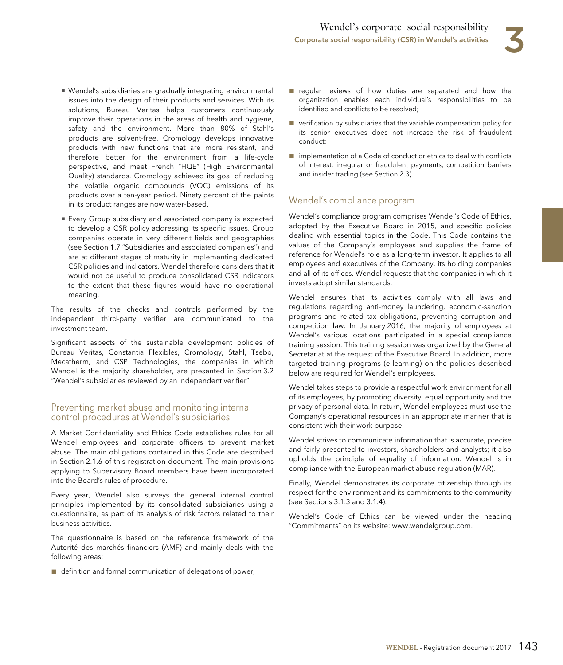- Wendel's subsidiaries are gradually integrating environmental issues into the design of their products and services. With its solutions, Bureau Veritas helps customers continuously improve their operations in the areas of health and hygiene, safety and the environment. More than 80% of Stahl's products are solvent-free. Cromology develops innovative products with new functions that are more resistant, and therefore better for the environment from a life-cycle perspective, and meet French "HQE" (High Environmental Quality) standards. Cromology achieved its goal of reducing the volatile organic compounds (VOC) emissions of its products over a ten-year period. Ninety percent of the paints in its product ranges are now water-based.
- Every Group subsidiary and associated company is expected to develop a CSR policy addressing its specific issues. Group companies operate in very different fields and geographies (see Section 1.7 "Subsidiaries and associated companies") and are at different stages of maturity in implementing dedicated CSR policies and indicators. Wendel therefore considers that it would not be useful to produce consolidated CSR indicators to the extent that these figures would have no operational meaning.

The results of the checks and controls performed by the independent third-party verifier are communicated to the investment team.

Significant aspects of the sustainable development policies of Bureau Veritas, Constantia Flexibles, Cromology, Stahl, Tsebo, Mecatherm, and CSP Technologies, the companies in which Wendel is the majority shareholder, are presented in Section 3.2 "Wendel's subsidiaries reviewed by an independent verifier".

# Preventing market abuse and monitoring internal control procedures at Wendel's subsidiaries

A Market Confidentiality and Ethics Code establishes rules for all Wendel employees and corporate officers to prevent market abuse. The main obligations contained in this Code are described in Section 2.1.6 of this registration document. The main provisions applying to Supervisory Board members have been incorporated into the Board's rules of procedure.

Every year, Wendel also surveys the general internal control principles implemented by its consolidated subsidiaries using a questionnaire, as part of its analysis of risk factors related to their business activities.

The questionnaire is based on the reference framework of the Autorité des marchés financiers (AMF) and mainly deals with the following areas:

■ definition and formal communication of delegations of power;

- regular reviews of how duties are separated and how the organization enables each individual's responsibilities to be identified and conflicts to be resolved;
- verification by subsidiaries that the variable compensation policy for its senior executives does not increase the risk of fraudulent conduct;
- implementation of a Code of conduct or ethics to deal with conflicts of interest, irregular or fraudulent payments, competition barriers and insider trading (see Section 2.3).

# Wendel's compliance program

Wendel's compliance program comprises Wendel's Code of Ethics, adopted by the Executive Board in 2015, and specific policies dealing with essential topics in the Code. This Code contains the values of the Company's employees and supplies the frame of reference for Wendel's role as a long-term investor. It applies to all employees and executives of the Company, its holding companies and all of its offices. Wendel requests that the companies in which it invests adopt similar standards.

Wendel ensures that its activities comply with all laws and regulations regarding anti-money laundering, economic-sanction programs and related tax obligations, preventing corruption and competition law. In January 2016, the majority of employees at Wendel's various locations participated in a special compliance training session. This training session was organized by the General Secretariat at the request of the Executive Board. In addition, more targeted training programs (e-learning) on the policies described below are required for Wendel's employees.

Wendel takes steps to provide a respectful work environment for all of its employees, by promoting diversity, equal opportunity and the privacy of personal data. In return, Wendel employees must use the Company's operational resources in an appropriate manner that is consistent with their work purpose.

Wendel strives to communicate information that is accurate, precise and fairly presented to investors, shareholders and analysts; it also upholds the principle of equality of information. Wendel is in compliance with the European market abuse regulation (MAR).

Finally, Wendel demonstrates its corporate citizenship through its respect for the environment and its commitments to the community (see Sections 3.1.3 and 3.1.4).

Wendel's Code of Ethics can be viewed under the heading "Commitments" on its website: www.wendelgroup.com.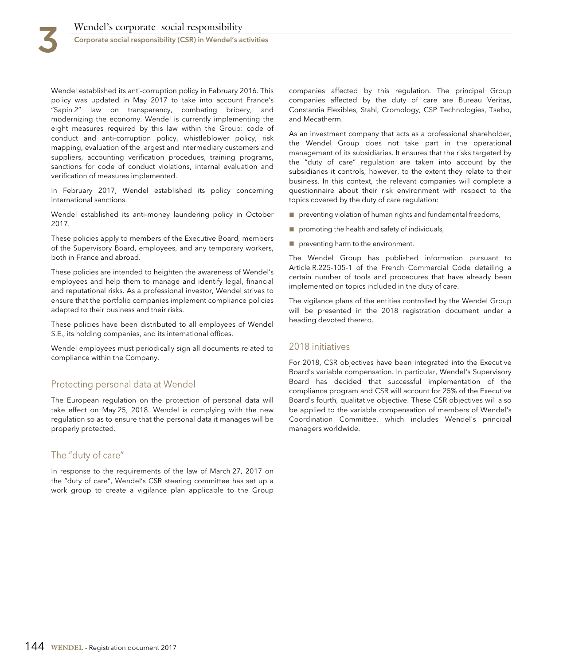Wendel established its anti-corruption policy in February 2016. This policy was updated in May 2017 to take into account France's "Sapin 2" law on transparency, combating bribery, and modernizing the economy. Wendel is currently implementing the eight measures required by this law within the Group: code of conduct and anti-corruption policy, whistleblower policy, risk mapping, evaluation of the largest and intermediary customers and suppliers, accounting verification procedues, training programs, sanctions for code of conduct violations, internal evaluation and verification of measures implemented.

In February 2017, Wendel established its policy concerning international sanctions.

Wendel established its anti-money laundering policy in October 2017.

These policies apply to members of the Executive Board, members of the Supervisory Board, employees, and any temporary workers, both in France and abroad.

These policies are intended to heighten the awareness of Wendel's employees and help them to manage and identify legal, financial and reputational risks. As a professional investor, Wendel strives to ensure that the portfolio companies implement compliance policies adapted to their business and their risks.

These policies have been distributed to all employees of Wendel S.E., its holding companies, and its international offices.

Wendel employees must periodically sign all documents related to compliance within the Company.

# Protecting personal data at Wendel

The European regulation on the protection of personal data will take effect on May 25, 2018. Wendel is complying with the new regulation so as to ensure that the personal data it manages will be properly protected.

# The "duty of care"

In response to the requirements of the law of March 27, 2017 on the "duty of care", Wendel's CSR steering committee has set up a work group to create a vigilance plan applicable to the Group companies affected by this regulation. The principal Group companies affected by the duty of care are Bureau Veritas, Constantia Flexibles, Stahl, Cromology, CSP Technologies, Tsebo, and Mecatherm.

As an investment company that acts as a professional shareholder, the Wendel Group does not take part in the operational management of its subsidiaries. It ensures that the risks targeted by the "duty of care" regulation are taken into account by the subsidiaries it controls, however, to the extent they relate to their business. In this context, the relevant companies will complete a questionnaire about their risk environment with respect to the topics covered by the duty of care regulation:

■ preventing violation of human rights and fundamental freedoms,

- promoting the health and safety of individuals,
- preventing harm to the environment.

The Wendel Group has published information pursuant to Article R.225-105-1 of the French Commercial Code detailing a certain number of tools and procedures that have already been implemented on topics included in the duty of care.

The vigilance plans of the entities controlled by the Wendel Group will be presented in the 2018 registration document under a heading devoted thereto.

## 2018 initiatives

For 2018, CSR objectives have been integrated into the Executive Board's variable compensation. In particular, Wendel's Supervisory Board has decided that successful implementation of the compliance program and CSR will account for 25% of the Executive Board's fourth, qualitative objective. These CSR objectives will also be applied to the variable compensation of members of Wendel's Coordination Committee, which includes Wendel's principal managers worldwide.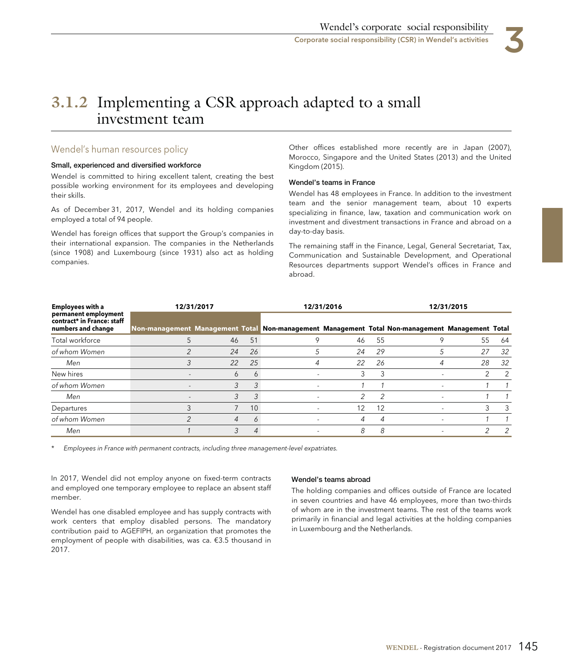

# **3.1.2** Implementing a CSR approach adapted to a small investment team

# Wendel's human resources policy

## **Small, experienced and diversified workforce**

Wendel is committed to hiring excellent talent, creating the best possible working environment for its employees and developing their skills.

As of December 31, 2017, Wendel and its holding companies employed a total of 94 people.

Wendel has foreign offices that support the Group's companies in their international expansion. The companies in the Netherlands (since 1908) and Luxembourg (since 1931) also act as holding companies.

Other offices established more recently are in Japan (2007), Morocco, Singapore and the United States (2013) and the United Kingdom (2015).

## **Wendel's teams in France**

Wendel has 48 employees in France. In addition to the investment team and the senior management team, about 10 experts specializing in finance, law, taxation and communication work on investment and divestment transactions in France and abroad on a day-to-day basis.

The remaining staff in the Finance, Legal, General Secretariat, Tax, Communication and Sustainable Development, and Operational Resources departments support Wendel's offices in France and abroad.

| <b>Employees with a</b>                                                  |                                                                                                 | 12/31/2017 |                 | 12/31/2016 |    |                          | 12/31/2015 |               |  |  |
|--------------------------------------------------------------------------|-------------------------------------------------------------------------------------------------|------------|-----------------|------------|----|--------------------------|------------|---------------|--|--|
| permanent employment<br>contract* in France: staff<br>numbers and change | Non-management Management Total Non-management Management Total Non-management Management Total |            |                 |            |    |                          |            |               |  |  |
| Total workforce                                                          |                                                                                                 | 46         | 51              | 46         | 55 |                          | 55         | 64            |  |  |
| of whom Women                                                            |                                                                                                 | 24         | 26              | 24         | 29 |                          | 27         | 32            |  |  |
| Men                                                                      |                                                                                                 | 22         | 25              | 22         | 26 | 4                        | 28         | 32            |  |  |
| New hires                                                                |                                                                                                 | 6          | 6               | 3          | 3  |                          |            | 2             |  |  |
| of whom Women                                                            | $\overline{a}$                                                                                  | 3          | 3               |            |    | $\overline{\phantom{a}}$ |            |               |  |  |
| Men                                                                      |                                                                                                 | 3          |                 |            | 2  |                          |            |               |  |  |
| Departures                                                               |                                                                                                 |            | 10 <sup>°</sup> | 12         | 12 |                          |            | 3             |  |  |
| of whom Women                                                            | ⌒                                                                                               | 4          | 6               | 4          | 4  |                          |            |               |  |  |
| Men                                                                      |                                                                                                 | 3          | 4               | 8          | 8  |                          |            | $\mathcal{P}$ |  |  |

\* Employees in France with permanent contracts, including three management-level expatriates.

In 2017, Wendel did not employ anyone on fixed-term contracts and employed one temporary employee to replace an absent staff member.

Wendel has one disabled employee and has supply contracts with work centers that employ disabled persons. The mandatory contribution paid to AGEFIPH, an organization that promotes the employment of people with disabilities, was ca. €3.5 thousand in 2017.

## **Wendel's teams abroad**

The holding companies and offices outside of France are located in seven countries and have 46 employees, more than two-thirds of whom are in the investment teams. The rest of the teams work primarily in financial and legal activities at the holding companies in Luxembourg and the Netherlands.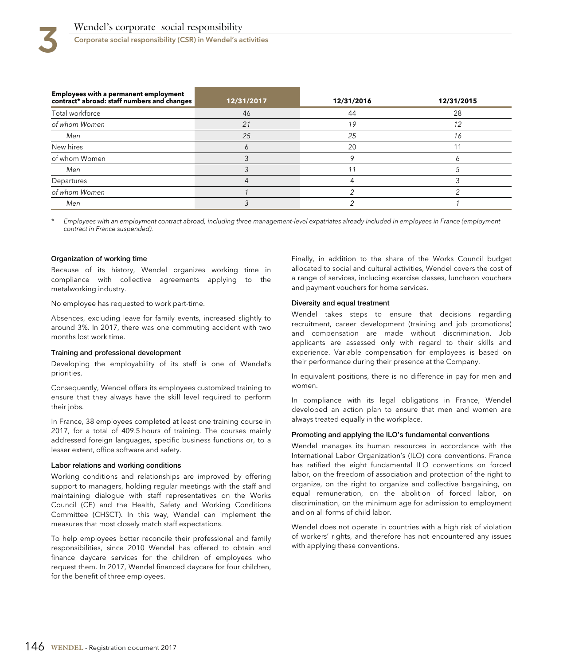Corporate social responsibility (CSR) in Wendel's activities

| Employees with a permanent employment<br>contract* abroad: staff numbers and changes | 12/31/2017 | 12/31/2016 | 12/31/2015 |
|--------------------------------------------------------------------------------------|------------|------------|------------|
| Total workforce                                                                      | 46         | 44         | 28         |
| of whom Women                                                                        | 21         | 19         | 12         |
| Men                                                                                  | 25         | 25         | 16         |
| New hires                                                                            |            | 20         |            |
| of whom Women                                                                        |            |            |            |
| Men                                                                                  |            |            |            |
| Departures                                                                           |            |            |            |
| of whom Women                                                                        |            |            |            |
| Men                                                                                  |            |            |            |

Employees with an employment contract abroad, including three management-level expatriates already included in employees in France (employment contract in France suspended).

#### **Organization of working time**

Because of its history, Wendel organizes working time in compliance with collective agreements applying to the metalworking industry.

No employee has requested to work part-time.

Absences, excluding leave for family events, increased slightly to around 3%. In 2017, there was one commuting accident with two months lost work time.

#### **Training and professional development**

Developing the employability of its staff is one of Wendel's priorities.

Consequently, Wendel offers its employees customized training to ensure that they always have the skill level required to perform their jobs.

In France, 38 employees completed at least one training course in 2017, for a total of 409.5 hours of training. The courses mainly addressed foreign languages, specific business functions or, to a lesser extent, office software and safety.

#### **Labor relations and working conditions**

Working conditions and relationships are improved by offering support to managers, holding regular meetings with the staff and maintaining dialogue with staff representatives on the Works Council (CE) and the Health, Safety and Working Conditions Committee (CHSCT). In this way, Wendel can implement the measures that most closely match staff expectations.

To help employees better reconcile their professional and family responsibilities, since 2010 Wendel has offered to obtain and finance daycare services for the children of employees who request them. In 2017, Wendel financed daycare for four children, for the benefit of three employees.

Finally, in addition to the share of the Works Council budget allocated to social and cultural activities, Wendel covers the cost of a range of services, including exercise classes, luncheon vouchers and payment vouchers for home services.

#### **Diversity and equal treatment**

Wendel takes steps to ensure that decisions regarding recruitment, career development (training and job promotions) and compensation are made without discrimination. Job applicants are assessed only with regard to their skills and experience. Variable compensation for employees is based on their performance during their presence at the Company.

In equivalent positions, there is no difference in pay for men and women.

In compliance with its legal obligations in France, Wendel developed an action plan to ensure that men and women are always treated equally in the workplace.

#### **Promoting and applying the ILO's fundamental conventions**

Wendel manages its human resources in accordance with the International Labor Organization's (ILO) core conventions. France has ratified the eight fundamental ILO conventions on forced labor, on the freedom of association and protection of the right to organize, on the right to organize and collective bargaining, on equal remuneration, on the abolition of forced labor, on discrimination, on the minimum age for admission to employment and on all forms of child labor.

Wendel does not operate in countries with a high risk of violation of workers' rights, and therefore has not encountered any issues with applying these conventions.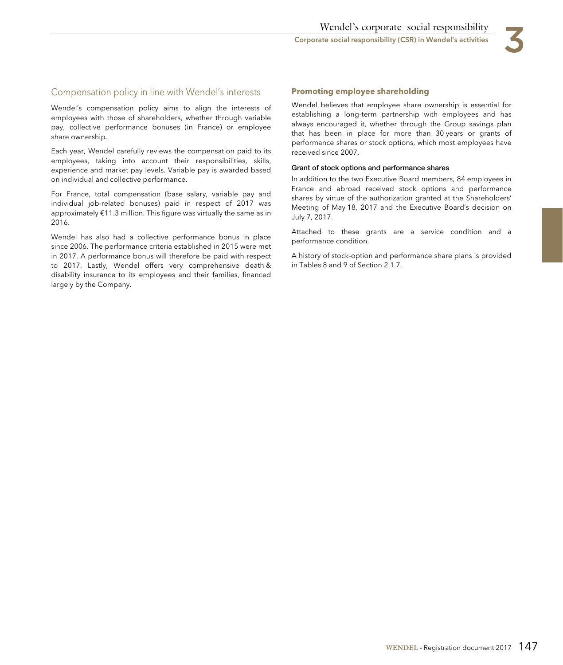Corporate social responsibility (CSR) in Wendel's activities 3

# Compensation policy in line with Wendel's interests

Wendel's compensation policy aims to align the interests of employees with those of shareholders, whether through variable pay, collective performance bonuses (in France) or employee share ownership.

Each year, Wendel carefully reviews the compensation paid to its employees, taking into account their responsibilities, skills, experience and market pay levels. Variable pay is awarded based on individual and collective performance.

For France, total compensation (base salary, variable pay and individual job-related bonuses) paid in respect of 2017 was approximately €11.3 million. This figure was virtually the same as in 2016.

Wendel has also had a collective performance bonus in place since 2006. The performance criteria established in 2015 were met in 2017. A performance bonus will therefore be paid with respect to 2017. Lastly, Wendel offers very comprehensive death & disability insurance to its employees and their families, financed largely by the Company.

## **Promoting employee shareholding**

Wendel believes that employee share ownership is essential for establishing a long-term partnership with employees and has always encouraged it, whether through the Group savings plan that has been in place for more than 30 years or grants of performance shares or stock options, which most employees have received since 2007.

#### **Grant of stock options and performance shares**

In addition to the two Executive Board members, 84 employees in France and abroad received stock options and performance shares by virtue of the authorization granted at the Shareholders' Meeting of May 18, 2017 and the Executive Board's decision on July 7, 2017.

Attached to these grants are a service condition and a performance condition.

A history of stock-option and performance share plans is provided in Tables 8 and 9 of Section 2.1.7.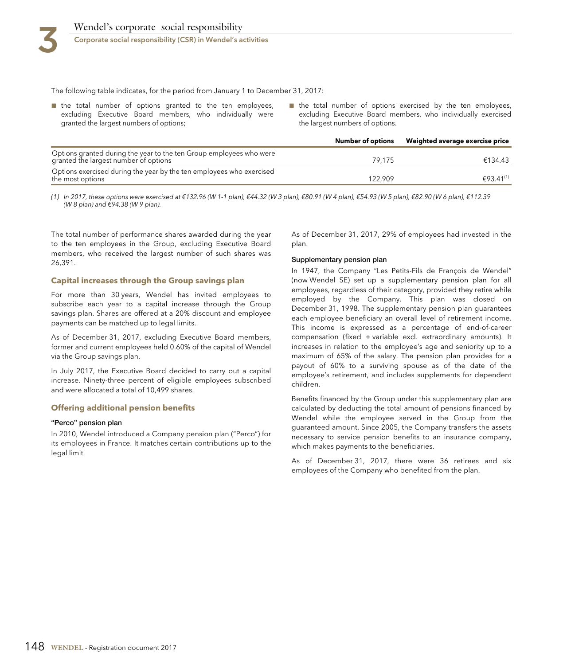Corporate social responsibility (CSR) in Wendel's activities

The following table indicates, for the period from January 1 to December 31, 2017:

- the total number of options granted to the ten employees, excluding Executive Board members, who individually were granted the largest numbers of options;
- the total number of options exercised by the ten employees, excluding Executive Board members, who individually exercised the largest numbers of options.

|                                                                                                              | Number of options | Weighted average exercise price |
|--------------------------------------------------------------------------------------------------------------|-------------------|---------------------------------|
| Options granted during the year to the ten Group employees who were<br>granted the largest number of options | 79.175            | €134.43                         |
| Options exercised during the year by the ten employees who exercised<br>the most options                     | 122.909           | €93.41 <sup>(1)</sup>           |

(1) In 2017, these options were exercised at €132.96 (W 1-1 plan), €44.32 (W 3 plan), €80.91 (W 4 plan), €54.93 (W 5 plan), €62.90 (W 6 plan), €112.39 (W 8 plan) and €94.38 (W 9 plan).

The total number of performance shares awarded during the year to the ten employees in the Group, excluding Executive Board members, who received the largest number of such shares was 26,391.

### **Capital increases through the Group savings plan**

For more than 30 years, Wendel has invited employees to subscribe each year to a capital increase through the Group savings plan. Shares are offered at a 20% discount and employee payments can be matched up to legal limits.

As of December 31, 2017, excluding Executive Board members, former and current employees held 0.60% of the capital of Wendel via the Group savings plan.

In July 2017, the Executive Board decided to carry out a capital increase. Ninety-three percent of eligible employees subscribed and were allocated a total of 10,499 shares.

### **Offering additional pension benefits**

#### **"Perco" pension plan**

In 2010, Wendel introduced a Company pension plan ("Perco") for its employees in France. It matches certain contributions up to the legal limit.

As of December 31, 2017, 29% of employees had invested in the plan.

#### **Supplementary pension plan**

In 1947, the Company "Les Petits-Fils de François de Wendel" (now Wendel SE) set up a supplementary pension plan for all employees, regardless of their category, provided they retire while employed by the Company. This plan was closed on December 31, 1998. The supplementary pension plan guarantees each employee beneficiary an overall level of retirement income. This income is expressed as a percentage of end-of-career compensation (fixed + variable excl. extraordinary amounts). It increases in relation to the employee's age and seniority up to a maximum of 65% of the salary. The pension plan provides for a payout of 60% to a surviving spouse as of the date of the employee's retirement, and includes supplements for dependent children.

Benefits financed by the Group under this supplementary plan are calculated by deducting the total amount of pensions financed by Wendel while the employee served in the Group from the guaranteed amount. Since 2005, the Company transfers the assets necessary to service pension benefits to an insurance company, which makes payments to the beneficiaries.

As of December 31, 2017, there were 36 retirees and six employees of the Company who benefited from the plan.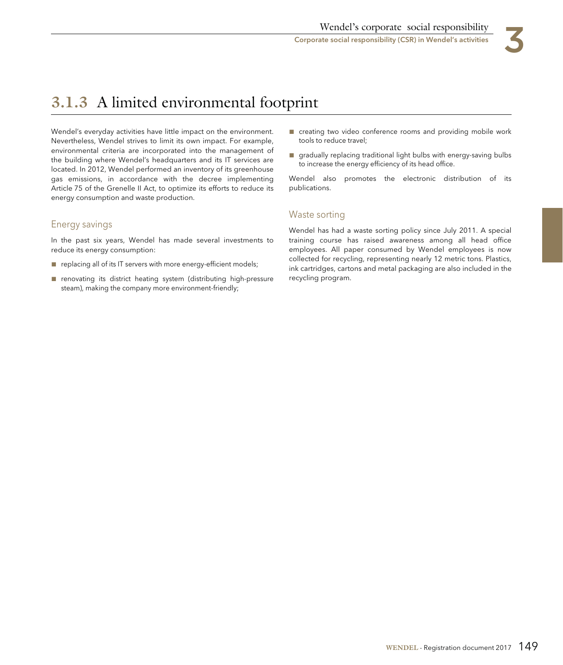

# **3.1.3** A limited environmental footprint

Wendel's everyday activities have little impact on the environment. Nevertheless, Wendel strives to limit its own impact. For example, environmental criteria are incorporated into the management of the building where Wendel's headquarters and its IT services are located. In 2012, Wendel performed an inventory of its greenhouse gas emissions, in accordance with the decree implementing Article 75 of the Grenelle II Act, to optimize its efforts to reduce its energy consumption and waste production.

# Energy savings

In the past six years, Wendel has made several investments to reduce its energy consumption:

- replacing all of its IT servers with more energy-efficient models;
- renovating its district heating system (distributing high-pressure steam), making the company more environment-friendly;
- creating two video conference rooms and providing mobile work tools to reduce travel;
- gradually replacing traditional light bulbs with energy-saving bulbs to increase the energy efficiency of its head office.

Wendel also promotes the electronic distribution of its publications.

# Waste sorting

Wendel has had a waste sorting policy since July 2011. A special training course has raised awareness among all head office employees. All paper consumed by Wendel employees is now collected for recycling, representing nearly 12 metric tons. Plastics, ink cartridges, cartons and metal packaging are also included in the recycling program.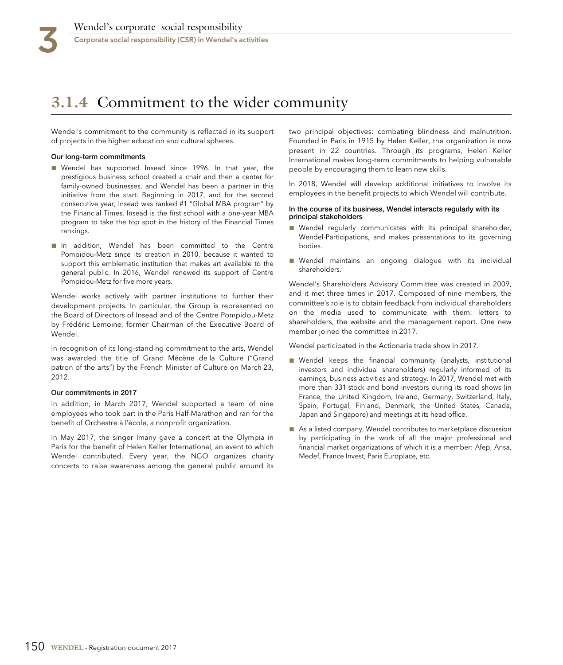# **3.1.4** Commitment to the wider community

Wendel's commitment to the community is reflected in its support of projects in the higher education and cultural spheres.

#### **Our long-term commitments**

- Wendel has supported Insead since 1996. In that year, the prestigious business school created a chair and then a center for family-owned businesses, and Wendel has been a partner in this initiative from the start. Beginning in 2017, and for the second consecutive year, Insead was ranked #1 "Global MBA program" by the Financial Times. Insead is the first school with a one-year MBA program to take the top spot in the history of the Financial Times rankings.
- In addition, Wendel has been committed to the Centre Pompidou-Metz since its creation in 2010, because it wanted to support this emblematic institution that makes art available to the general public. In 2016, Wendel renewed its support of Centre Pompidou-Metz for five more years.

Wendel works actively with partner institutions to further their development projects. In particular, the Group is represented on the Board of Directors of Insead and of the Centre Pompidou-Metz by Frédéric Lemoine, former Chairman of the Executive Board of Wendel.

In recognition of its long-standing commitment to the arts, Wendel was awarded the title of Grand Mécène de la Culture ("Grand patron of the arts") by the French Minister of Culture on March 23, 2012.

#### **Our commitments in 2017**

In addition, in March 2017, Wendel supported a team of nine employees who took part in the Paris Half-Marathon and ran for the benefit of Orchestre à l'école, a nonprofit organization.

In May 2017, the singer Imany gave a concert at the Olympia in Paris for the benefit of Helen Keller International, an event to which Wendel contributed. Every year, the NGO organizes charity concerts to raise awareness among the general public around its two principal objectives: combating blindness and malnutrition. Founded in Paris in 1915 by Helen Keller, the organization is now present in 22 countries. Through its programs, Helen Keller International makes long-term commitments to helping vulnerable people by encouraging them to learn new skills.

In 2018, Wendel will develop additional initiatives to involve its employees in the benefit projects to which Wendel will contribute.

#### **In the course of its business, Wendel interacts regularly with its principal stakeholders**

- Wendel reqularly communicates with its principal shareholder, Wendel-Participations, and makes presentations to its governing bodies.
- Wendel maintains an ongoing dialogue with its individual shareholders.

Wendel's Shareholders Advisory Committee was created in 2009, and it met three times in 2017. Composed of nine members, the committee's role is to obtain feedback from individual shareholders on the media used to communicate with them: letters to shareholders, the website and the management report. One new member joined the committee in 2017.

Wendel participated in the Actionaria trade show in 2017.

- Wendel keeps the financial community (analysts, institutional investors and individual shareholders) regularly informed of its earnings, business activities and strategy. In 2017, Wendel met with more than 331 stock and bond investors during its road shows (in France, the United Kingdom, Ireland, Germany, Switzerland, Italy, Spain, Portugal, Finland, Denmark, the United States, Canada, Japan and Singapore) and meetings at its head office.
- As a listed company, Wendel contributes to marketplace discussion by participating in the work of all the major professional and financial market organizations of which it is a member: Afep, Ansa, Medef, France Invest, Paris Europlace, etc.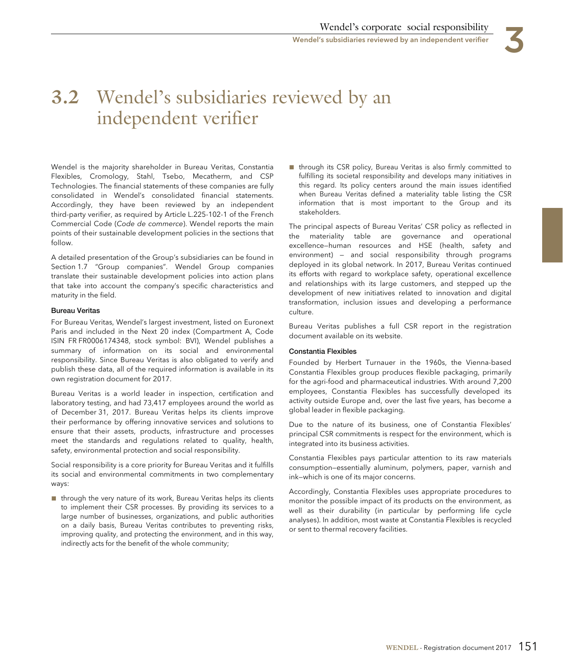

# **3.2** Wendel's subsidiaries reviewed by an independent verifier

Wendel is the majority shareholder in Bureau Veritas, Constantia Flexibles, Cromology, Stahl, Tsebo, Mecatherm, and CSP Technologies. The financial statements of these companies are fully consolidated in Wendel's consolidated financial statements. Accordingly, they have been reviewed by an independent third-party verifier, as required by Article L.225-102-1 of the French Commercial Code (Code de commerce). Wendel reports the main points of their sustainable development policies in the sections that follow.

A detailed presentation of the Group's subsidiaries can be found in Section 1.7 "Group companies". Wendel Group companies translate their sustainable development policies into action plans that take into account the company's specific characteristics and maturity in the field.

#### **Bureau Veritas**

For Bureau Veritas, Wendel's largest investment, listed on Euronext Paris and included in the Next 20 index (Compartment A, Code ISIN FR FR0006174348, stock symbol: BVI), Wendel publishes a summary of information on its social and environmental responsibility. Since Bureau Veritas is also obligated to verify and publish these data, all of the required information is available in its own registration document for 2017.

Bureau Veritas is a world leader in inspection, certification and laboratory testing, and had 73,417 employees around the world as of December 31, 2017. Bureau Veritas helps its clients improve their performance by offering innovative services and solutions to ensure that their assets, products, infrastructure and processes meet the standards and regulations related to quality, health, safety, environmental protection and social responsibility.

Social responsibility is a core priority for Bureau Veritas and it fulfills its social and environmental commitments in two complementary ways:

■ through the very nature of its work, Bureau Veritas helps its clients to implement their CSR processes. By providing its services to a large number of businesses, organizations, and public authorities on a daily basis, Bureau Veritas contributes to preventing risks, improving quality, and protecting the environment, and in this way, indirectly acts for the benefit of the whole community;

■ through its CSR policy, Bureau Veritas is also firmly committed to fulfilling its societal responsibility and develops many initiatives in this regard. Its policy centers around the main issues identified when Bureau Veritas defined a materiality table listing the CSR information that is most important to the Group and its stakeholders.

The principal aspects of Bureau Veritas' CSR policy as reflected in the materiality table are governance and operational excellence—human resources and HSE (health, safety and environment) — and social responsibility through programs deployed in its global network. In 2017, Bureau Veritas continued its efforts with regard to workplace safety, operational excellence and relationships with its large customers, and stepped up the development of new initiatives related to innovation and digital transformation, inclusion issues and developing a performance culture.

Bureau Veritas publishes a full CSR report in the registration document available on its website.

## **Constantia Flexibles**

Founded by Herbert Turnauer in the 1960s, the Vienna-based Constantia Flexibles group produces flexible packaging, primarily for the agri-food and pharmaceutical industries. With around 7,200 employees, Constantia Flexibles has successfully developed its activity outside Europe and, over the last five years, has become a global leader in flexible packaging.

Due to the nature of its business, one of Constantia Flexibles' principal CSR commitments is respect for the environment, which is integrated into its business activities.

Constantia Flexibles pays particular attention to its raw materials consumption—essentially aluminum, polymers, paper, varnish and ink—which is one of its major concerns.

Accordingly, Constantia Flexibles uses appropriate procedures to monitor the possible impact of its products on the environment, as well as their durability (in particular by performing life cycle analyses). In addition, most waste at Constantia Flexibles is recycled or sent to thermal recovery facilities.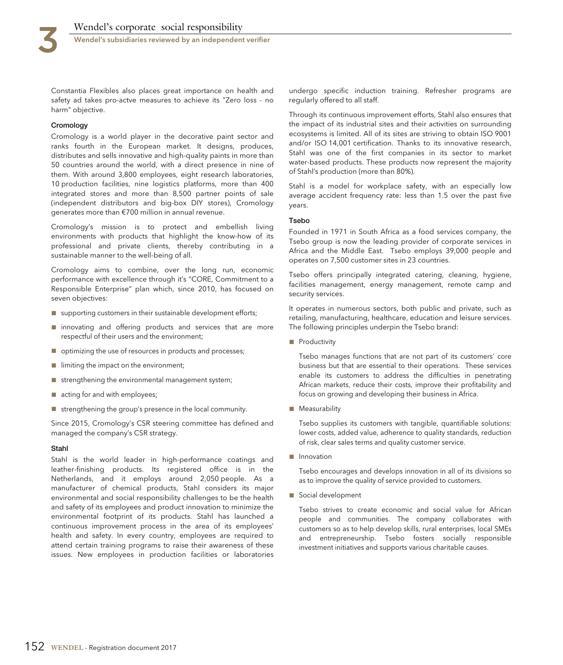Wendel's subsidiaries reviewed by an independent verifier

Constantia Flexibles also places great importance on health and safety ad takes pro-actve measures to achieve its "Zero loss - no harm" objective.

#### **Cromology**

Cromology is a world player in the decorative paint sector and ranks fourth in the European market. It designs, produces, distributes and sells innovative and high-quality paints in more than 50 countries around the world, with a direct presence in nine of them. With around 3,800 employees, eight research laboratories, 10 production facilities, nine logistics platforms, more than 400 integrated stores and more than 8,500 partner points of sale (independent distributors and big-box DIY stores), Cromology generates more than €700 million in annual revenue.

Cromology's mission is to protect and embellish living environments with products that highlight the know-how of its professional and private clients, thereby contributing in a sustainable manner to the well-being of all.

Cromology aims to combine, over the long run, economic performance with excellence through it's "CORE, Commitment to a Responsible Enterprise" plan which, since 2010, has focused on seven objectives:

- supporting customers in their sustainable development efforts;
- innovating and offering products and services that are more respectful of their users and the environment;
- optimizing the use of resources in products and processes;
- limiting the impact on the environment;
- strengthening the environmental management system;
- acting for and with employees;
- strengthening the group's presence in the local community.

Since 2015, Cromology's CSR steering committee has defined and managed the company's CSR strategy.

#### **Stahl**

Stahl is the world leader in high-performance coatings and leather-finishing products. Its registered office is in the Netherlands, and it employs around 2,050 people. As a manufacturer of chemical products, Stahl considers its major environmental and social responsibility challenges to be the health and safety of its employees and product innovation to minimize the environmental footprint of its products. Stahl has launched a continuous improvement process in the area of its employees' health and safety. In every country, employees are required to attend certain training programs to raise their awareness of these issues. New employees in production facilities or laboratories

undergo specific induction training. Refresher programs are regularly offered to all staff.

Through its continuous improvement efforts, Stahl also ensures that the impact of its industrial sites and their activities on surrounding ecosystems is limited. All of its sites are striving to obtain ISO 9001 and/or ISO 14,001 certification. Thanks to its innovative research, Stahl was one of the first companies in its sector to market water-based products. These products now represent the majority of Stahl's production (more than 80%).

Stahl is a model for workplace safety, with an especially low average accident frequency rate: less than 1.5 over the past five years.

#### **Tsebo**

Founded in 1971 in South Africa as a food services company, the Tsebo group is now the leading provider of corporate services in Africa and the Middle East. Tsebo employs 39,000 people and operates on 7,500 customer sites in 23 countries.

Tsebo offers principally integrated catering, cleaning, hygiene, facilities management, energy management, remote camp and security services.

It operates in numerous sectors, both public and private, such as retailing, manufacturing, healthcare, education and leisure services. The following principles underpin the Tsebo brand:

■ Productivity

Tsebo manages functions that are not part of its customers' core business but that are essential to their operations. These services enable its customers to address the difficulties in penetrating African markets, reduce their costs, improve their profitability and focus on growing and developing their business in Africa.

■ Measurability

Tsebo supplies its customers with tangible, quantifiable solutions: lower costs, added value, adherence to quality standards, reduction of risk, clear sales terms and quality customer service.

■ Innovation

Tsebo encourages and develops innovation in all of its divisions so as to improve the quality of service provided to customers.

■ Social development

Tsebo strives to create economic and social value for African people and communities. The company collaborates with customers so as to help develop skills, rural enterprises, local SMEs and entrepreneurship. Tsebo fosters socially responsible investment initiatives and supports various charitable causes.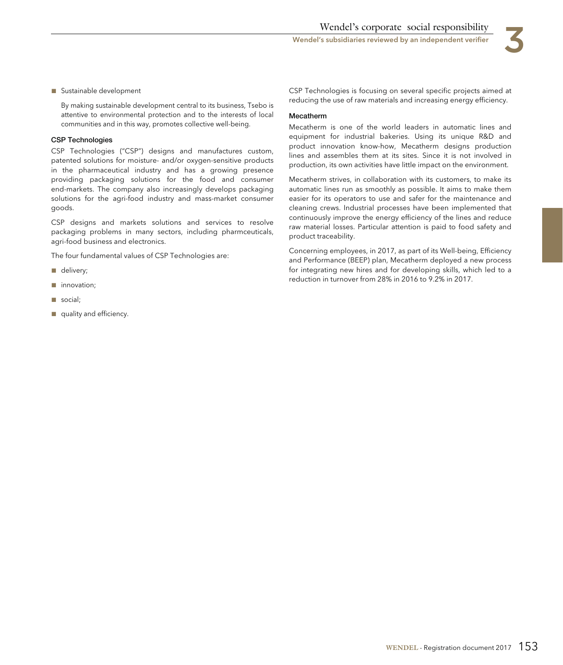

#### ■ Sustainable development

By making sustainable development central to its business, Tsebo is attentive to environmental protection and to the interests of local communities and in this way, promotes collective well-being.

### **CSP Technologies**

CSP Technologies ("CSP") designs and manufactures custom, patented solutions for moisture- and/or oxygen-sensitive products in the pharmaceutical industry and has a growing presence providing packaging solutions for the food and consumer end-markets. The company also increasingly develops packaging solutions for the agri-food industry and mass-market consumer goods.

CSP designs and markets solutions and services to resolve packaging problems in many sectors, including pharmceuticals, agri-food business and electronics.

The four fundamental values of CSP Technologies are:

- delivery;
- innovation;
- social;
- quality and efficiency.

CSP Technologies is focusing on several specific projects aimed at reducing the use of raw materials and increasing energy efficiency.

#### **Mecatherm**

Mecatherm is one of the world leaders in automatic lines and equipment for industrial bakeries. Using its unique R&D and product innovation know-how, Mecatherm designs production lines and assembles them at its sites. Since it is not involved in production, its own activities have little impact on the environment.

Mecatherm strives, in collaboration with its customers, to make its automatic lines run as smoothly as possible. It aims to make them easier for its operators to use and safer for the maintenance and cleaning crews. Industrial processes have been implemented that continuously improve the energy efficiency of the lines and reduce raw material losses. Particular attention is paid to food safety and product traceability.

Concerning employees, in 2017, as part of its Well-being, Efficiency and Performance (BEEP) plan, Mecatherm deployed a new process for integrating new hires and for developing skills, which led to a reduction in turnover from 28% in 2016 to 9.2% in 2017.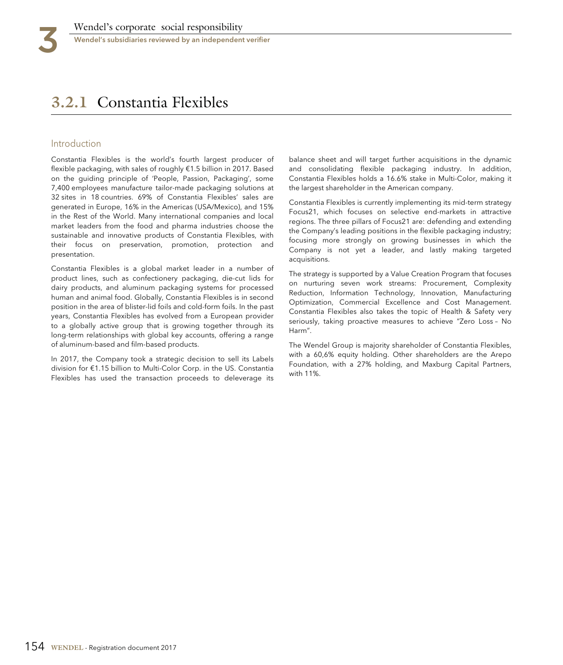# **3.2.1** Constantia Flexibles

## Introduction

Constantia Flexibles is the world's fourth largest producer of flexible packaging, with sales of roughly €1.5 billion in 2017. Based on the guiding principle of 'People, Passion, Packaging', some 7,400 employees manufacture tailor-made packaging solutions at 32 sites in 18 countries. 69% of Constantia Flexibles' sales are generated in Europe, 16% in the Americas (USA/Mexico), and 15% in the Rest of the World. Many international companies and local market leaders from the food and pharma industries choose the sustainable and innovative products of Constantia Flexibles, with their focus on preservation, promotion, protection and presentation.

Constantia Flexibles is a global market leader in a number of product lines, such as confectionery packaging, die-cut lids for dairy products, and aluminum packaging systems for processed human and animal food. Globally, Constantia Flexibles is in second position in the area of blister-lid foils and cold-form foils. In the past years, Constantia Flexibles has evolved from a European provider to a globally active group that is growing together through its long-term relationships with global key accounts, offering a range of aluminum-based and film-based products.

In 2017, the Company took a strategic decision to sell its Labels division for €1.15 billion to Multi-Color Corp. in the US. Constantia Flexibles has used the transaction proceeds to deleverage its

balance sheet and will target further acquisitions in the dynamic and consolidating flexible packaging industry. In addition, Constantia Flexibles holds a 16.6% stake in Multi-Color, making it the largest shareholder in the American company.

Constantia Flexibles is currently implementing its mid-term strategy Focus21, which focuses on selective end-markets in attractive regions. The three pillars of Focus21 are: defending and extending the Company's leading positions in the flexible packaging industry; focusing more strongly on growing businesses in which the Company is not yet a leader, and lastly making targeted acquisitions.

The strategy is supported by a Value Creation Program that focuses on nurturing seven work streams: Procurement, Complexity Reduction, Information Technology, Innovation, Manufacturing Optimization, Commercial Excellence and Cost Management. Constantia Flexibles also takes the topic of Health & Safety very seriously, taking proactive measures to achieve "Zero Loss – No Harm".

The Wendel Group is majority shareholder of Constantia Flexibles, with a 60,6% equity holding. Other shareholders are the Arepo Foundation, with a 27% holding, and Maxburg Capital Partners, with 11%.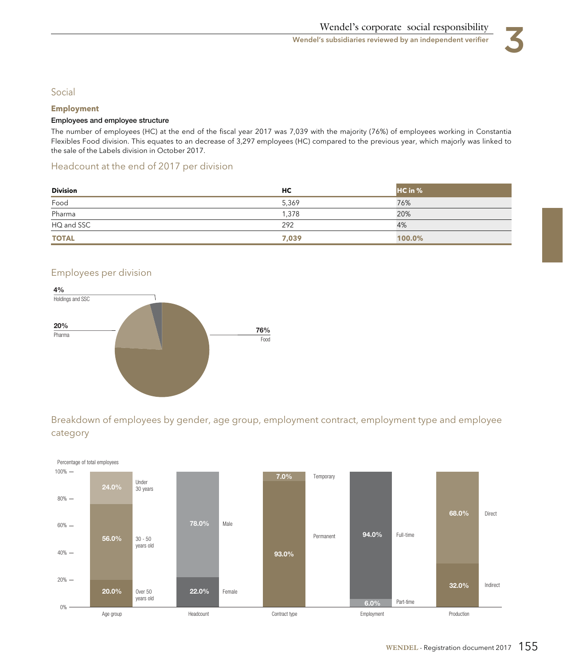

# Social

## **Employment**

## **Employees and employee structure**

The number of employees (HC) at the end of the fiscal year 2017 was 7,039 with the majority (76%) of employees working in Constantia Flexibles Food division. This equates to an decrease of 3,297 employees (HC) compared to the previous year, which majorly was linked to the sale of the Labels division in October 2017.

# Headcount at the end of 2017 per division

| <b>Division</b><br>the contract of the contract of the contract of | НC    | HC in % |
|--------------------------------------------------------------------|-------|---------|
| Food                                                               | 5,369 | 76%     |
| Pharma                                                             | 1,378 | 20%     |
| HQ and SSC                                                         | 292   | 4%      |
| <b>TOTAL</b>                                                       | 7,039 | 100.0%  |

# Employees per division



Breakdown of employees by gender, age group, employment contract, employment type and employee category

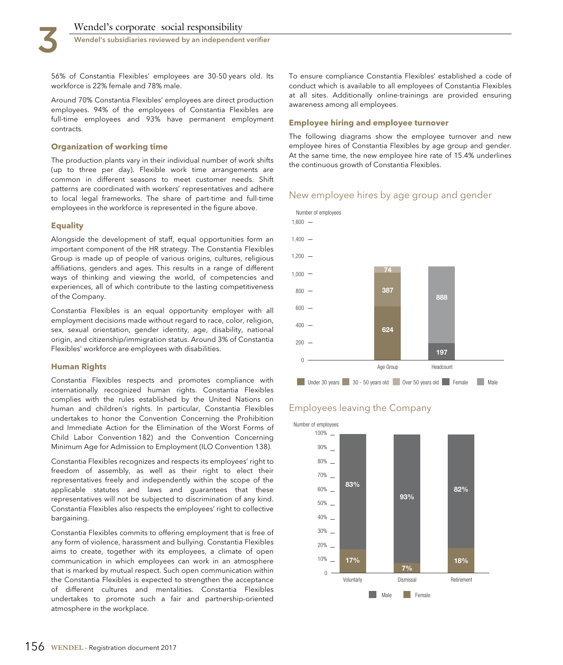Wendel's subsidiaries reviewed by an independent verifier

56% of Constantia Flexibles' employees are 30-50 years old. Its workforce is 22% female and 78% male.

Around 70% Constantia Flexibles' employees are direct production employees. 94% of the employees of Constantia Flexibles are full-time employees and 93% have permanent employment contracts.

#### **Organization of working time**

The production plants vary in their individual number of work shifts (up to three per day). Flexible work time arrangements are common in different seasons to meet customer needs. Shift patterns are coordinated with workers' representatives and adhere to local legal frameworks. The share of part-time and full-time employees in the workforce is represented in the figure above.

#### **Equality**

Alongside the development of staff, equal opportunities form an important component of the HR strategy. The Constantia Flexibles Group is made up of people of various origins, cultures, religious affiliations, genders and ages. This results in a range of different ways of thinking and viewing the world, of competencies and experiences, all of which contribute to the lasting competitiveness of the Company.

Constantia Flexibles is an equal opportunity employer with all employment decisions made without regard to race, color, religion, sex, sexual orientation, gender identity, age, disability, national origin, and citizenship/immigration status. Around 3% of Constantia Flexibles' workforce are employees with disabilities.

#### **Human Rights**

Constantia Flexibles respects and promotes compliance with internationally recognized human rights. Constantia Flexibles complies with the rules established by the United Nations on human and children's rights. In particular, Constantia Flexibles undertakes to honor the Convention Concerning the Prohibition and Immediate Action for the Elimination of the Worst Forms of Child Labor Convention 182) and the Convention Concerning Minimum Age for Admission to Employment (ILO Convention 138).

Constantia Flexibles recognizes and respects its employees' right to freedom of assembly, as well as their right to elect their representatives freely and independently within the scope of the applicable statutes and laws and guarantees that these representatives will not be subjected to discrimination of any kind. Constantia Flexibles also respects the employees' right to collective bargaining.

Constantia Flexibles commits to offering employment that is free of any form of violence, harassment and bullying. Constantia Flexibles aims to create, together with its employees, a climate of open communication in which employees can work in an atmosphere that is marked by mutual respect. Such open communication within the Constantia Flexibles is expected to strengthen the acceptance of different cultures and mentalities. Constantia Flexibles undertakes to promote such a fair and partnership-oriented atmosphere in the workplace.

To ensure compliance Constantia Flexibles' established a code of conduct which is available to all employees of Constantia Flexibles at all sites. Additionally online-trainings are provided ensuring awareness among all employees.

### **Employee hiring and employee turnover**

The following diagrams show the employee turnover and new employee hires of Constantia Flexibles by age group and gender. At the same time, the new employee hire rate of 15.4% underlines the continuous growth of Constantia Flexibles.

## New employee hires by age group and gender



# Employees leaving the Company

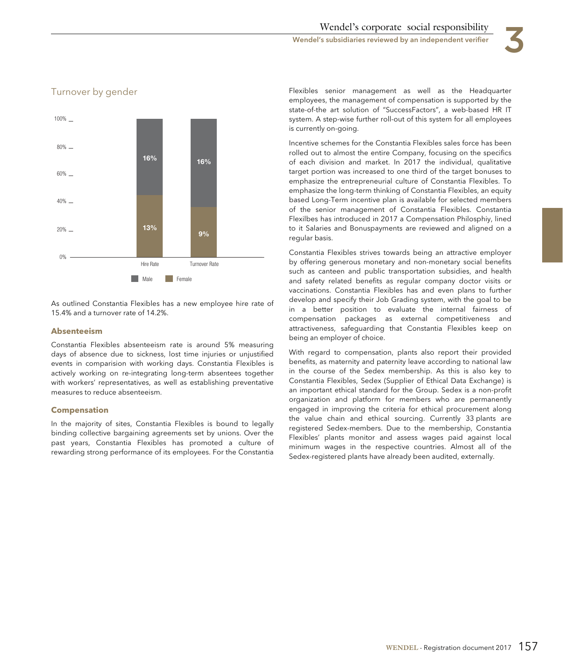

# Turnover by gender

As outlined Constantia Flexibles has a new employee hire rate of 15.4% and a turnover rate of 14.2%.

#### **Absenteeism**

Constantia Flexibles absenteeism rate is around 5% measuring days of absence due to sickness, lost time injuries or unjustified events in comparision with working days. Constantia Flexibles is actively working on re-integrating long-term absentees together with workers' representatives, as well as establishing preventative measures to reduce absenteeism.

### **Compensation**

In the majority of sites, Constantia Flexibles is bound to legally binding collective bargaining agreements set by unions. Over the past years, Constantia Flexibles has promoted a culture of rewarding strong performance of its employees. For the Constantia Flexibles senior management as well as the Headquarter employees, the management of compensation is supported by the state-of-the art solution of "SuccessFactors", a web-based HR IT system. A step-wise further roll-out of this system for all employees is currently on-going.

Incentive schemes for the Constantia Flexibles sales force has been rolled out to almost the entire Company, focusing on the specifics of each division and market. In 2017 the individual, qualitative target portion was increased to one third of the target bonuses to emphasize the entrepreneurial culture of Constantia Flexibles. To emphasize the long-term thinking of Constantia Flexibles, an equity based Long-Term incentive plan is available for selected members of the senior management of Constantia Flexibles. Constantia Flexilbes has introduced in 2017 a Compensation Philosphiy, lined to it Salaries and Bonuspayments are reviewed and aligned on a regular basis.

Constantia Flexibles strives towards being an attractive employer by offering generous monetary and non-monetary social benefits such as canteen and public transportation subsidies, and health and safety related benefits as regular company doctor visits or vaccinations. Constantia Flexibles has and even plans to further develop and specify their Job Grading system, with the goal to be in a better position to evaluate the internal fairness of compensation packages as external competitiveness and attractiveness, safeguarding that Constantia Flexibles keep on being an employer of choice.

With regard to compensation, plants also report their provided benefits, as maternity and paternity leave according to national law in the course of the Sedex membership. As this is also key to Constantia Flexibles, Sedex (Supplier of Ethical Data Exchange) is an important ethical standard for the Group. Sedex is a non-profit organization and platform for members who are permanently engaged in improving the criteria for ethical procurement along the value chain and ethical sourcing. Currently 33 plants are registered Sedex-members. Due to the membership, Constantia Flexibles' plants monitor and assess wages paid against local minimum wages in the respective countries. Almost all of the Sedex-registered plants have already been audited, externally.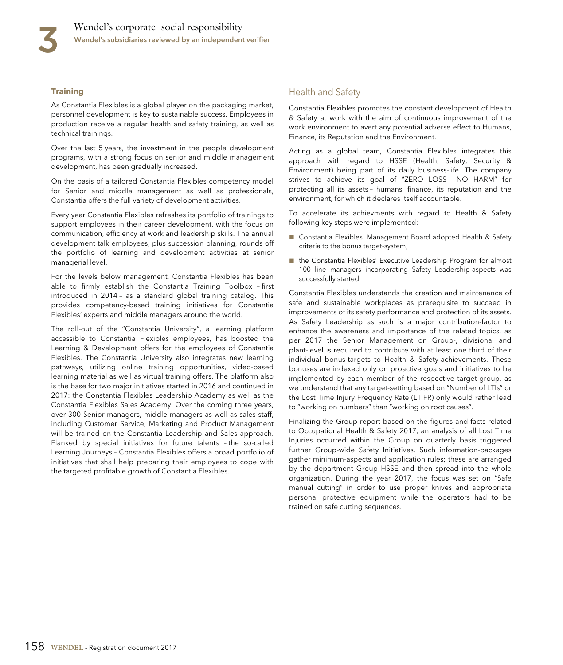Wendel's subsidiaries reviewed by an independent verifier

## **Training**

As Constantia Flexibles is a global player on the packaging market, personnel development is key to sustainable success. Employees in production receive a regular health and safety training, as well as technical trainings.

Over the last 5 years, the investment in the people development programs, with a strong focus on senior and middle management development, has been gradually increased.

On the basis of a tailored Constantia Flexibles competency model for Senior and middle management as well as professionals, Constantia offers the full variety of development activities.

Every year Constantia Flexibles refreshes its portfolio of trainings to support employees in their career development, with the focus on communication, efficiency at work and leadership skills. The annual development talk employees, plus succession planning, rounds off the portfolio of learning and development activities at senior managerial level.

For the levels below management, Constantia Flexibles has been able to firmly establish the Constantia Training Toolbox – first introduced in 2014 – as a standard global training catalog. This provides competency-based training initiatives for Constantia Flexibles' experts and middle managers around the world.

The roll-out of the "Constantia University", a learning platform accessible to Constantia Flexibles employees, has boosted the Learning & Development offers for the employees of Constantia Flexibles. The Constantia University also integrates new learning pathways, utilizing online training opportunities, video-based learning material as well as virtual training offers. The platform also is the base for two major initiatives started in 2016 and continued in 2017: the Constantia Flexibles Leadership Academy as well as the Constantia Flexibles Sales Academy. Over the coming three years, over 300 Senior managers, middle managers as well as sales staff, including Customer Service, Marketing and Product Management will be trained on the Constantia Leadership and Sales approach. Flanked by special initiatives for future talents – the so-called Learning Journeys – Constantia Flexibles offers a broad portfolio of initiatives that shall help preparing their employees to cope with the targeted profitable growth of Constantia Flexibles.

# Health and Safety

Constantia Flexibles promotes the constant development of Health & Safety at work with the aim of continuous improvement of the work environment to avert any potential adverse effect to Humans, Finance, its Reputation and the Environment.

Acting as a global team, Constantia Flexibles integrates this approach with regard to HSSE (Health, Safety, Security & Environment) being part of its daily business-life. The company strives to achieve its goal of "ZERO LOSS – NO HARM" for protecting all its assets – humans, finance, its reputation and the environment, for which it declares itself accountable.

To accelerate its achievments with regard to Health & Safety following key steps were implemented:

- Constantia Flexibles' Management Board adopted Health & Safety criteria to the bonus target-system;
- the Constantia Flexibles' Executive Leadership Program for almost 100 line managers incorporating Safety Leadership-aspects was successfully started.

Constantia Flexibles understands the creation and maintenance of safe and sustainable workplaces as prerequisite to succeed in improvements of its safety performance and protection of its assets. As Safety Leadership as such is a major contribution-factor to enhance the awareness and importance of the related topics, as per 2017 the Senior Management on Group-, divisional and plant-level is required to contribute with at least one third of their individual bonus-targets to Health & Safety-achievements. These bonuses are indexed only on proactive goals and initiatives to be implemented by each member of the respective target-group, as we understand that any target-setting based on "Number of LTIs" or the Lost Time Injury Frequency Rate (LTIFR) only would rather lead to "working on numbers" than "working on root causes".

Finalizing the Group report based on the figures and facts related to Occupational Health & Safety 2017, an analysis of all Lost Time Injuries occurred within the Group on quarterly basis triggered further Group-wide Safety Initiatives. Such information-packages gather minimum-aspects and application rules; these are arranged by the department Group HSSE and then spread into the whole organization. During the year 2017, the focus was set on "Safe manual cutting" in order to use proper knives and appropriate personal protective equipment while the operators had to be trained on safe cutting sequences.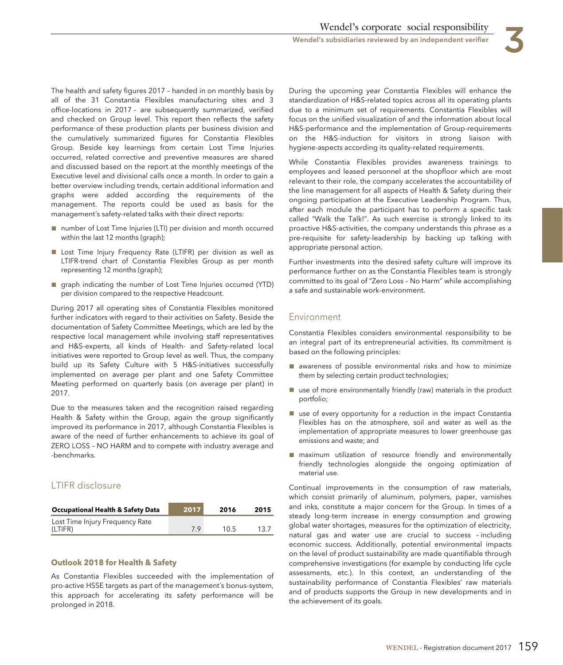The health and safety figures 2017 – handed in on monthly basis by all of the 31 Constantia Flexibles manufacturing sites and 3 office-locations in 2017 – are subsequently summarized, verified and checked on Group level. This report then reflects the safety performance of these production plants per business division and the cumulatively summarized figures for Constantia Flexibles Group. Beside key learnings from certain Lost Time Injuries occurred, related corrective and preventive measures are shared and discussed based on the report at the monthly meetings of the Executive level and divisional calls once a month. In order to gain a better overview including trends, certain additional information and graphs were added according the requirements of the management. The reports could be used as basis for the management´s safety-related talks with their direct reports:

- number of Lost Time Injuries (LTI) per division and month occurred within the last 12 months (graph);
- Lost Time Injury Frequency Rate (LTIFR) per division as well as LTIFR-trend chart of Constantia Flexibles Group as per month representing 12 months (graph);
- graph indicating the number of Lost Time Injuries occurred (YTD) per division compared to the respective Headcount.

During 2017 all operating sites of Constantia Flexibles monitored further indicators with regard to their activities on Safety. Beside the documentation of Safety Committee Meetings, which are led by the respective local management while involving staff representatives and H&S-experts, all kinds of Health- and Safety-related local initiatives were reported to Group level as well. Thus, the company build up its Safety Culture with 5 H&S-initiatives successfully implemented on average per plant and one Safety Committee Meeting performed on quarterly basis (on average per plant) in 2017.

Due to the measures taken and the recognition raised regarding Health & Safety within the Group, again the group significantly improved its performance in 2017, although Constantia Flexibles is aware of the need of further enhancements to achieve its goal of ZERO LOSS – NO HARM and to compete with industry average and -benchmarks.

# LTIFR disclosure

| <b>Occupational Health &amp; Safety Data</b> | .2017 | 2016 | 2015 |
|----------------------------------------------|-------|------|------|
| Lost Time Injury Frequency Rate<br>(LTIFR)   | 79    | 10.5 | 13.7 |

## **Outlook 2018 for Health & Safety**

As Constantia Flexibles succeeded with the implementation of pro-active HSSE targets as part of the management´s bonus-system, this approach for accelerating its safety performance will be prolonged in 2018.

During the upcoming year Constantia Flexibles will enhance the standardization of H&S-related topics across all its operating plants due to a minimum set of requirements. Constantia Flexibles will focus on the unified visualization of and the information about local H&S-performance and the implementation of Group-requirements on the H&S-induction for visitors in strong liaison with hygiene-aspects according its quality-related requirements.

While Constantia Flexibles provides awareness trainings to employees and leased personnel at the shopfloor which are most relevant to their role, the company accelerates the accountability of the line management for all aspects of Health & Safety during their ongoing participation at the Executive Leadership Program. Thus, after each module the participant has to perform a specific task called "Walk the Talk!". As such exercise is strongly linked to its proactive H&S-activities, the company understands this phrase as a pre-requisite for safety-leadership by backing up talking with appropriate personal action.

Further investments into the desired safety culture will improve its performance further on as the Constantia Flexibles team is strongly committed to its goal of "Zero Loss – No Harm" while accomplishing a safe and sustainable work-environment.

## Environment

Constantia Flexibles considers environmental responsibility to be an integral part of its entrepreneurial activities. Its commitment is based on the following principles:

- awareness of possible environmental risks and how to minimize them by selecting certain product technologies;
- use of more environmentally friendly (raw) materials in the product portfolio;
- use of every opportunity for a reduction in the impact Constantia Flexibles has on the atmosphere, soil and water as well as the implementation of appropriate measures to lower greenhouse gas emissions and waste; and
- maximum utilization of resource friendly and environmentally friendly technologies alongside the ongoing optimization of material use.

Continual improvements in the consumption of raw materials, which consist primarily of aluminum, polymers, paper, varnishes and inks, constitute a major concern for the Group. In times of a steady long-term increase in energy consumption and growing global water shortages, measures for the optimization of electricity, natural gas and water use are crucial to success – including economic success. Additionally, potential environmental impacts on the level of product sustainability are made quantifiable through comprehensive investigations (for example by conducting life cycle assessments, etc.). In this context, an understanding of the sustainability performance of Constantia Flexibles' raw materials and of products supports the Group in new developments and in the achievement of its goals.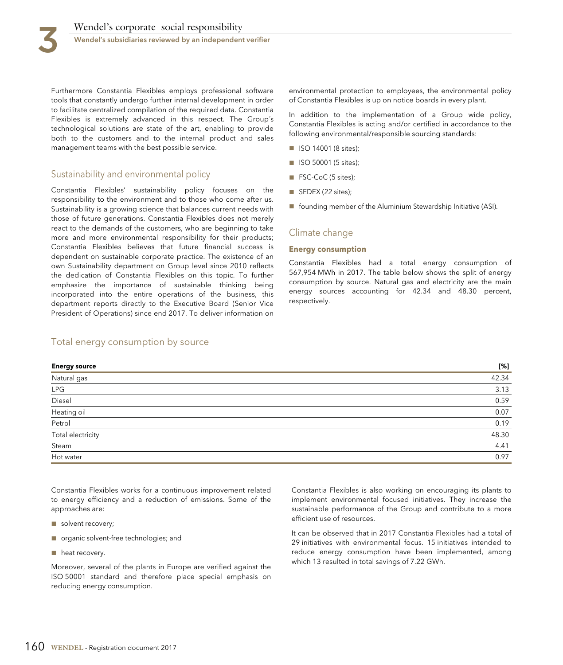Furthermore Constantia Flexibles employs professional software tools that constantly undergo further internal development in order to facilitate centralized compilation of the required data. Constantia Flexibles is extremely advanced in this respect. The Group´s technological solutions are state of the art, enabling to provide both to the customers and to the internal product and sales management teams with the best possible service.

# Sustainability and environmental policy

Constantia Flexibles' sustainability policy focuses on the responsibility to the environment and to those who come after us. Sustainability is a growing science that balances current needs with those of future generations. Constantia Flexibles does not merely react to the demands of the customers, who are beginning to take more and more environmental responsibility for their products; Constantia Flexibles believes that future financial success is dependent on sustainable corporate practice. The existence of an own Sustainability department on Group level since 2010 reflects the dedication of Constantia Flexibles on this topic. To further emphasize the importance of sustainable thinking being incorporated into the entire operations of the business, this department reports directly to the Executive Board (Senior Vice President of Operations) since end 2017. To deliver information on environmental protection to employees, the environmental policy of Constantia Flexibles is up on notice boards in every plant.

In addition to the implementation of a Group wide policy, Constantia Flexibles is acting and/or certified in accordance to the following environmental/responsible sourcing standards:

- ISO 14001 (8 sites);
- ISO 50001 (5 sites);
- FSC-CoC (5 sites);
- SEDEX (22 sites);
- founding member of the Aluminium Stewardship Initiative (ASI).

## Climate change

### **Energy consumption**

Constantia Flexibles had a total energy consumption of 567,954 MWh in 2017. The table below shows the split of energy consumption by source. Natural gas and electricity are the main energy sources accounting for 42.34 and 48.30 percent, respectively.

## Total energy consumption by source

**Energy source [%]** Natural gas 42.34 LPG  $\sim$  3.13 Diesel 0.59 Heating oil 0.07 Petrol 0.19 Total electricity 48.30 Steam 4.41 Hot water 0.97

Constantia Flexibles works for a continuous improvement related to energy efficiency and a reduction of emissions. Some of the approaches are:

- solvent recovery;
- organic solvent-free technologies; and
- heat recovery.

Moreover, several of the plants in Europe are verified against the ISO 50001 standard and therefore place special emphasis on reducing energy consumption.

Constantia Flexibles is also working on encouraging its plants to implement environmental focused initiatives. They increase the sustainable performance of the Group and contribute to a more efficient use of resources.

It can be observed that in 2017 Constantia Flexibles had a total of 29 initiatives with environmental focus. 15 initiatives intended to reduce energy consumption have been implemented, among which 13 resulted in total savings of 7.22 GWh.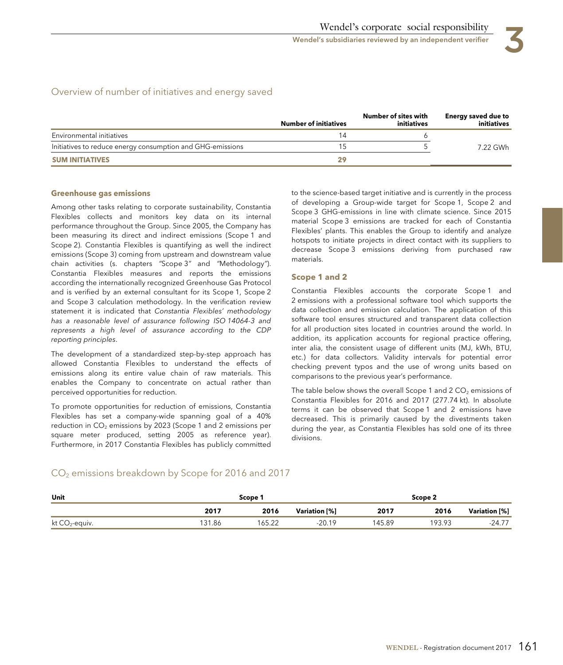Wendel's subsidiaries reviewed by an independent verifier

# Overview of number of initiatives and energy saved

|                                                            | <b>Number of initiatives</b> | Number of sites with<br>initiatives | Energy saved due to<br>initiatives |
|------------------------------------------------------------|------------------------------|-------------------------------------|------------------------------------|
| Environmental initiatives                                  |                              |                                     |                                    |
| Initiatives to reduce energy consumption and GHG-emissions |                              |                                     | 7.22 GWh                           |
| <b>SUM INITIATIVES</b>                                     | 29                           |                                     |                                    |

## **Greenhouse gas emissions**

Among other tasks relating to corporate sustainability, Constantia Flexibles collects and monitors key data on its internal performance throughout the Group. Since 2005, the Company has been measuring its direct and indirect emissions (Scope 1 and Scope 2). Constantia Flexibles is quantifying as well the indirect emissions (Scope 3) coming from upstream and downstream value chain activities (s. chapters "Scope 3" and "Methodology"). Constantia Flexibles measures and reports the emissions according the internationally recognized Greenhouse Gas Protocol and is verified by an external consultant for its Scope 1, Scope 2 and Scope 3 calculation methodology. In the verification review statement it is indicated that Constantia Flexibles' methodology has a reasonable level of assurance following ISO 14064-3 and represents a high level of assurance according to the CDP reporting principles.

The development of a standardized step-by-step approach has allowed Constantia Flexibles to understand the effects of emissions along its entire value chain of raw materials. This enables the Company to concentrate on actual rather than perceived opportunities for reduction.

To promote opportunities for reduction of emissions, Constantia Flexibles has set a company-wide spanning goal of a 40% reduction in  $CO<sub>2</sub>$  emissions by 2023 (Scope 1 and 2 emissions per square meter produced, setting 2005 as reference year). Furthermore, in 2017 Constantia Flexibles has publicly committed

to the science-based target initiative and is currently in the process of developing a Group-wide target for Scope 1, Scope 2 and Scope 3 GHG-emissions in line with climate science. Since 2015 material Scope 3 emissions are tracked for each of Constantia Flexibles' plants. This enables the Group to identify and analyze hotspots to initiate projects in direct contact with its suppliers to decrease Scope 3 emissions deriving from purchased raw materials.

## **Scope 1 and 2**

Constantia Flexibles accounts the corporate Scope 1 and 2 emissions with a professional software tool which supports the data collection and emission calculation. The application of this software tool ensures structured and transparent data collection for all production sites located in countries around the world. In addition, its application accounts for regional practice offering, inter alia, the consistent usage of different units (MJ, kWh, BTU, etc.) for data collectors. Validity intervals for potential error checking prevent typos and the use of wrong units based on comparisons to the previous year's performance.

The table below shows the overall Scope 1 and 2  $CO<sub>2</sub>$  emissions of Constantia Flexibles for 2016 and 2017 (277.74 kt). In absolute terms it can be observed that Scope 1 and 2 emissions have decreased. This is primarily caused by the divestments taken during the year, as Constantia Flexibles has sold one of its three divisions.

# $CO<sub>2</sub>$  emissions breakdown by Scope for 2016 and 2017

| Unit                                                                                                                                          |        | Scope 1 |               |        | Scope 2 |               |
|-----------------------------------------------------------------------------------------------------------------------------------------------|--------|---------|---------------|--------|---------|---------------|
|                                                                                                                                               | 2017   | 2016    | Variation [%] | 2017   | 2016    | Variation [%] |
| kt CO <sub>2</sub> -equiv.<br>the contract of the contract of the contract of the contract of the contract of the contract of the contract of | 131.86 | 165.22  | $-20.19$      | 145.89 | 193.93  | $-24.77$      |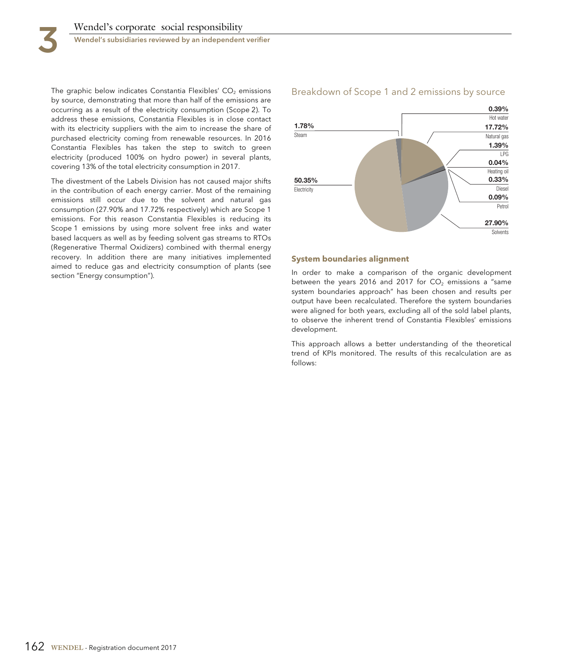The graphic below indicates Constantia Flexibles'  $CO<sub>2</sub>$  emissions by source, demonstrating that more than half of the emissions are occurring as a result of the electricity consumption (Scope 2). To address these emissions, Constantia Flexibles is in close contact with its electricity suppliers with the aim to increase the share of purchased electricity coming from renewable resources. In 2016 Constantia Flexibles has taken the step to switch to green electricity (produced 100% on hydro power) in several plants, covering 13% of the total electricity consumption in 2017.

The divestment of the Labels Division has not caused major shifts in the contribution of each energy carrier. Most of the remaining emissions still occur due to the solvent and natural gas consumption (27.90% and 17.72% respectively) which are Scope 1 emissions. For this reason Constantia Flexibles is reducing its Scope 1 emissions by using more solvent free inks and water based lacquers as well as by feeding solvent gas streams to RTOs (Regenerative Thermal Oxidizers) combined with thermal energy recovery. In addition there are many initiatives implemented aimed to reduce gas and electricity consumption of plants (see section "Energy consumption").

### Breakdown of Scope 1 and 2 emissions by source



#### **System boundaries alignment**

In order to make a comparison of the organic development between the years 2016 and 2017 for  $CO<sub>2</sub>$  emissions a "same system boundaries approach" has been chosen and results per output have been recalculated. Therefore the system boundaries were aligned for both years, excluding all of the sold label plants, to observe the inherent trend of Constantia Flexibles' emissions development.

This approach allows a better understanding of the theoretical trend of KPIs monitored. The results of this recalculation are as follows: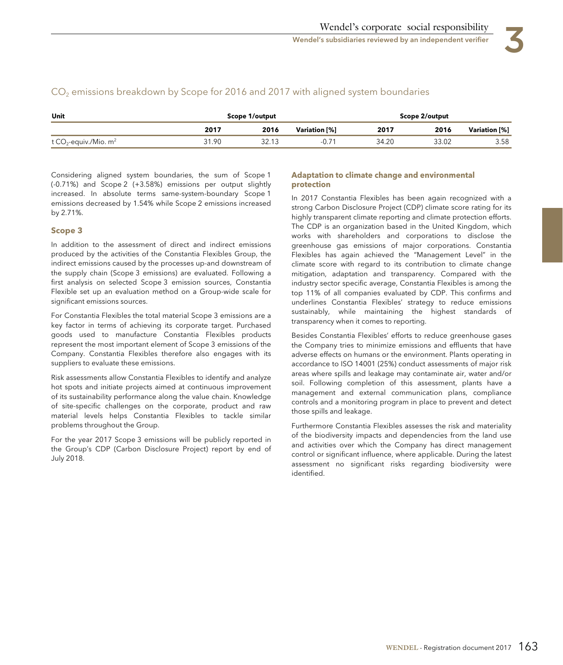| Unit                                          | Scope 1/output |      |               |       | Scope 2/output |               |
|-----------------------------------------------|----------------|------|---------------|-------|----------------|---------------|
|                                               | 2017           | 2016 | Variation [%] | 2017  | 2016           | Variation [%] |
| t CO <sub>2</sub> -equiv./Mio. m <sup>2</sup> | 31.90          |      |               | 34.20 | 33.02          | 3.58          |

# $CO<sub>2</sub>$  emissions breakdown by Scope for 2016 and 2017 with aligned system boundaries

Considering aligned system boundaries, the sum of Scope 1 (-0.71%) and Scope 2 (+3.58%) emissions per output slightly increased. In absolute terms same-system-boundary Scope 1 emissions decreased by 1.54% while Scope 2 emissions increased by 2.71%.

## **Scope 3**

In addition to the assessment of direct and indirect emissions produced by the activities of the Constantia Flexibles Group, the indirect emissions caused by the processes up-and downstream of the supply chain (Scope 3 emissions) are evaluated. Following a first analysis on selected Scope 3 emission sources, Constantia Flexible set up an evaluation method on a Group-wide scale for significant emissions sources.

For Constantia Flexibles the total material Scope 3 emissions are a key factor in terms of achieving its corporate target. Purchased goods used to manufacture Constantia Flexibles products represent the most important element of Scope 3 emissions of the Company. Constantia Flexibles therefore also engages with its suppliers to evaluate these emissions.

Risk assessments allow Constantia Flexibles to identify and analyze hot spots and initiate projects aimed at continuous improvement of its sustainability performance along the value chain. Knowledge of site-specific challenges on the corporate, product and raw material levels helps Constantia Flexibles to tackle similar problems throughout the Group.

For the year 2017 Scope 3 emissions will be publicly reported in the Group's CDP (Carbon Disclosure Project) report by end of July 2018.

## **Adaptation to climate change and environmental protection**

In 2017 Constantia Flexibles has been again recognized with a strong Carbon Disclosure Project (CDP) climate score rating for its highly transparent climate reporting and climate protection efforts. The CDP is an organization based in the United Kingdom, which works with shareholders and corporations to disclose the greenhouse gas emissions of major corporations. Constantia Flexibles has again achieved the "Management Level" in the climate score with regard to its contribution to climate change mitigation, adaptation and transparency. Compared with the industry sector specific average, Constantia Flexibles is among the top 11% of all companies evaluated by CDP. This confirms and underlines Constantia Flexibles' strategy to reduce emissions sustainably, while maintaining the highest standards of transparency when it comes to reporting.

Besides Constantia Flexibles' efforts to reduce greenhouse gases the Company tries to minimize emissions and effluents that have adverse effects on humans or the environment. Plants operating in accordance to ISO 14001 (25%) conduct assessments of major risk areas where spills and leakage may contaminate air, water and/or soil. Following completion of this assessment, plants have a management and external communication plans, compliance controls and a monitoring program in place to prevent and detect those spills and leakage.

Furthermore Constantia Flexibles assesses the risk and materiality of the biodiversity impacts and dependencies from the land use and activities over which the Company has direct management control or significant influence, where applicable. During the latest assessment no significant risks regarding biodiversity were identified.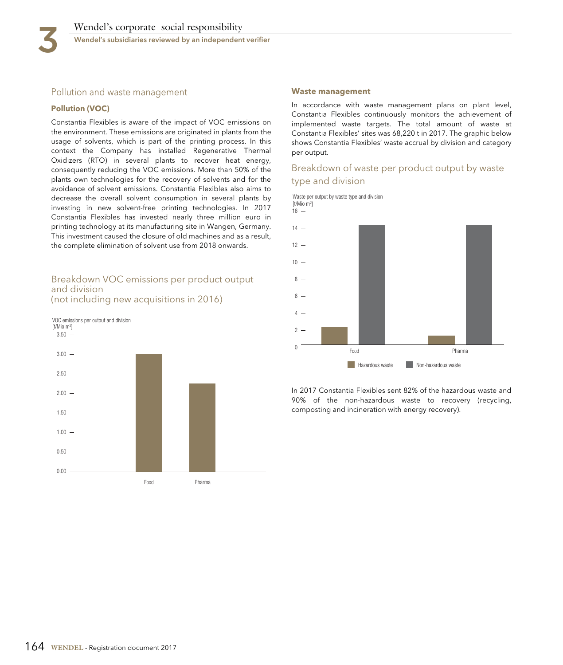

## Pollution and waste management

### **Pollution (VOC)**

Constantia Flexibles is aware of the impact of VOC emissions on the environment. These emissions are originated in plants from the usage of solvents, which is part of the printing process. In this context the Company has installed Regenerative Thermal Oxidizers (RTO) in several plants to recover heat energy, consequently reducing the VOC emissions. More than 50% of the plants own technologies for the recovery of solvents and for the avoidance of solvent emissions. Constantia Flexibles also aims to decrease the overall solvent consumption in several plants by investing in new solvent-free printing technologies. In 2017 Constantia Flexibles has invested nearly three million euro in printing technology at its manufacturing site in Wangen, Germany. This investment caused the closure of old machines and as a result, the complete elimination of solvent use from 2018 onwards.

## Breakdown VOC emissions per product output and division (not including new acquisitions in 2016)



#### **Waste management**

In accordance with waste management plans on plant level, Constantia Flexibles continuously monitors the achievement of implemented waste targets. The total amount of waste at Constantia Flexibles' sites was 68,220 t in 2017. The graphic below shows Constantia Flexibles' waste accrual by division and category per output.

# Breakdown of waste per product output by waste type and division

Waste per output by waste type and division  $16 -$ [t/Mio m2 ]



In 2017 Constantia Flexibles sent 82% of the hazardous waste and 90% of the non-hazardous waste to recovery (recycling, composting and incineration with energy recovery).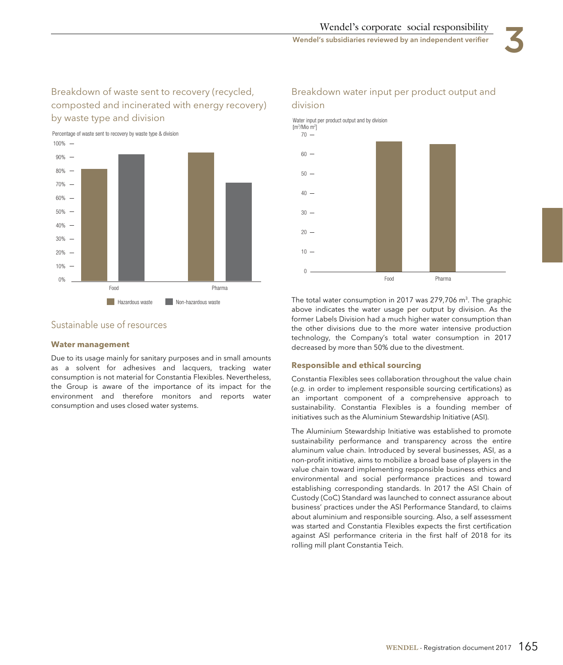# Breakdown of waste sent to recovery (recycled, composted and incinerated with energy recovery) by waste type and division



# Breakdown water input per product output and division

Food Pharma Water input per product output and by division  $\Omega$  $10 20 30 40 50 60 70 -$ [m3 /Mio m2 ]

# Sustainable use of resources

## **Water management**

Due to its usage mainly for sanitary purposes and in small amounts as a solvent for adhesives and lacquers, tracking water consumption is not material for Constantia Flexibles. Nevertheless, the Group is aware of the importance of its impact for the environment and therefore monitors and reports water consumption and uses closed water systems.

The total water consumption in 2017 was 279,706  $\textsf{m}^{3}.$  The graphic above indicates the water usage per output by division. As the former Labels Division had a much higher water consumption than the other divisions due to the more water intensive production technology, the Company's total water consumption in 2017 decreased by more than 50% due to the divestment.

## **Responsible and ethical sourcing**

Constantia Flexibles sees collaboration throughout the value chain (e.g. in order to implement responsible sourcing certifications) as an important component of a comprehensive approach to sustainability. Constantia Flexibles is a founding member of initiatives such as the Aluminium Stewardship Initiative (ASI).

The Aluminium Stewardship Initiative was established to promote sustainability performance and transparency across the entire aluminum value chain. Introduced by several businesses, ASI, as a non-profit initiative, aims to mobilize a broad base of players in the value chain toward implementing responsible business ethics and environmental and social performance practices and toward establishing corresponding standards. In 2017 the ASI Chain of Custody (CoC) Standard was launched to connect assurance about business' practices under the ASI Performance Standard, to claims about aluminium and responsible sourcing. Also, a self assessment was started and Constantia Flexibles expects the first certification against ASI performance criteria in the first half of 2018 for its rolling mill plant Constantia Teich.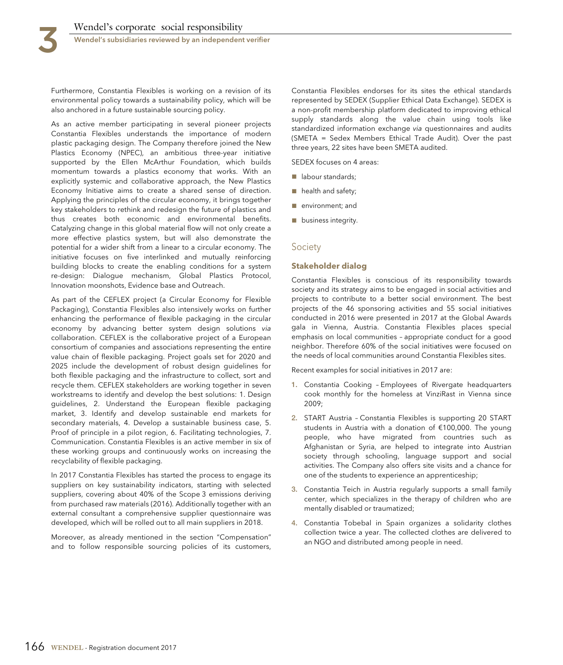Furthermore, Constantia Flexibles is working on a revision of its environmental policy towards a sustainability policy, which will be also anchored in a future sustainable sourcing policy.

As an active member participating in several pioneer projects Constantia Flexibles understands the importance of modern plastic packaging design. The Company therefore joined the New Plastics Economy (NPEC), an ambitious three-year initiative supported by the Ellen McArthur Foundation, which builds momentum towards a plastics economy that works. With an explicitly systemic and collaborative approach, the New Plastics Economy Initiative aims to create a shared sense of direction. Applying the principles of the circular economy, it brings together key stakeholders to rethink and redesign the future of plastics and thus creates both economic and environmental benefits. Catalyzing change in this global material flow will not only create a more effective plastics system, but will also demonstrate the potential for a wider shift from a linear to a circular economy. The initiative focuses on five interlinked and mutually reinforcing building blocks to create the enabling conditions for a system re-design: Dialogue mechanism, Global Plastics Protocol, Innovation moonshots, Evidence base and Outreach.

As part of the CEFLEX project (a Circular Economy for Flexible Packaging), Constantia Flexibles also intensively works on further enhancing the performance of flexible packaging in the circular economy by advancing better system design solutions via collaboration. CEFLEX is the collaborative project of a European consortium of companies and associations representing the entire value chain of flexible packaging. Project goals set for 2020 and 2025 include the development of robust design guidelines for both flexible packaging and the infrastructure to collect, sort and recycle them. CEFLEX stakeholders are working together in seven workstreams to identify and develop the best solutions: 1. Design guidelines, 2. Understand the European flexible packaging market, 3. Identify and develop sustainable end markets for secondary materials, 4. Develop a sustainable business case, 5. Proof of principle in a pilot region, 6. Facilitating technologies, 7. Communication. Constantia Flexibles is an active member in six of these working groups and continuously works on increasing the recyclability of flexible packaging.

In 2017 Constantia Flexibles has started the process to engage its suppliers on key sustainability indicators, starting with selected suppliers, covering about 40% of the Scope 3 emissions deriving from purchased raw materials (2016). Additionally together with an external consultant a comprehensive supplier questionnaire was developed, which will be rolled out to all main suppliers in 2018.

Moreover, as already mentioned in the section "Compensation" and to follow responsible sourcing policies of its customers,

Constantia Flexibles endorses for its sites the ethical standards represented by SEDEX (Supplier Ethical Data Exchange). SEDEX is a non-profit membership platform dedicated to improving ethical supply standards along the value chain using tools like standardized information exchange via questionnaires and audits (SMETA = Sedex Members Ethical Trade Audit). Over the past three years, 22 sites have been SMETA audited.

SEDEX focuses on 4 areas:

- labour standards;
- health and safety;
- environment; and
- business integrity.

#### **Society**

#### **Stakeholder dialog**

Constantia Flexibles is conscious of its responsibility towards society and its strategy aims to be engaged in social activities and projects to contribute to a better social environment. The best projects of the 46 sponsoring activities and 55 social initiatives conducted in 2016 were presented in 2017 at the Global Awards gala in Vienna, Austria. Constantia Flexibles places special emphasis on local communities – appropriate conduct for a good neighbor. Therefore 60% of the social initiatives were focused on the needs of local communities around Constantia Flexibles sites.

Recent examples for social initiatives in 2017 are:

- **1.** Constantia Cooking Employees of Rivergate headquarters cook monthly for the homeless at VinziRast in Vienna since 2009;
- **2.** START Austria Constantia Flexibles is supporting 20 START students in Austria with a donation of €100,000. The young people, who have migrated from countries such as Afghanistan or Syria, are helped to integrate into Austrian society through schooling, language support and social activities. The Company also offers site visits and a chance for one of the students to experience an apprenticeship;
- **3.** Constantia Teich in Austria regularly supports a small family center, which specializes in the therapy of children who are mentally disabled or traumatized;
- **4.** Constantia Tobebal in Spain organizes a solidarity clothes collection twice a year. The collected clothes are delivered to an NGO and distributed among people in need.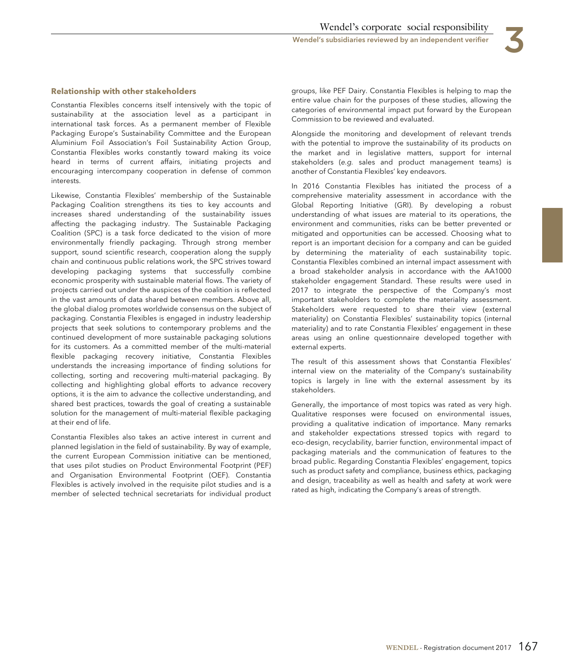

### **Relationship with other stakeholders**

Constantia Flexibles concerns itself intensively with the topic of sustainability at the association level as a participant in international task forces. As a permanent member of Flexible Packaging Europe's Sustainability Committee and the European Aluminium Foil Association's Foil Sustainability Action Group, Constantia Flexibles works constantly toward making its voice heard in terms of current affairs, initiating projects and encouraging intercompany cooperation in defense of common interests.

Likewise, Constantia Flexibles' membership of the Sustainable Packaging Coalition strengthens its ties to key accounts and increases shared understanding of the sustainability issues affecting the packaging industry. The Sustainable Packaging Coalition (SPC) is a task force dedicated to the vision of more environmentally friendly packaging. Through strong member support, sound scientific research, cooperation along the supply chain and continuous public relations work, the SPC strives toward developing packaging systems that successfully combine economic prosperity with sustainable material flows. The variety of projects carried out under the auspices of the coalition is reflected in the vast amounts of data shared between members. Above all, the global dialog promotes worldwide consensus on the subject of packaging. Constantia Flexibles is engaged in industry leadership projects that seek solutions to contemporary problems and the continued development of more sustainable packaging solutions for its customers. As a committed member of the multi-material flexible packaging recovery initiative, Constantia Flexibles understands the increasing importance of finding solutions for collecting, sorting and recovering multi-material packaging. By collecting and highlighting global efforts to advance recovery options, it is the aim to advance the collective understanding, and shared best practices, towards the goal of creating a sustainable solution for the management of multi-material flexible packaging at their end of life.

Constantia Flexibles also takes an active interest in current and planned legislation in the field of sustainability. By way of example, the current European Commission initiative can be mentioned, that uses pilot studies on Product Environmental Footprint (PEF) and Organisation Environmental Footprint (OEF). Constantia Flexibles is actively involved in the requisite pilot studies and is a member of selected technical secretariats for individual product

groups, like PEF Dairy. Constantia Flexibles is helping to map the entire value chain for the purposes of these studies, allowing the categories of environmental impact put forward by the European Commission to be reviewed and evaluated.

Alongside the monitoring and development of relevant trends with the potential to improve the sustainability of its products on the market and in legislative matters, support for internal stakeholders (e.g. sales and product management teams) is another of Constantia Flexibles' key endeavors.

In 2016 Constantia Flexibles has initiated the process of a comprehensive materiality assessment in accordance with the Global Reporting Initiative (GRI). By developing a robust understanding of what issues are material to its operations, the environment and communities, risks can be better prevented or mitigated and opportunities can be accessed. Choosing what to report is an important decision for a company and can be guided by determining the materiality of each sustainability topic. Constantia Flexibles combined an internal impact assessment with a broad stakeholder analysis in accordance with the AA1000 stakeholder engagement Standard. These results were used in 2017 to integrate the perspective of the Company's most important stakeholders to complete the materiality assessment. Stakeholders were requested to share their view (external materiality) on Constantia Flexibles' sustainability topics (internal materiality) and to rate Constantia Flexibles' engagement in these areas using an online questionnaire developed together with external experts.

The result of this assessment shows that Constantia Flexibles' internal view on the materiality of the Company's sustainability topics is largely in line with the external assessment by its stakeholders.

Generally, the importance of most topics was rated as very high. Qualitative responses were focused on environmental issues, providing a qualitative indication of importance. Many remarks and stakeholder expectations stressed topics with regard to eco-design, recyclability, barrier function, environmental impact of packaging materials and the communication of features to the broad public. Regarding Constantia Flexibles' engagement, topics such as product safety and compliance, business ethics, packaging and design, traceability as well as health and safety at work were rated as high, indicating the Company's areas of strength.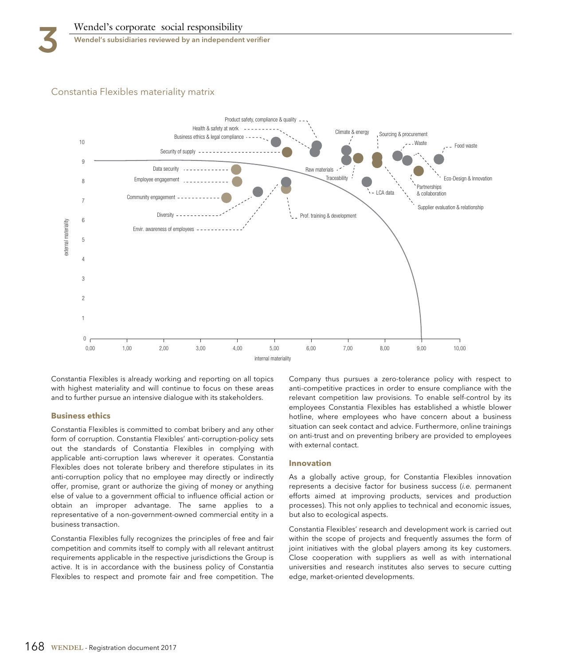

Wendel's subsidiaries reviewed by an independent verifier

# Constantia Flexibles materiality matrix



Constantia Flexibles is already working and reporting on all topics with highest materiality and will continue to focus on these areas and to further pursue an intensive dialogue with its stakeholders.

### **Business ethics**

Constantia Flexibles is committed to combat bribery and any other form of corruption. Constantia Flexibles' anti-corruption-policy sets out the standards of Constantia Flexibles in complying with applicable anti-corruption laws wherever it operates. Constantia Flexibles does not tolerate bribery and therefore stipulates in its anti-corruption policy that no employee may directly or indirectly offer, promise, grant or authorize the giving of money or anything else of value to a government official to influence official action or obtain an improper advantage. The same applies to a representative of a non-government-owned commercial entity in a business transaction.

Constantia Flexibles fully recognizes the principles of free and fair competition and commits itself to comply with all relevant antitrust requirements applicable in the respective jurisdictions the Group is active. It is in accordance with the business policy of Constantia Flexibles to respect and promote fair and free competition. The

Company thus pursues a zero-tolerance policy with respect to anti-competitive practices in order to ensure compliance with the relevant competition law provisions. To enable self-control by its employees Constantia Flexibles has established a whistle blower hotline, where employees who have concern about a business situation can seek contact and advice. Furthermore, online trainings on anti-trust and on preventing bribery are provided to employees with external contact.

### **Innovation**

As a globally active group, for Constantia Flexibles innovation represents a decisive factor for business success (i.e. permanent efforts aimed at improving products, services and production processes). This not only applies to technical and economic issues, but also to ecological aspects.

Constantia Flexibles' research and development work is carried out within the scope of projects and frequently assumes the form of joint initiatives with the global players among its key customers. Close cooperation with suppliers as well as with international universities and research institutes also serves to secure cutting edge, market-oriented developments.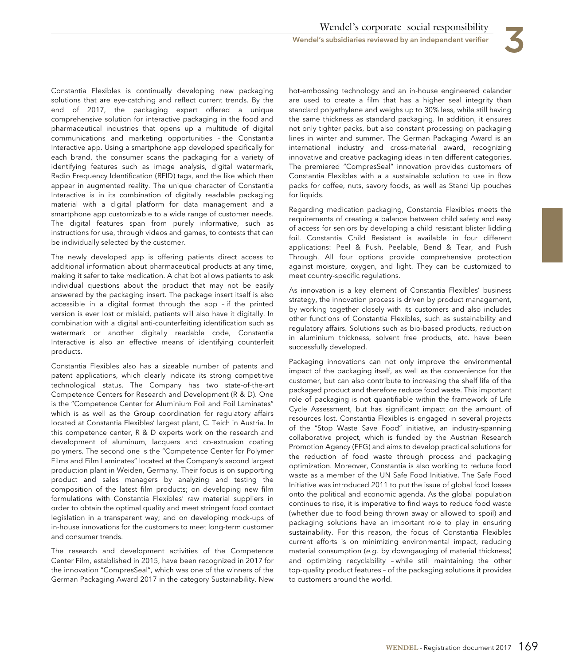Constantia Flexibles is continually developing new packaging solutions that are eye-catching and reflect current trends. By the end of 2017, the packaging expert offered a unique comprehensive solution for interactive packaging in the food and pharmaceutical industries that opens up a multitude of digital communications and marketing opportunities – the Constantia Interactive app. Using a smartphone app developed specifically for each brand, the consumer scans the packaging for a variety of identifying features such as image analysis, digital watermark, Radio Frequency Identification (RFID) tags, and the like which then appear in augmented reality. The unique character of Constantia Interactive is in its combination of digitally readable packaging material with a digital platform for data management and a smartphone app customizable to a wide range of customer needs. The digital features span from purely informative, such as instructions for use, through videos and games, to contests that can be individually selected by the customer.

The newly developed app is offering patients direct access to additional information about pharmaceutical products at any time, making it safer to take medication. A chat bot allows patients to ask individual questions about the product that may not be easily answered by the packaging insert. The package insert itself is also accessible in a digital format through the app – if the printed version is ever lost or mislaid, patients will also have it digitally. In combination with a digital anti-counterfeiting identification such as watermark or another digitally readable code, Constantia Interactive is also an effective means of identifying counterfeit products.

Constantia Flexibles also has a sizeable number of patents and patent applications, which clearly indicate its strong competitive technological status. The Company has two state-of-the-art Competence Centers for Research and Development (R & D). One is the "Competence Center for Aluminium Foil and Foil Laminates" which is as well as the Group coordination for regulatory affairs located at Constantia Flexibles' largest plant, C. Teich in Austria. In this competence center, R & D experts work on the research and development of aluminum, lacquers and co-extrusion coating polymers. The second one is the "Competence Center for Polymer Films and Film Laminates" located at the Company's second largest production plant in Weiden, Germany. Their focus is on supporting product and sales managers by analyzing and testing the composition of the latest film products; on developing new film formulations with Constantia Flexibles' raw material suppliers in order to obtain the optimal quality and meet stringent food contact legislation in a transparent way; and on developing mock-ups of in-house innovations for the customers to meet long-term customer and consumer trends.

The research and development activities of the Competence Center Film, established in 2015, have been recognized in 2017 for the innovation "CompresSeal", which was one of the winners of the German Packaging Award 2017 in the category Sustainability. New

hot-embossing technology and an in-house engineered calander are used to create a film that has a higher seal integrity than standard polyethylene and weighs up to 30% less, while still having the same thickness as standard packaging. In addition, it ensures not only tighter packs, but also constant processing on packaging lines in winter and summer. The German Packaging Award is an international industry and cross-material award, recognizing innovative and creative packaging ideas in ten different categories. The premiered "CompresSeal" innovation provides customers of Constantia Flexibles with a a sustainable solution to use in flow packs for coffee, nuts, savory foods, as well as Stand Up pouches for liquids.

Regarding medication packaging, Constantia Flexibles meets the requirements of creating a balance between child safety and easy of access for seniors by developing a child resistant blister lidding foil. Constantia Child Resistant is available in four different applications: Peel & Push, Peelable, Bend & Tear, and Push Through. All four options provide comprehensive protection against moisture, oxygen, and light. They can be customized to meet country-specific regulations.

As innovation is a key element of Constantia Flexibles' business strategy, the innovation process is driven by product management, by working together closely with its customers and also includes other functions of Constantia Flexibles, such as sustainability and regulatory affairs. Solutions such as bio-based products, reduction in aluminium thickness, solvent free products, etc. have been successfully developed.

Packaging innovations can not only improve the environmental impact of the packaging itself, as well as the convenience for the customer, but can also contribute to increasing the shelf life of the packaged product and therefore reduce food waste. This important role of packaging is not quantifiable within the framework of Life Cycle Assessment, but has significant impact on the amount of resources lost. Constantia Flexibles is engaged in several projects of the "Stop Waste Save Food" initiative, an industry-spanning collaborative project, which is funded by the Austrian Research Promotion Agency (FFG) and aims to develop practical solutions for the reduction of food waste through process and packaging optimization. Moreover, Constantia is also working to reduce food waste as a member of the UN Safe Food Initiative. The Safe Food Initiative was introduced 2011 to put the issue of global food losses onto the political and economic agenda. As the global population continues to rise, it is imperative to find ways to reduce food waste (whether due to food being thrown away or allowed to spoil) and packaging solutions have an important role to play in ensuring sustainability. For this reason, the focus of Constantia Flexibles current efforts is on minimizing environmental impact, reducing material consumption (e.g. by downgauging of material thickness) and optimizing recyclability – while still maintaining the other top-quality product features – of the packaging solutions it provides to customers around the world.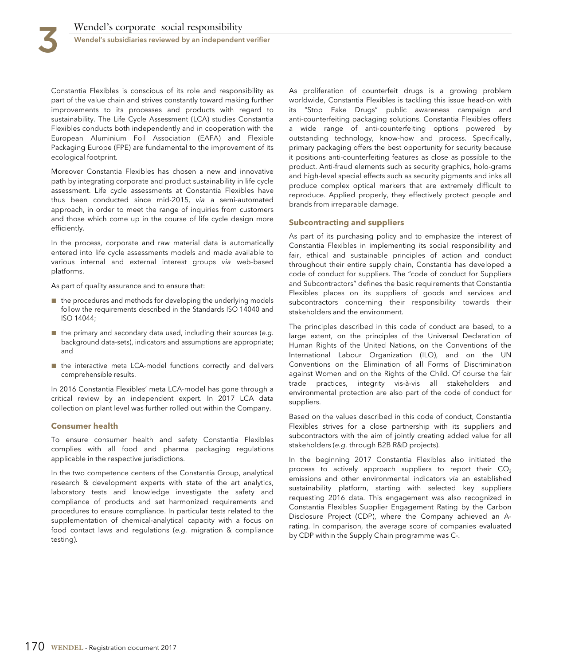Constantia Flexibles is conscious of its role and responsibility as part of the value chain and strives constantly toward making further improvements to its processes and products with regard to sustainability. The Life Cycle Assessment (LCA) studies Constantia Flexibles conducts both independently and in cooperation with the European Aluminium Foil Association (EAFA) and Flexible Packaging Europe (FPE) are fundamental to the improvement of its ecological footprint.

Moreover Constantia Flexibles has chosen a new and innovative path by integrating corporate and product sustainability in life cycle assessment. Life cycle assessments at Constantia Flexibles have thus been conducted since mid-2015, via a semi-automated approach, in order to meet the range of inquiries from customers and those which come up in the course of life cycle design more efficiently.

In the process, corporate and raw material data is automatically entered into life cycle assessments models and made available to various internal and external interest groups via web-based platforms.

As part of quality assurance and to ensure that:

- the procedures and methods for developing the underlying models follow the requirements described in the Standards ISO 14040 and ISO 14044;
- $\blacksquare$  the primary and secondary data used, including their sources (e.g. background data-sets), indicators and assumptions are appropriate; and
- the interactive meta LCA-model functions correctly and delivers comprehensible results.

In 2016 Constantia Flexibles' meta LCA-model has gone through a critical review by an independent expert. In 2017 LCA data collection on plant level was further rolled out within the Company.

### **Consumer health**

To ensure consumer health and safety Constantia Flexibles complies with all food and pharma packaging regulations applicable in the respective jurisdictions.

In the two competence centers of the Constantia Group, analytical research & development experts with state of the art analytics, laboratory tests and knowledge investigate the safety and compliance of products and set harmonized requirements and procedures to ensure compliance. In particular tests related to the supplementation of chemical-analytical capacity with a focus on food contact laws and regulations (e.g. migration & compliance testing).

As proliferation of counterfeit drugs is a growing problem worldwide, Constantia Flexibles is tackling this issue head-on with its "Stop Fake Drugs" public awareness campaign and anti-counterfeiting packaging solutions. Constantia Flexibles offers a wide range of anti-counterfeiting options powered by outstanding technology, know-how and process. Specifically, primary packaging offers the best opportunity for security because it positions anti-counterfeiting features as close as possible to the product. Anti-fraud elements such as security graphics, holo-grams and high-level special effects such as security pigments and inks all produce complex optical markers that are extremely difficult to reproduce. Applied properly, they effectively protect people and brands from irreparable damage.

#### **Subcontracting and suppliers**

As part of its purchasing policy and to emphasize the interest of Constantia Flexibles in implementing its social responsibility and fair, ethical and sustainable principles of action and conduct throughout their entire supply chain, Constantia has developed a code of conduct for suppliers. The "code of conduct for Suppliers and Subcontractors" defines the basic requirements that Constantia Flexibles places on its suppliers of goods and services and subcontractors concerning their responsibility towards their stakeholders and the environment.

The principles described in this code of conduct are based, to a large extent, on the principles of the Universal Declaration of Human Rights of the United Nations, on the Conventions of the International Labour Organization (ILO), and on the UN Conventions on the Elimination of all Forms of Discrimination against Women and on the Rights of the Child. Of course the fair trade practices, integrity vis-à-vis all stakeholders and environmental protection are also part of the code of conduct for suppliers.

Based on the values described in this code of conduct, Constantia Flexibles strives for a close partnership with its suppliers and subcontractors with the aim of jointly creating added value for all stakeholders (e.g. through B2B R&D projects).

In the beginning 2017 Constantia Flexibles also initiated the process to actively approach suppliers to report their  $CO<sub>2</sub>$ emissions and other environmental indicators via an established sustainability platform, starting with selected key suppliers requesting 2016 data. This engagement was also recognized in Constantia Flexibles Supplier Engagement Rating by the Carbon Disclosure Project (CDP), where the Company achieved an Arating. In comparison, the average score of companies evaluated by CDP within the Supply Chain programme was C-.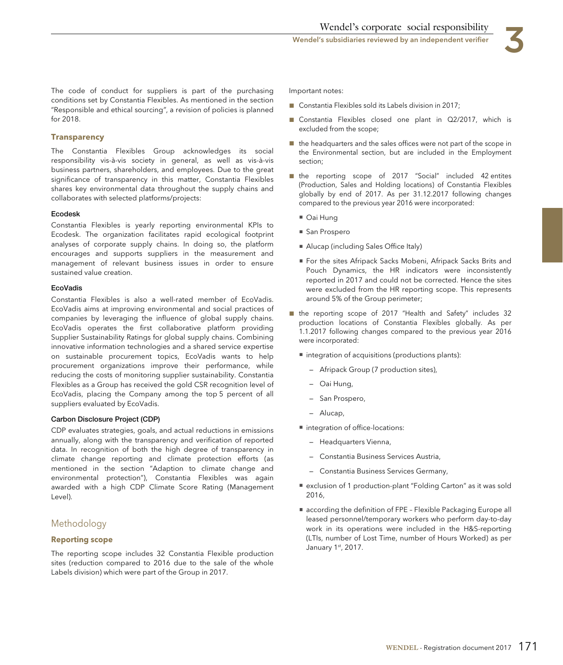The code of conduct for suppliers is part of the purchasing conditions set by Constantia Flexibles. As mentioned in the section "Responsible and ethical sourcing", a revision of policies is planned for 2018.

#### **Transparency**

The Constantia Flexibles Group acknowledges its social responsibility vis-à-vis society in general, as well as vis-à-vis business partners, shareholders, and employees. Due to the great significance of transparency in this matter, Constantia Flexibles shares key environmental data throughout the supply chains and collaborates with selected platforms/projects:

#### **Ecodesk**

Constantia Flexibles is yearly reporting environmental KPIs to Ecodesk. The organization facilitates rapid ecological footprint analyses of corporate supply chains. In doing so, the platform encourages and supports suppliers in the measurement and management of relevant business issues in order to ensure sustained value creation.

#### **EcoVadis**

Constantia Flexibles is also a well-rated member of EcoVadis. EcoVadis aims at improving environmental and social practices of companies by leveraging the influence of global supply chains. EcoVadis operates the first collaborative platform providing Supplier Sustainability Ratings for global supply chains. Combining innovative information technologies and a shared service expertise on sustainable procurement topics, EcoVadis wants to help procurement organizations improve their performance, while reducing the costs of monitoring supplier sustainability. Constantia Flexibles as a Group has received the gold CSR recognition level of EcoVadis, placing the Company among the top 5 percent of all suppliers evaluated by EcoVadis.

#### **Carbon Disclosure Project (CDP)**

CDP evaluates strategies, goals, and actual reductions in emissions annually, along with the transparency and verification of reported data. In recognition of both the high degree of transparency in climate change reporting and climate protection efforts (as mentioned in the section "Adaption to climate change and environmental protection"), Constantia Flexibles was again awarded with a high CDP Climate Score Rating (Management Level).

## Methodology

### **Reporting scope**

The reporting scope includes 32 Constantia Flexible production sites (reduction compared to 2016 due to the sale of the whole Labels division) which were part of the Group in 2017.

Important notes:

- Constantia Flexibles sold its Labels division in 2017;
- Constantia Flexibles closed one plant in Q2/2017, which is excluded from the scope;
- the headquarters and the sales offices were not part of the scope in the Environmental section, but are included in the Employment section;
- the reporting scope of 2017 "Social" included 42 entites (Production, Sales and Holding locations) of Constantia Flexibles globally by end of 2017. As per 31.12.2017 following changes compared to the previous year 2016 were incorporated:
	- Oai Hung
	- San Prospero
	- Alucap (including Sales Office Italy)
	- For the sites Afripack Sacks Mobeni, Afripack Sacks Brits and Pouch Dynamics, the HR indicators were inconsistently reported in 2017 and could not be corrected. Hence the sites were excluded from the HR reporting scope. This represents around 5% of the Group perimeter;
- the reporting scope of 2017 "Health and Safety" includes 32 production locations of Constantia Flexibles globally. As per 1.1.2017 following changes compared to the previous year 2016 were incorporated:
	- integration of acquisitions (productions plants):
		- Afripack Group (7 production sites),
		- Oai Hung,
		- San Prospero,
		- Alucap,
	- integration of office-locations:
		- Headquarters Vienna,
		- Constantia Business Services Austria,
		- Constantia Business Services Germany,
	- exclusion of 1 production-plant "Folding Carton" as it was sold 2016,
	- according the definition of FPE Flexible Packaging Europe all leased personnel/temporary workers who perform day-to-day work in its operations were included in the H&S-reporting (LTIs, number of Lost Time, number of Hours Worked) as per January 1st, 2017.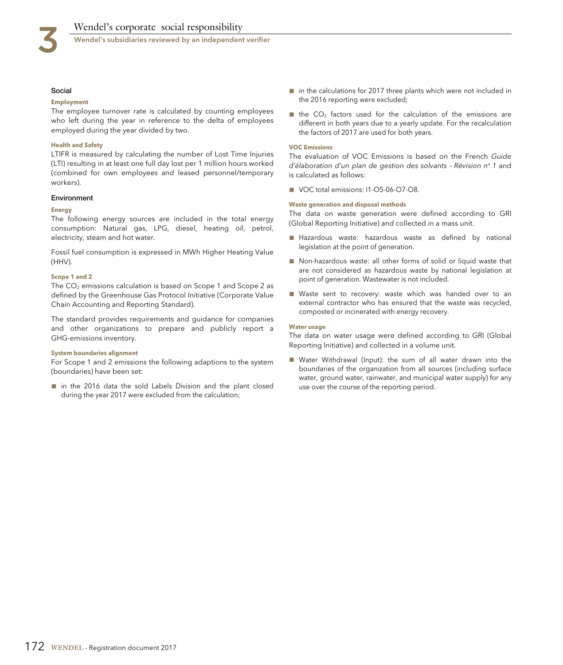

Wendel's subsidiaries reviewed by an independent verifier

#### **Social**

#### **Employment**

The employee turnover rate is calculated by counting employees who left during the year in reference to the delta of employees employed during the year divided by two.

#### **Health and Safety**

LTIFR is measured by calculating the number of Lost Time Injuries (LTI) resulting in at least one full day lost per 1 million hours worked (combined for own employees and leased personnel/temporary workers).

#### **Environment**

#### **Energy**

The following energy sources are included in the total energy consumption: Natural gas, LPG, diesel, heating oil, petrol, electricity, steam and hot water.

Fossil fuel consumption is expressed in MWh Higher Heating Value (HHV).

#### **Scope 1 and 2**

The  $CO<sub>2</sub>$  emissions calculation is based on Scope 1 and Scope 2 as defined by the Greenhouse Gas Protocol Initiative (Corporate Value Chain Accounting and Reporting Standard).

The standard provides requirements and guidance for companies and other organizations to prepare and publicly report a GHG-emissions inventory.

#### **System boundaries alignment**

For Scope 1 and 2 emissions the following adaptions to the system (boundaries) have been set:

■ in the 2016 data the sold Labels Division and the plant closed during the year 2017 were excluded from the calculation;

- in the calculations for 2017 three plants which were not included in the 2016 reporting were excluded;
- $\blacksquare$  the CO<sub>2</sub> factors used for the calculation of the emissions are different in both years due to a yearly update. For the recalculation the factors of 2017 are used for both years.

#### **VOC Emissions**

The evaluation of VOC Emissions is based on the French Guide d'élaboration d'un plan de gestion des solvants - Révision nº 1 and is calculated as follows:

■ VOC total emissions: I1-O5-06-O7-O8.

#### **Waste generation and disposal methods**

The data on waste generation were defined according to GRI (Global Reporting Initiative) and collected in a mass unit.

- Hazardous waste: hazardous waste as defined by national legislation at the point of generation.
- Non-hazardous waste: all other forms of solid or liquid waste that are not considered as hazardous waste by national legislation at point of generation. Wastewater is not included.
- Waste sent to recovery: waste which was handed over to an external contractor who has ensured that the waste was recycled, composted or incinerated with energy recovery.

#### **Water usage**

The data on water usage were defined according to GRI (Global Reporting Initiative) and collected in a volume unit.

■ Water Withdrawal (Input): the sum of all water drawn into the boundaries of the organization from all sources (including surface water, ground water, rainwater, and municipal water supply) for any use over the course of the reporting period.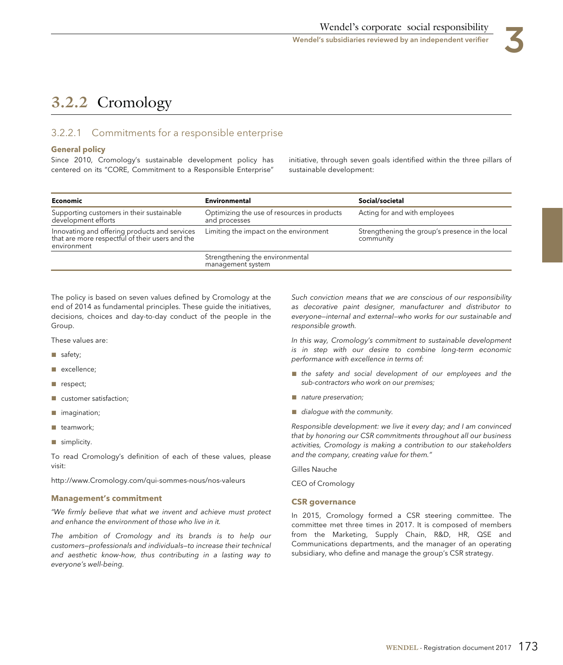

# **3.2.2** Cromology

# 3.2.2.1 Commitments for a responsible enterprise

# **General policy**

centered on its "CORE, Commitment to a Responsible Enterprise" sustainable development:

Since 2010, Cromology's sustainable development policy has initiative, through seven goals identified within the three pillars of

| Economic                                                                                                        | Environmental                                                | Social/societal                                              |
|-----------------------------------------------------------------------------------------------------------------|--------------------------------------------------------------|--------------------------------------------------------------|
| Supporting customers in their sustainable<br>development efforts                                                | Optimizing the use of resources in products<br>and processes | Acting for and with employees                                |
| Innovating and offering products and services<br>that are more respectful of their users and the<br>environment | Limiting the impact on the environment                       | Strengthening the group's presence in the local<br>community |
|                                                                                                                 | Strengthening the environmental<br>management system         |                                                              |

The policy is based on seven values defined by Cromology at the end of 2014 as fundamental principles. These guide the initiatives, decisions, choices and day-to-day conduct of the people in the Group.

These values are:

- safety;
- excellence;
- respect;
- customer satisfaction;
- imagination;
- teamwork;
- simplicity.

To read Cromology's definition of each of these values, please visit:

http://www.Cromology.com/qui-sommes-nous/nos-valeurs

### **Management's commitment**

"We firmly believe that what we invent and achieve must protect and enhance the environment of those who live in it.

The ambition of Cromology and its brands is to help our customers—professionals and individuals—to increase their technical and aesthetic know-how, thus contributing in a lasting way to everyone's well-being.

Such conviction means that we are conscious of our responsibility as decorative paint designer, manufacturer and distributor to everyone—internal and external—who works for our sustainable and responsible growth.

In this way, Cromology's commitment to sustainable development is in step with our desire to combine long-term economic performance with excellence in terms of:

- the safety and social development of our employees and the sub-contractors who work on our premises;
- nature preservation;
- dialogue with the community.

Responsible development: we live it every day; and I am convinced that by honoring our CSR commitments throughout all our business activities, Cromology is making a contribution to our stakeholders and the company, creating value for them."

Gilles Nauche

CEO of Cromology

### **CSR governance**

In 2015, Cromology formed a CSR steering committee. The committee met three times in 2017. It is composed of members from the Marketing, Supply Chain, R&D, HR, QSE and Communications departments, and the manager of an operating subsidiary, who define and manage the group's CSR strategy.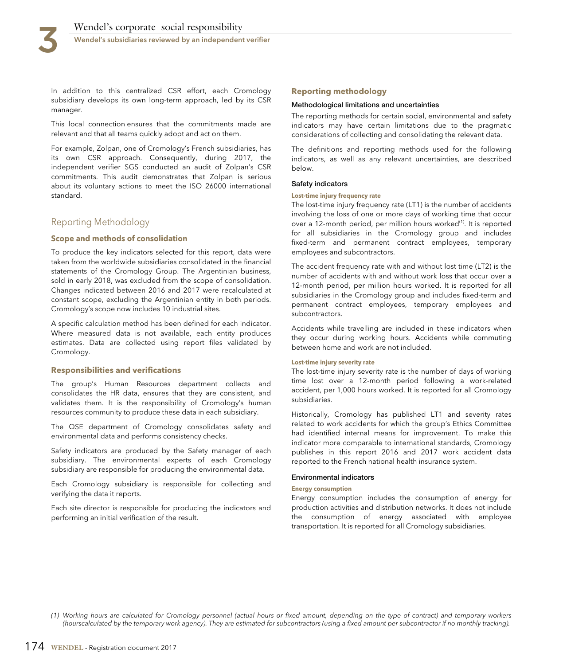Wendel's subsidiaries reviewed by an independent verifier

In addition to this centralized CSR effort, each Cromology subsidiary develops its own long-term approach, led by its CSR manager.

This local connection ensures that the commitments made are relevant and that all teams quickly adopt and act on them.

For example, Zolpan, one of Cromology's French subsidiaries, has its own CSR approach. Consequently, during 2017, the independent verifier SGS conducted an audit of Zolpan's CSR commitments. This audit demonstrates that Zolpan is serious about its voluntary actions to meet the ISO 26000 international standard.

## Reporting Methodology

#### **Scope and methods of consolidation**

To produce the key indicators selected for this report, data were taken from the worldwide subsidiaries consolidated in the financial statements of the Cromology Group. The Argentinian business, sold in early 2018, was excluded from the scope of consolidation. Changes indicated between 2016 and 2017 were recalculated at constant scope, excluding the Argentinian entity in both periods. Cromology's scope now includes 10 industrial sites.

A specific calculation method has been defined for each indicator. Where measured data is not available, each entity produces estimates. Data are collected using report files validated by Cromology.

#### **Responsibilities and verifications**

The group's Human Resources department collects and consolidates the HR data, ensures that they are consistent, and validates them. It is the responsibility of Cromology's human resources community to produce these data in each subsidiary.

The QSE department of Cromology consolidates safety and environmental data and performs consistency checks.

Safety indicators are produced by the Safety manager of each subsidiary. The environmental experts of each Cromology subsidiary are responsible for producing the environmental data.

Each Cromology subsidiary is responsible for collecting and verifying the data it reports.

Each site director is responsible for producing the indicators and performing an initial verification of the result.

#### **Reporting methodology**

#### **Methodological limitations and uncertainties**

The reporting methods for certain social, environmental and safety indicators may have certain limitations due to the pragmatic considerations of collecting and consolidating the relevant data.

The definitions and reporting methods used for the following indicators, as well as any relevant uncertainties, are described below.

#### **Safety indicators**

#### **Lost-time injury frequency rate**

The lost-time injury frequency rate (LT1) is the number of accidents involving the loss of one or more days of working time that occur over a 12-month period, per million hours worked<sup>(1)</sup>. It is reported for all subsidiaries in the Cromology group and includes fixed-term and permanent contract employees, temporary employees and subcontractors.

The accident frequency rate with and without lost time (LT2) is the number of accidents with and without work loss that occur over a 12-month period, per million hours worked. It is reported for all subsidiaries in the Cromology group and includes fixed-term and permanent contract employees, temporary employees and subcontractors.

Accidents while travelling are included in these indicators when they occur during working hours. Accidents while commuting between home and work are not included.

#### **Lost-time injury severity rate**

The lost-time injury severity rate is the number of days of working time lost over a 12-month period following a work-related accident, per 1,000 hours worked. It is reported for all Cromology subsidiaries.

Historically, Cromology has published LT1 and severity rates related to work accidents for which the group's Ethics Committee had identified internal means for improvement. To make this indicator more comparable to international standards, Cromology publishes in this report 2016 and 2017 work accident data reported to the French national health insurance system.

#### **Environmental indicators**

#### **Energy consumption**

Energy consumption includes the consumption of energy for production activities and distribution networks. It does not include the consumption of energy associated with employee transportation. It is reported for all Cromology subsidiaries.

(1) Working hours are calculated for Cromology personnel (actual hours or fixed amount, depending on the type of contract) and temporary workers (hourscalculated by the temporary work agency). They are estimated for subcontractors (using a fixed amount per subcontractor if no monthly tracking).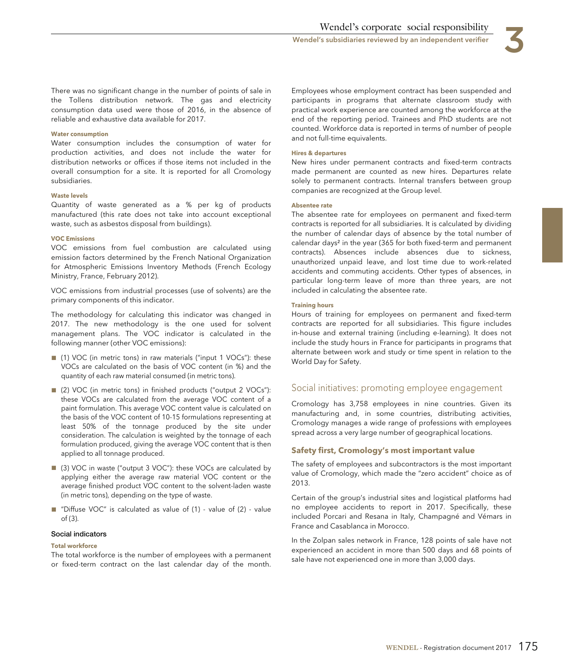

There was no significant change in the number of points of sale in the Tollens distribution network. The gas and electricity consumption data used were those of 2016, in the absence of reliable and exhaustive data available for 2017.

#### **Water consumption**

Water consumption includes the consumption of water for production activities, and does not include the water for distribution networks or offices if those items not included in the overall consumption for a site. It is reported for all Cromology subsidiaries.

#### **Waste levels**

Quantity of waste generated as a % per kg of products manufactured (this rate does not take into account exceptional waste, such as asbestos disposal from buildings).

#### **VOC Emissions**

VOC emissions from fuel combustion are calculated using emission factors determined by the French National Organization for Atmospheric Emissions Inventory Methods (French Ecology Ministry, France, February 2012).

VOC emissions from industrial processes (use of solvents) are the primary components of this indicator.

The methodology for calculating this indicator was changed in 2017. The new methodology is the one used for solvent management plans. The VOC indicator is calculated in the following manner (other VOC emissions):

- (1) VOC (in metric tons) in raw materials ("input 1 VOCs"): these VOCs are calculated on the basis of VOC content (in %) and the quantity of each raw material consumed (in metric tons).
- (2) VOC (in metric tons) in finished products ("output 2 VOCs"): these VOCs are calculated from the average VOC content of a paint formulation. This average VOC content value is calculated on the basis of the VOC content of 10-15 formulations representing at least 50% of the tonnage produced by the site under consideration. The calculation is weighted by the tonnage of each formulation produced, giving the average VOC content that is then applied to all tonnage produced.
- (3) VOC in waste ("output 3 VOC"): these VOCs are calculated by applying either the average raw material VOC content or the average finished product VOC content to the solvent-laden waste (in metric tons), depending on the type of waste.
- "Diffuse VOC" is calculated as value of (1) value of (2) value of (3).

## **Social indicators**

#### **Total workforce**

The total workforce is the number of employees with a permanent or fixed-term contract on the last calendar day of the month. Employees whose employment contract has been suspended and participants in programs that alternate classroom study with practical work experience are counted among the workforce at the end of the reporting period. Trainees and PhD students are not counted. Workforce data is reported in terms of number of people and not full-time equivalents.

#### **Hires & departures**

New hires under permanent contracts and fixed-term contracts made permanent are counted as new hires. Departures relate solely to permanent contracts. Internal transfers between group companies are recognized at the Group level.

#### **Absentee rate**

The absentee rate for employees on permanent and fixed-term contracts is reported for all subsidiaries. It is calculated by dividing the number of calendar days of absence by the total number of calendar days² in the year (365 for both fixed-term and permanent contracts). Absences include absences due to sickness, unauthorized unpaid leave, and lost time due to work-related accidents and commuting accidents. Other types of absences, in particular long-term leave of more than three years, are not included in calculating the absentee rate.

#### **Training hours**

Hours of training for employees on permanent and fixed-term contracts are reported for all subsidiaries. This figure includes in-house and external training (including e-learning). It does not include the study hours in France for participants in programs that alternate between work and study or time spent in relation to the World Day for Safety.

## Social initiatives: promoting employee engagement

Cromology has 3,758 employees in nine countries. Given its manufacturing and, in some countries, distributing activities, Cromology manages a wide range of professions with employees spread across a very large number of geographical locations.

## **Safety first, Cromology's most important value**

The safety of employees and subcontractors is the most important value of Cromology, which made the "zero accident" choice as of 2013.

Certain of the group's industrial sites and logistical platforms had no employee accidents to report in 2017. Specifically, these included Porcari and Resana in Italy, Champagné and Vémars in France and Casablanca in Morocco.

In the Zolpan sales network in France, 128 points of sale have not experienced an accident in more than 500 days and 68 points of sale have not experienced one in more than 3,000 days.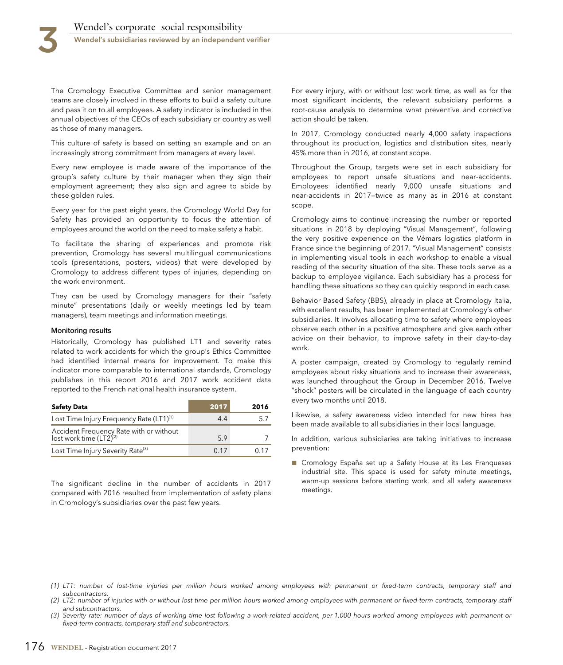

The Cromology Executive Committee and senior management teams are closely involved in these efforts to build a safety culture and pass it on to all employees. A safety indicator is included in the annual objectives of the CEOs of each subsidiary or country as well as those of many managers.

This culture of safety is based on setting an example and on an increasingly strong commitment from managers at every level.

Every new employee is made aware of the importance of the group's safety culture by their manager when they sign their employment agreement; they also sign and agree to abide by these golden rules.

Every year for the past eight years, the Cromology World Day for Safety has provided an opportunity to focus the attention of employees around the world on the need to make safety a habit.

To facilitate the sharing of experiences and promote risk prevention, Cromology has several multilingual communications tools (presentations, posters, videos) that were developed by Cromology to address different types of injuries, depending on the work environment.

They can be used by Cromology managers for their "safety minute" presentations (daily or weekly meetings led by team managers), team meetings and information meetings.

#### **Monitoring results**

Historically, Cromology has published LT1 and severity rates related to work accidents for which the group's Ethics Committee had identified internal means for improvement. To make this indicator more comparable to international standards, Cromology publishes in this report 2016 and 2017 work accident data reported to the French national health insurance system.

| <b>Safety Data</b>                                                             | 2017 | 2016 |
|--------------------------------------------------------------------------------|------|------|
| Lost Time Injury Frequency Rate (LT1) <sup>(1)</sup>                           | 44   |      |
| Accident Frequency Rate with or without<br>lost work time (LT2) <sup>(2)</sup> | 5.9  |      |
| Lost Time Injury Severity Rate <sup>(3)</sup>                                  | 0.17 | በ 17 |

The significant decline in the number of accidents in 2017 compared with 2016 resulted from implementation of safety plans in Cromology's subsidiaries over the past few years.

For every injury, with or without lost work time, as well as for the most significant incidents, the relevant subsidiary performs a root-cause analysis to determine what preventive and corrective action should be taken.

In 2017, Cromology conducted nearly 4,000 safety inspections throughout its production, logistics and distribution sites, nearly 45% more than in 2016, at constant scope.

Throughout the Group, targets were set in each subsidiary for employees to report unsafe situations and near-accidents. Employees identified nearly 9,000 unsafe situations and near-accidents in 2017—twice as many as in 2016 at constant scope.

Cromology aims to continue increasing the number or reported situations in 2018 by deploying "Visual Management", following the very positive experience on the Vémars logistics platform in France since the beginning of 2017. "Visual Management" consists in implementing visual tools in each workshop to enable a visual reading of the security situation of the site. These tools serve as a backup to employee vigilance. Each subsidiary has a process for handling these situations so they can quickly respond in each case.

Behavior Based Safety (BBS), already in place at Cromology Italia, with excellent results, has been implemented at Cromology's other subsidiaries. It involves allocating time to safety where employees observe each other in a positive atmosphere and give each other advice on their behavior, to improve safety in their day-to-day work.

A poster campaign, created by Cromology to regularly remind employees about risky situations and to increase their awareness, was launched throughout the Group in December 2016. Twelve "shock" posters will be circulated in the language of each country every two months until 2018.

Likewise, a safety awareness video intended for new hires has been made available to all subsidiaries in their local language.

In addition, various subsidiaries are taking initiatives to increase prevention:

■ Cromology España set up a Safety House at its Les Franqueses industrial site. This space is used for safety minute meetings, warm-up sessions before starting work, and all safety awareness meetings.

- (1) LT1: number of lost-time injuries per million hours worked among employees with permanent or fixed-term contracts, temporary staff and subcontractors.
- (2) LT2: number of injuries with or without lost time per million hours worked among employees with permanent or fixed-term contracts, temporary staff and subcontractors.
- (3) Severity rate: number of days of working time lost following a work-related accident, per 1,000 hours worked among employees with permanent or fixed-term contracts, temporary staff and subcontractors.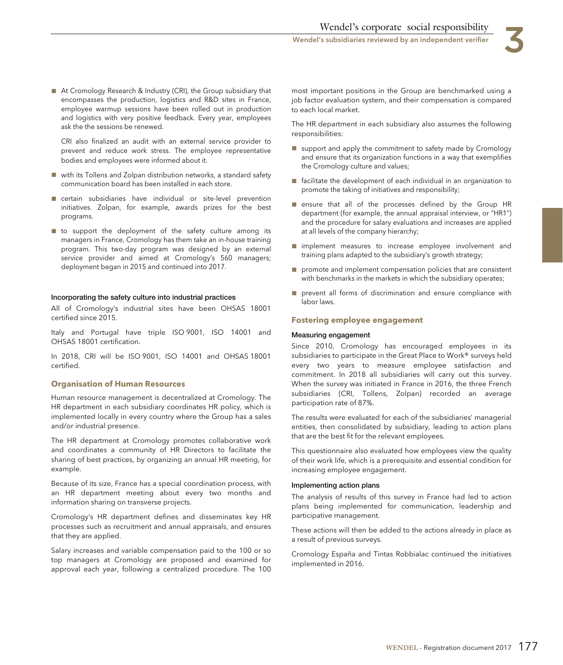

■ At Cromology Research & Industry (CRI), the Group subsidiary that encompasses the production, logistics and R&D sites in France, employee warmup sessions have been rolled out in production and logistics with very positive feedback. Every year, employees ask the the sessions be renewed.

CRI also finalized an audit with an external service provider to prevent and reduce work stress. The employee representative bodies and employees were informed about it.

- with its Tollens and Zolpan distribution networks, a standard safety communication board has been installed in each store.
- certain subsidiaries have individual or site-level prevention initiatives. Zolpan, for example, awards prizes for the best programs.
- to support the deployment of the safety culture among its managers in France, Cromology has them take an in-house training program. This two-day program was designed by an external service provider and aimed at Cromology's 560 managers; deployment began in 2015 and continued into 2017.

#### **Incorporating the safety culture into industrial practices**

All of Cromology's industrial sites have been OHSAS 18001 certified since 2015.

Italy and Portugal have triple ISO 9001, ISO 14001 and OHSAS 18001 certification.

In 2018, CRI will be ISO 9001, ISO 14001 and OHSAS 18001 certified.

#### **Organisation of Human Resources**

Human resource management is decentralized at Cromology. The HR department in each subsidiary coordinates HR policy, which is implemented locally in every country where the Group has a sales and/or industrial presence.

The HR department at Cromology promotes collaborative work and coordinates a community of HR Directors to facilitate the sharing of best practices, by organizing an annual HR meeting, for example.

Because of its size, France has a special coordination process, with an HR department meeting about every two months and information sharing on transverse projects.

Cromology's HR department defines and disseminates key HR processes such as recruitment and annual appraisals, and ensures that they are applied.

Salary increases and variable compensation paid to the 100 or so top managers at Cromology are proposed and examined for approval each year, following a centralized procedure. The 100

most important positions in the Group are benchmarked using a job factor evaluation system, and their compensation is compared to each local market.

The HR department in each subsidiary also assumes the following responsibilities:

- support and apply the commitment to safety made by Cromology and ensure that its organization functions in a way that exemplifies the Cromology culture and values;
- facilitate the development of each individual in an organization to promote the taking of initiatives and responsibility;
- ensure that all of the processes defined by the Group HR department (for example, the annual appraisal interview, or "HR1") and the procedure for salary evaluations and increases are applied at all levels of the company hierarchy;
- implement measures to increase employee involvement and training plans adapted to the subsidiary's growth strategy;
- promote and implement compensation policies that are consistent with benchmarks in the markets in which the subsidiary operates;
- prevent all forms of discrimination and ensure compliance with labor laws.

#### **Fostering employee engagement**

#### **Measuring engagement**

Since 2010, Cromology has encouraged employees in its subsidiaries to participate in the Great Place to Work® surveys held every two years to measure employee satisfaction and commitment. In 2018 all subsidiaries will carry out this survey. When the survey was initiated in France in 2016, the three French subsidiaries (CRI, Tollens, Zolpan) recorded an average participation rate of 87%.

The results were evaluated for each of the subsidiaries' managerial entities, then consolidated by subsidiary, leading to action plans that are the best fit for the relevant employees.

This questionnaire also evaluated how employees view the quality of their work life, which is a prerequisite and essential condition for increasing employee engagement.

#### **Implementing action plans**

The analysis of results of this survey in France had led to action plans being implemented for communication, leadership and participative management.

These actions will then be added to the actions already in place as a result of previous surveys.

Cromology España and Tintas Robbialac continued the initiatives implemented in 2016.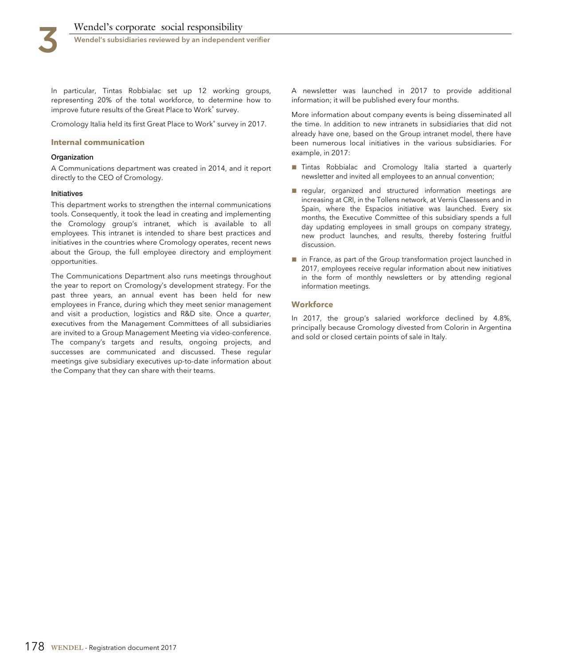In particular, Tintas Robbialac set up 12 working groups, representing 20% of the total workforce, to determine how to improve future results of the Great Place to Work® survey.

Cromology Italia held its first Great Place to Work® survey in 2017.

#### **Internal communication**

#### **Organization**

A Communications department was created in 2014, and it report directly to the CEO of Cromology.

#### **Initiatives**

This department works to strengthen the internal communications tools. Consequently, it took the lead in creating and implementing the Cromology group's intranet, which is available to all employees. This intranet is intended to share best practices and initiatives in the countries where Cromology operates, recent news about the Group, the full employee directory and employment opportunities.

The Communications Department also runs meetings throughout the year to report on Cromology's development strategy. For the past three years, an annual event has been held for new employees in France, during which they meet senior management and visit a production, logistics and R&D site. Once a quarter, executives from the Management Committees of all subsidiaries are invited to a Group Management Meeting via video-conference. The company's targets and results, ongoing projects, and successes are communicated and discussed. These regular meetings give subsidiary executives up-to-date information about the Company that they can share with their teams.

A newsletter was launched in 2017 to provide additional information; it will be published every four months.

More information about company events is being disseminated all the time. In addition to new intranets in subsidiaries that did not already have one, based on the Group intranet model, there have been numerous local initiatives in the various subsidiaries. For example, in 2017:

- Tintas Robbialac and Cromology Italia started a quarterly newsletter and invited all employees to an annual convention;
- regular, organized and structured information meetings are increasing at CRI, in the Tollens network, at Vernis Claessens and in Spain, where the Espacios initiative was launched. Every six months, the Executive Committee of this subsidiary spends a full day updating employees in small groups on company strategy, new product launches, and results, thereby fostering fruitful discussion.
- in France, as part of the Group transformation project launched in 2017, employees receive regular information about new initiatives in the form of monthly newsletters or by attending regional information meetings.

#### **Workforce**

In 2017, the group's salaried workforce declined by 4.8%, principally because Cromology divested from Colorin in Argentina and sold or closed certain points of sale in Italy.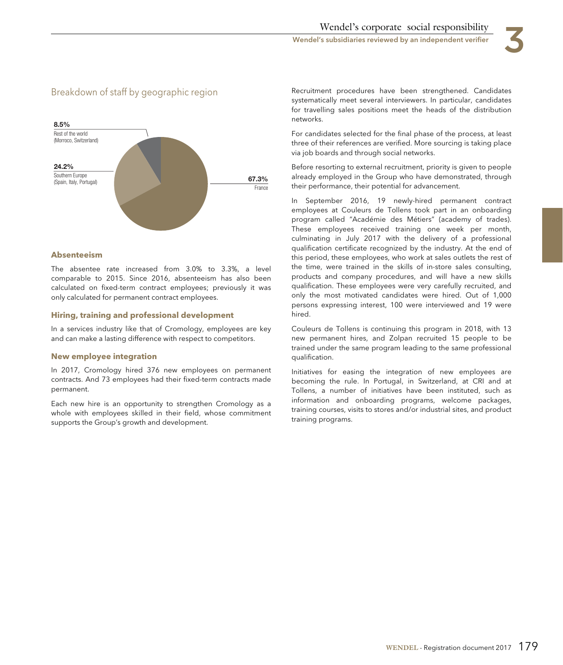

# Breakdown of staff by geographic region



#### **Absenteeism**

The absentee rate increased from 3.0% to 3.3%, a level comparable to 2015. Since 2016, absenteeism has also been calculated on fixed-term contract employees; previously it was only calculated for permanent contract employees.

#### **Hiring, training and professional development**

In a services industry like that of Cromology, employees are key and can make a lasting difference with respect to competitors.

#### **New employee integration**

In 2017, Cromology hired 376 new employees on permanent contracts. And 73 employees had their fixed-term contracts made permanent.

Each new hire is an opportunity to strengthen Cromology as a whole with employees skilled in their field, whose commitment supports the Group's growth and development.

Recruitment procedures have been strengthened. Candidates systematically meet several interviewers. In particular, candidates for travelling sales positions meet the heads of the distribution networks.

For candidates selected for the final phase of the process, at least three of their references are verified. More sourcing is taking place via job boards and through social networks.

Before resorting to external recruitment, priority is given to people already employed in the Group who have demonstrated, through their performance, their potential for advancement.

In September 2016, 19 newly-hired permanent contract employees at Couleurs de Tollens took part in an onboarding program called "Académie des Métiers" (academy of trades). These employees received training one week per month, culminating in July 2017 with the delivery of a professional qualification certificate recognized by the industry. At the end of this period, these employees, who work at sales outlets the rest of the time, were trained in the skills of in-store sales consulting, products and company procedures, and will have a new skills qualification. These employees were very carefully recruited, and only the most motivated candidates were hired. Out of 1,000 persons expressing interest, 100 were interviewed and 19 were hired.

Couleurs de Tollens is continuing this program in 2018, with 13 new permanent hires, and Zolpan recruited 15 people to be trained under the same program leading to the same professional qualification.

Initiatives for easing the integration of new employees are becoming the rule. In Portugal, in Switzerland, at CRI and at Tollens, a number of initiatives have been instituted, such as information and onboarding programs, welcome packages, training courses, visits to stores and/or industrial sites, and product training programs.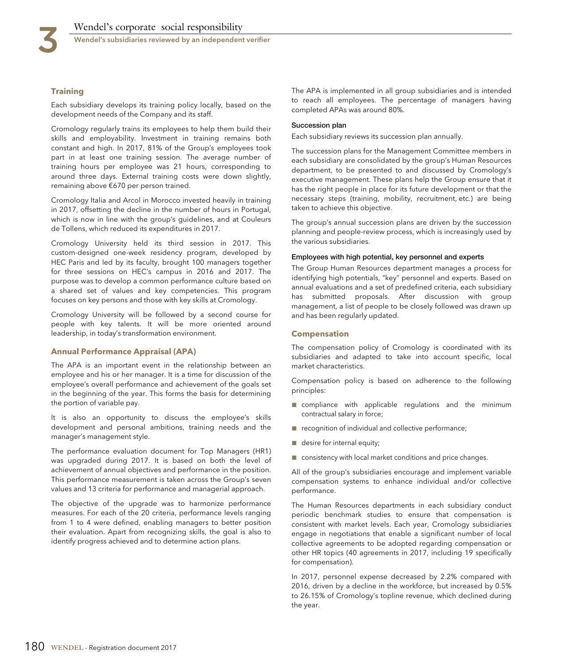### **Training**

Each subsidiary develops its training policy locally, based on the development needs of the Company and its staff.

Cromology regularly trains its employees to help them build their skills and employability. Investment in training remains both constant and high. In 2017, 81% of the Group's employees took part in at least one training session. The average number of training hours per employee was 21 hours, corresponding to around three days. External training costs were down slightly, remaining above €670 per person trained.

Cromology Italia and Arcol in Morocco invested heavily in training in 2017, offsetting the decline in the number of hours in Portugal, which is now in line with the group's guidelines, and at Couleurs de Tollens, which reduced its expenditures in 2017.

Cromology University held its third session in 2017. This custom-designed one-week residency program, developed by HEC Paris and led by its faculty, brought 100 managers together for three sessions on HEC's campus in 2016 and 2017. The purpose was to develop a common performance culture based on a shared set of values and key competencies. This program focuses on key persons and those with key skills at Cromology.

Cromology University will be followed by a second course for people with key talents. It will be more oriented around leadership, in today's transformation environment.

#### **Annual Performance Appraisal (APA)**

The APA is an important event in the relationship between an employee and his or her manager. It is a time for discussion of the employee's overall performance and achievement of the goals set in the beginning of the year. This forms the basis for determining the portion of variable pay.

It is also an opportunity to discuss the employee's skills development and personal ambitions, training needs and the manager's management style.

The performance evaluation document for Top Managers (HR1) was upgraded during 2017. It is based on both the level of achievement of annual objectives and performance in the position. This performance measurement is taken across the Group's seven values and 13 criteria for performance and managerial approach.

The objective of the upgrade was to harmonize performance measures. For each of the 20 criteria, performance levels ranging from 1 to 4 were defined, enabling managers to better position their evaluation. Apart from recognizing skills, the goal is also to identify progress achieved and to determine action plans.

The APA is implemented in all group subsidiaries and is intended to reach all employees. The percentage of managers having completed APAs was around 80%.

#### **Succession plan**

Each subsidiary reviews its succession plan annually.

The succession plans for the Management Committee members in each subsidiary are consolidated by the group's Human Resources department, to be presented to and discussed by Cromology's executive management. These plans help the Group ensure that it has the right people in place for its future development or that the necessary steps (training, mobility, recruitment, etc.) are being taken to achieve this objective.

The group's annual succession plans are driven by the succession planning and people-review process, which is increasingly used by the various subsidiaries.

#### **Employees with high potential, key personnel and experts**

The Group Human Resources department manages a process for identifying high potentials, "key" personnel and experts. Based on annual evaluations and a set of predefined criteria, each subsidiary has submitted proposals. After discussion with group management, a list of people to be closely followed was drawn up and has been regularly updated.

#### **Compensation**

The compensation policy of Cromology is coordinated with its subsidiaries and adapted to take into account specific, local market characteristics.

Compensation policy is based on adherence to the following principles:

- compliance with applicable regulations and the minimum contractual salary in force;
- recognition of individual and collective performance;
- desire for internal equity;
- consistency with local market conditions and price changes.

All of the group's subsidiaries encourage and implement variable compensation systems to enhance individual and/or collective performance.

The Human Resources departments in each subsidiary conduct periodic benchmark studies to ensure that compensation is consistent with market levels. Each year, Cromology subsidiaries engage in negotiations that enable a significant number of local collective agreements to be adopted regarding compensation or other HR topics (40 agreements in 2017, including 19 specifically for compensation).

In 2017, personnel expense decreased by 2.2% compared with 2016, driven by a decline in the workforce, but increased by 0.5% to 26.15% of Cromology's topline revenue, which declined during the year.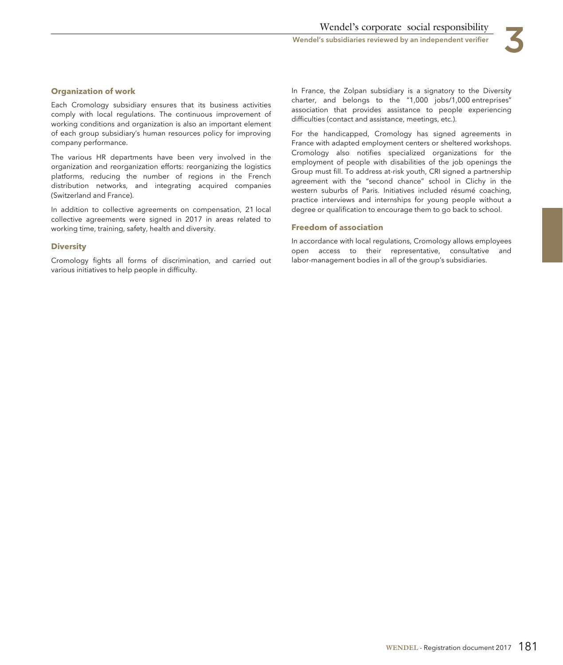

# **Organization of work**

Each Cromology subsidiary ensures that its business activities comply with local regulations. The continuous improvement of working conditions and organization is also an important element of each group subsidiary's human resources policy for improving company performance.

The various HR departments have been very involved in the organization and reorganization efforts: reorganizing the logistics platforms, reducing the number of regions in the French distribution networks, and integrating acquired companies (Switzerland and France).

In addition to collective agreements on compensation, 21 local collective agreements were signed in 2017 in areas related to working time, training, safety, health and diversity.

#### **Diversity**

Cromology fights all forms of discrimination, and carried out various initiatives to help people in difficulty.

In France, the Zolpan subsidiary is a signatory to the Diversity charter, and belongs to the "1,000 jobs/1,000 entreprises" association that provides assistance to people experiencing difficulties (contact and assistance, meetings, etc.).

For the handicapped, Cromology has signed agreements in France with adapted employment centers or sheltered workshops. Cromology also notifies specialized organizations for the employment of people with disabilities of the job openings the Group must fill. To address at-risk youth, CRI signed a partnership agreement with the "second chance" school in Clichy in the western suburbs of Paris. Initiatives included résumé coaching, practice interviews and internships for young people without a degree or qualification to encourage them to go back to school.

#### **Freedom of association**

In accordance with local regulations, Cromology allows employees open access to their representative, consultative and labor-management bodies in all of the group's subsidiaries.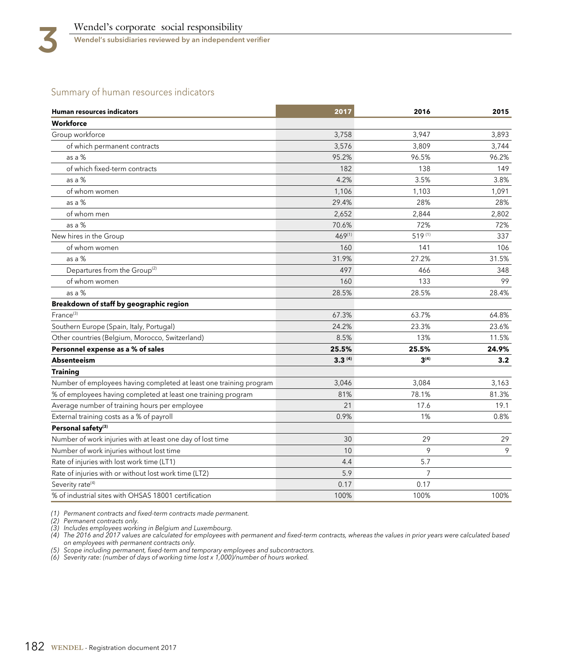# Summary of human resources indicators

| <b>Human resources indicators</b>                                  | 2017        | 2016             | 2015  |
|--------------------------------------------------------------------|-------------|------------------|-------|
| Workforce                                                          |             |                  |       |
| Group workforce                                                    | 3,758       | 3,947            | 3,893 |
| of which permanent contracts                                       | 3,576       | 3.809            | 3,744 |
| as a %                                                             | 95.2%       | 96.5%            | 96.2% |
| of which fixed-term contracts                                      | 182         | 138              | 149   |
| as a $%$                                                           | 4.2%        | 3.5%             | 3.8%  |
| of whom women                                                      | 1,106       | 1,103            | 1,091 |
| as a %                                                             | 29.4%       | 28%              | 28%   |
| of whom men                                                        | 2,652       | 2,844            | 2,802 |
| as a %                                                             | 70.6%       | 72%              | 72%   |
| New hires in the Group                                             | $469^{(1)}$ | 519(1)           | 337   |
| of whom women                                                      | 160         | 141              | 106   |
| as a %                                                             | 31.9%       | 27.2%            | 31.5% |
| Departures from the Group <sup>(2)</sup>                           | 497         | 466              | 348   |
| of whom women                                                      | 160         | 133              | 99    |
| as a %                                                             | 28.5%       | 28.5%            | 28.4% |
| Breakdown of staff by geographic region                            |             |                  |       |
| France <sup>(3)</sup>                                              | 67.3%       | 63.7%            | 64.8% |
| Southern Europe (Spain, Italy, Portugal)                           | 24.2%       | 23.3%            | 23.6% |
| Other countries (Belgium, Morocco, Switzerland)                    | 8.5%        | 13%              | 11.5% |
| Personnel expense as a % of sales                                  | 25.5%       | 25.5%            | 24.9% |
| <b>Absenteeism</b>                                                 | $3.3^{(4)}$ | 3 <sup>(4)</sup> | 3.2   |
| <b>Training</b>                                                    |             |                  |       |
| Number of employees having completed at least one training program | 3,046       | 3,084            | 3,163 |
| % of employees having completed at least one training program      | 81%         | 78.1%            | 81.3% |
| Average number of training hours per employee                      | 21          | 17.6             | 19.1  |
| External training costs as a % of payroll                          | 0.9%        | 1%               | 0.8%  |
| Personal safety <sup>(3)</sup>                                     |             |                  |       |
| Number of work injuries with at least one day of lost time         | 30          | 29               | 29    |
| Number of work injuries without lost time                          | 10          | 9                | 9     |
| Rate of injuries with lost work time (LT1)                         | 4.4         | 5.7              |       |
| Rate of injuries with or without lost work time (LT2)              | 5.9         | $\overline{7}$   |       |
| Severity rate <sup>(4)</sup>                                       | 0.17        | 0.17             |       |
| % of industrial sites with OHSAS 18001 certification               | 100%        | 100%             | 100%  |

(1) Permanent contracts and fixed-term contracts made permanent.

(2) Permanent contracts only.

(3) Includes employees working in Belgium and Luxembourg.<br>(4) The 2016 and 2017 values are calculated for employees with permanent and fixed-term contracts, whereas the values in prior years were calculated based on employees with permanent contracts only.

(5) Scope including permanent, fixed-term and temporary employees and subcontractors.

(6) Severity rate: (number of days of working time lost x 1,000)/number of hours worked.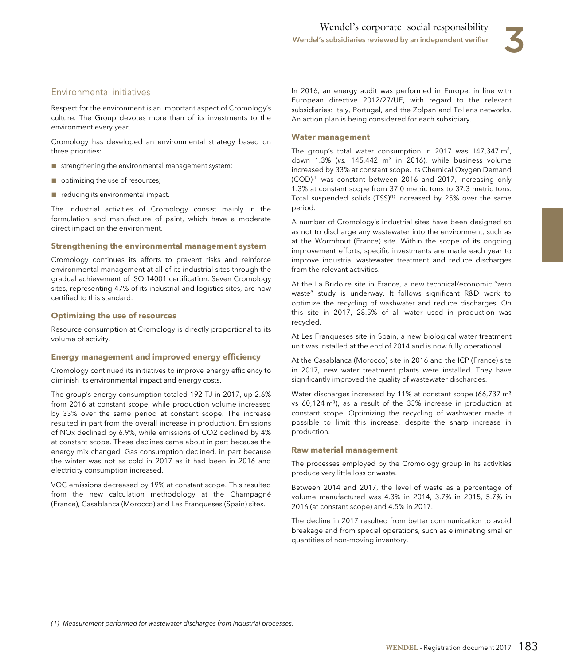# Environmental initiatives

Respect for the environment is an important aspect of Cromology's culture. The Group devotes more than of its investments to the environment every year.

Cromology has developed an environmental strategy based on three priorities:

- strengthening the environmental management system;
- optimizing the use of resources;
- reducing its environmental impact.

The industrial activities of Cromology consist mainly in the formulation and manufacture of paint, which have a moderate direct impact on the environment.

#### **Strengthening the environmental management system**

Cromology continues its efforts to prevent risks and reinforce environmental management at all of its industrial sites through the gradual achievement of ISO 14001 certification. Seven Cromology sites, representing 47% of its industrial and logistics sites, are now certified to this standard.

#### **Optimizing the use of resources**

Resource consumption at Cromology is directly proportional to its volume of activity.

#### **Energy management and improved energy efficiency**

Cromology continued its initiatives to improve energy efficiency to diminish its environmental impact and energy costs.

The group's energy consumption totaled 192 TJ in 2017, up 2.6% from 2016 at constant scope, while production volume increased by 33% over the same period at constant scope. The increase resulted in part from the overall increase in production. Emissions of NOx declined by 6.9%, while emissions of CO2 declined by 4% at constant scope. These declines came about in part because the energy mix changed. Gas consumption declined, in part because the winter was not as cold in 2017 as it had been in 2016 and electricity consumption increased.

VOC emissions decreased by 19% at constant scope. This resulted from the new calculation methodology at the Champagné (France), Casablanca (Morocco) and Les Franqueses (Spain) sites.

In 2016, an energy audit was performed in Europe, in line with European directive 2012/27/UE, with regard to the relevant subsidiaries: Italy, Portugal, and the Zolpan and Tollens networks. An action plan is being considered for each subsidiary.

#### **Water management**

The group's total water consumption in 2017 was 147,347  $\mathsf{m}^3$ , down  $1.3\%$  (vs. 145,442 m<sup>3</sup> in 2016), while business volume increased by 33% at constant scope. Its Chemical Oxygen Demand  $(COD)^{(1)}$  was constant between 2016 and 2017, increasing only 1.3% at constant scope from 37.0 metric tons to 37.3 metric tons. Total suspended solids  $(TSS)^{(1)}$  increased by 25% over the same period.

A number of Cromology's industrial sites have been designed so as not to discharge any wastewater into the environment, such as at the Wormhout (France) site. Within the scope of its ongoing improvement efforts, specific investments are made each year to improve industrial wastewater treatment and reduce discharges from the relevant activities.

At the La Bridoire site in France, a new technical/economic "zero waste" study is underway. It follows significant R&D work to optimize the recycling of washwater and reduce discharges. On this site in 2017, 28.5% of all water used in production was recycled.

At Les Franqueses site in Spain, a new biological water treatment unit was installed at the end of 2014 and is now fully operational.

At the Casablanca (Morocco) site in 2016 and the ICP (France) site in 2017, new water treatment plants were installed. They have significantly improved the quality of wastewater discharges.

Water discharges increased by 11% at constant scope (66,737 m<sup>3</sup> vs 60,124 m<sup>3</sup>), as a result of the 33% increase in production at constant scope. Optimizing the recycling of washwater made it possible to limit this increase, despite the sharp increase in production.

#### **Raw material management**

The processes employed by the Cromology group in its activities produce very little loss or waste.

Between 2014 and 2017, the level of waste as a percentage of volume manufactured was 4.3% in 2014, 3.7% in 2015, 5.7% in 2016 (at constant scope) and 4.5% in 2017.

The decline in 2017 resulted from better communication to avoid breakage and from special operations, such as eliminating smaller quantities of non-moving inventory.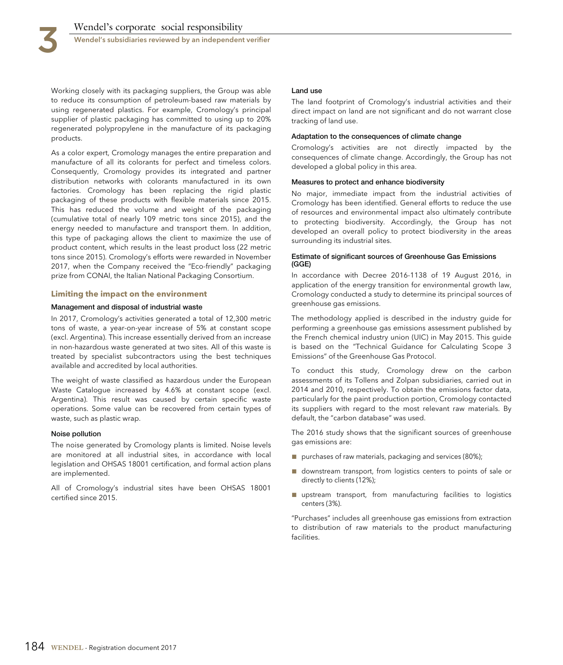

Working closely with its packaging suppliers, the Group was able to reduce its consumption of petroleum-based raw materials by using regenerated plastics. For example, Cromology's principal supplier of plastic packaging has committed to using up to 20% regenerated polypropylene in the manufacture of its packaging products.

As a color expert, Cromology manages the entire preparation and manufacture of all its colorants for perfect and timeless colors. Consequently, Cromology provides its integrated and partner distribution networks with colorants manufactured in its own factories. Cromology has been replacing the rigid plastic packaging of these products with flexible materials since 2015. This has reduced the volume and weight of the packaging (cumulative total of nearly 109 metric tons since 2015), and the energy needed to manufacture and transport them. In addition, this type of packaging allows the client to maximize the use of product content, which results in the least product loss (22 metric tons since 2015). Cromology's efforts were rewarded in November 2017, when the Company received the "Eco-friendly" packaging prize from CONAI, the Italian National Packaging Consortium.

#### **Limiting the impact on the environment**

#### **Management and disposal of industrial waste**

In 2017, Cromology's activities generated a total of 12,300 metric tons of waste, a year-on-year increase of 5% at constant scope (excl. Argentina). This increase essentially derived from an increase in non-hazardous waste generated at two sites. All of this waste is treated by specialist subcontractors using the best techniques available and accredited by local authorities.

The weight of waste classified as hazardous under the European Waste Catalogue increased by 4.6% at constant scope (excl. Argentina). This result was caused by certain specific waste operations. Some value can be recovered from certain types of waste, such as plastic wrap.

#### **Noise pollution**

The noise generated by Cromology plants is limited. Noise levels are monitored at all industrial sites, in accordance with local legislation and OHSAS 18001 certification, and formal action plans are implemented.

All of Cromology's industrial sites have been OHSAS 18001 certified since 2015.

#### **Land use**

The land footprint of Cromology's industrial activities and their direct impact on land are not significant and do not warrant close tracking of land use.

#### **Adaptation to the consequences of climate change**

Cromology's activities are not directly impacted by the consequences of climate change. Accordingly, the Group has not developed a global policy in this area.

#### **Measures to protect and enhance biodiversity**

No major, immediate impact from the industrial activities of Cromology has been identified. General efforts to reduce the use of resources and environmental impact also ultimately contribute to protecting biodiversity. Accordingly, the Group has not developed an overall policy to protect biodiversity in the areas surrounding its industrial sites.

#### **Estimate of significant sources of Greenhouse Gas Emissions (GGE)**

In accordance with Decree 2016-1138 of 19 August 2016, in application of the energy transition for environmental growth law, Cromology conducted a study to determine its principal sources of greenhouse gas emissions.

The methodology applied is described in the industry guide for performing a greenhouse gas emissions assessment published by the French chemical industry union (UIC) in May 2015. This guide is based on the "Technical Guidance for Calculating Scope 3 Emissions" of the Greenhouse Gas Protocol.

To conduct this study, Cromology drew on the carbon assessments of its Tollens and Zolpan subsidiaries, carried out in 2014 and 2010, respectively. To obtain the emissions factor data, particularly for the paint production portion, Cromology contacted its suppliers with regard to the most relevant raw materials. By default, the "carbon database" was used.

The 2016 study shows that the significant sources of greenhouse gas emissions are:

- purchases of raw materials, packaging and services (80%);
- downstream transport, from logistics centers to points of sale or directly to clients (12%);
- upstream transport, from manufacturing facilities to logistics centers (3%).

"Purchases" includes all greenhouse gas emissions from extraction to distribution of raw materials to the product manufacturing facilities.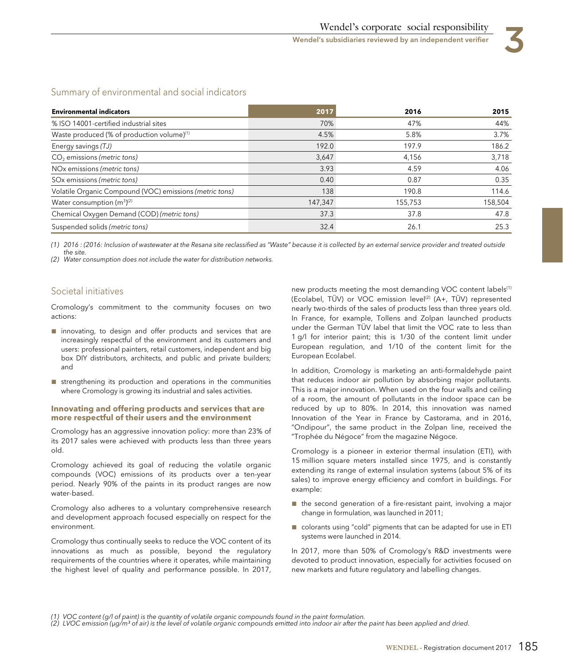

# Summary of environmental and social indicators

| <b>Environmental indicators</b>                         | 2017    | 2016    | 2015    |
|---------------------------------------------------------|---------|---------|---------|
| % ISO 14001-certified industrial sites                  | 70%     | 47%     | 44%     |
| Waste produced (% of production volume) <sup>(1)</sup>  | 4.5%    | 5.8%    | 3.7%    |
| Energy savings (TJ)                                     | 192.0   | 197.9   | 186.2   |
| $CO2$ emissions (metric tons)                           | 3,647   | 4.156   | 3,718   |
| NOx emissions (metric tons)                             | 3.93    | 4.59    | 4.06    |
| SO <sub>x</sub> emissions (metric tons)                 | 0.40    | 0.87    | 0.35    |
| Volatile Organic Compound (VOC) emissions (metric tons) | 138     | 190.8   | 114.6   |
| Water consumption $(m^3)^{(2)}$                         | 147,347 | 155,753 | 158,504 |
| Chemical Oxygen Demand (COD) (metric tons)              | 37.3    | 37.8    | 47.8    |
| Suspended solids (metric tons)                          | 32.4    | 26.1    | 25.3    |

(1) 2016 : (2016: Inclusion of wastewater at the Resana site reclassified as "Waste" because it is collected by an external service provider and treated outside the site.

(2) Water consumption does not include the water for distribution networks.

# Societal initiatives

Cromology's commitment to the community focuses on two actions:

- innovating, to design and offer products and services that are increasingly respectful of the environment and its customers and users: professional painters, retail customers, independent and big box DIY distributors, architects, and public and private builders; and
- strengthening its production and operations in the communities where Cromology is growing its industrial and sales activities.

#### **Innovating and offering products and services that are more respectful of their users and the environment**

Cromology has an aggressive innovation policy: more than 23% of its 2017 sales were achieved with products less than three years old.

Cromology achieved its goal of reducing the volatile organic compounds (VOC) emissions of its products over a ten-year period. Nearly 90% of the paints in its product ranges are now water-based.

Cromology also adheres to a voluntary comprehensive research and development approach focused especially on respect for the environment.

Cromology thus continually seeks to reduce the VOC content of its innovations as much as possible, beyond the regulatory requirements of the countries where it operates, while maintaining the highest level of quality and performance possible. In 2017, new products meeting the most demanding VOC content labels<sup>(1)</sup> (Ecolabel, TÜV) or VOC emission level<sup>(2)</sup> (A+, TÜV) represented nearly two-thirds of the sales of products less than three years old. In France, for example, Tollens and Zolpan launched products under the German TÜV label that limit the VOC rate to less than 1 g/l for interior paint; this is 1/30 of the content limit under European regulation, and 1/10 of the content limit for the European Ecolabel.

In addition, Cromology is marketing an anti-formaldehyde paint that reduces indoor air pollution by absorbing major pollutants. This is a major innovation. When used on the four walls and ceiling of a room, the amount of pollutants in the indoor space can be reduced by up to 80%. In 2014, this innovation was named Innovation of the Year in France by Castorama, and in 2016, "Ondipour", the same product in the Zolpan line, received the "Trophée du Négoce" from the magazine Négoce.

Cromology is a pioneer in exterior thermal insulation (ETI), with 15 million square meters installed since 1975, and is constantly extending its range of external insulation systems (about 5% of its sales) to improve energy efficiency and comfort in buildings. For example:

- the second generation of a fire-resistant paint, involving a major change in formulation, was launched in 2011;
- colorants using "cold" pigments that can be adapted for use in ETI systems were launched in 2014.

In 2017, more than 50% of Cromology's R&D investments were devoted to product innovation, especially for activities focused on new markets and future regulatory and labelling changes.

(2) LVOC emission (μg/m<sup>3</sup> of air) is the level of volatile organic compounds emitted into indoor air after the paint has been applied and dried.

<sup>(1)</sup> VOC content (g/l of paint) is the quantity of volatile organic compounds found in the paint formulation.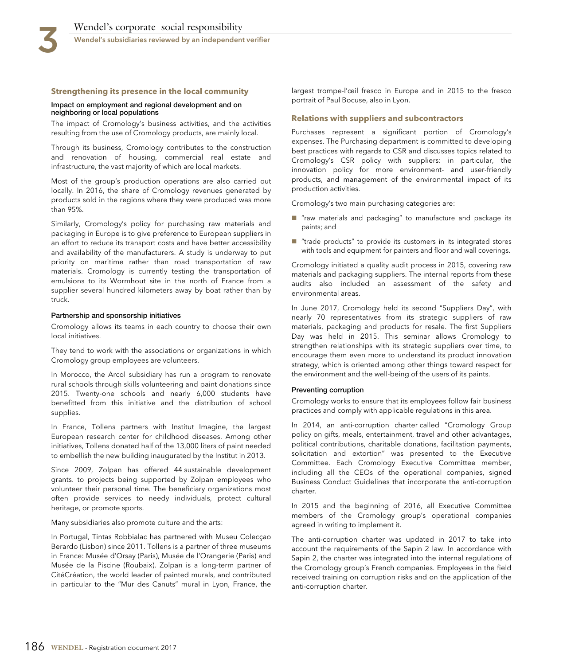#### **Strengthening its presence in the local community**

#### **Impact on employment and regional development and on neighboring or local populations**

The impact of Cromology's business activities, and the activities resulting from the use of Cromology products, are mainly local.

Through its business, Cromology contributes to the construction and renovation of housing, commercial real estate and infrastructure, the vast majority of which are local markets.

Most of the group's production operations are also carried out locally. In 2016, the share of Cromology revenues generated by products sold in the regions where they were produced was more than 95%.

Similarly, Cromology's policy for purchasing raw materials and packaging in Europe is to give preference to European suppliers in an effort to reduce its transport costs and have better accessibility and availability of the manufacturers. A study is underway to put priority on maritime rather than road transportation of raw materials. Cromology is currently testing the transportation of emulsions to its Wormhout site in the north of France from a supplier several hundred kilometers away by boat rather than by truck.

#### **Partnership and sponsorship initiatives**

Cromology allows its teams in each country to choose their own local initiatives.

They tend to work with the associations or organizations in which Cromology group employees are volunteers.

In Morocco, the Arcol subsidiary has run a program to renovate rural schools through skills volunteering and paint donations since 2015. Twenty-one schools and nearly 6,000 students have benefitted from this initiative and the distribution of school supplies.

In France, Tollens partners with Institut Imagine, the largest European research center for childhood diseases. Among other initiatives, Tollens donated half of the 13,000 liters of paint needed to embellish the new building inaugurated by the Institut in 2013.

Since 2009, Zolpan has offered 44 sustainable development grants. to projects being supported by Zolpan employees who volunteer their personal time. The beneficiary organizations most often provide services to needy individuals, protect cultural heritage, or promote sports.

Many subsidiaries also promote culture and the arts:

In Portugal, Tintas Robbialac has partnered with Museu Colecçao Berardo (Lisbon) since 2011. Tollens is a partner of three museums in France: Musée d'Orsay (Paris), Musée de l'Orangerie (Paris) and Musée de la Piscine (Roubaix). Zolpan is a long-term partner of CitéCréation, the world leader of painted murals, and contributed in particular to the "Mur des Canuts" mural in Lyon, France, the largest trompe-l'œil fresco in Europe and in 2015 to the fresco portrait of Paul Bocuse, also in Lyon.

#### **Relations with suppliers and subcontractors**

Purchases represent a significant portion of Cromology's expenses. The Purchasing department is committed to developing best practices with regards to CSR and discusses topics related to Cromology's CSR policy with suppliers: in particular, the innovation policy for more environment- and user-friendly products, and management of the environmental impact of its production activities.

Cromology's two main purchasing categories are:

- "raw materials and packaging" to manufacture and package its paints; and
- "trade products" to provide its customers in its integrated stores with tools and equipment for painters and floor and wall coverings.

Cromology initiated a quality audit process in 2015, covering raw materials and packaging suppliers. The internal reports from these audits also included an assessment of the safety and environmental areas.

In June 2017, Cromology held its second "Suppliers Day", with nearly 70 representatives from its strategic suppliers of raw materials, packaging and products for resale. The first Suppliers Day was held in 2015. This seminar allows Cromology to strengthen relationships with its strategic suppliers over time, to encourage them even more to understand its product innovation strategy, which is oriented among other things toward respect for the environment and the well-being of the users of its paints.

#### **Preventing corruption**

Cromology works to ensure that its employees follow fair business practices and comply with applicable regulations in this area.

In 2014, an anti-corruption charter called "Cromology Group policy on gifts, meals, entertainment, travel and other advantages, political contributions, charitable donations, facilitation payments, solicitation and extortion" was presented to the Executive Committee. Each Cromology Executive Committee member, including all the CEOs of the operational companies, signed Business Conduct Guidelines that incorporate the anti-corruption charter.

In 2015 and the beginning of 2016, all Executive Committee members of the Cromology group's operational companies agreed in writing to implement it.

The anti-corruption charter was updated in 2017 to take into account the requirements of the Sapin 2 law. In accordance with Sapin 2, the charter was integrated into the internal regulations of the Cromology group's French companies. Employees in the field received training on corruption risks and on the application of the anti-corruption charter.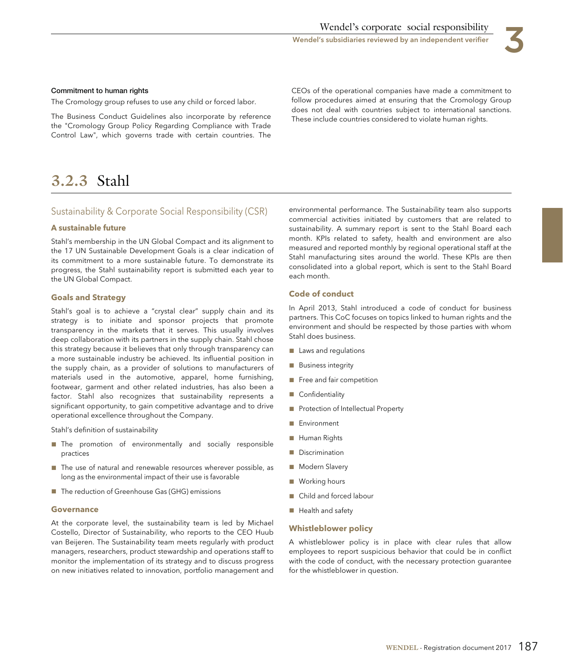

#### **Commitment to human rights**

The Cromology group refuses to use any child or forced labor.

Control Law", which governs trade with certain countries. The

CEOs of the operational companies have made a commitment to follow procedures aimed at ensuring that the Cromology Group The Business Conduct Guidelines also incorporate by reference<br>the "Cromology Group Policy Regarding Compliance with Trade<br>the "Cromology Group Policy Regarding Compliance with Trade

# **3.2.3** Stahl

# Sustainability & Corporate Social Responsibility (CSR)

#### **A sustainable future**

Stahl's membership in the UN Global Compact and its alignment to the 17 UN Sustainable Development Goals is a clear indication of its commitment to a more sustainable future. To demonstrate its progress, the Stahl sustainability report is submitted each year to the UN Global Compact.

#### **Goals and Strategy**

Stahl's goal is to achieve a "crystal clear" supply chain and its strategy is to initiate and sponsor projects that promote transparency in the markets that it serves. This usually involves deep collaboration with its partners in the supply chain. Stahl chose this strategy because it believes that only through transparency can a more sustainable industry be achieved. Its influential position in the supply chain, as a provider of solutions to manufacturers of materials used in the automotive, apparel, home furnishing, footwear, garment and other related industries, has also been a factor. Stahl also recognizes that sustainability represents a significant opportunity, to gain competitive advantage and to drive operational excellence throughout the Company.

Stahl's definition of sustainability

- The promotion of environmentally and socially responsible practices
- The use of natural and renewable resources wherever possible, as long as the environmental impact of their use is favorable
- The reduction of Greenhouse Gas (GHG) emissions

#### **Governance**

At the corporate level, the sustainability team is led by Michael Costello, Director of Sustainability, who reports to the CEO Huub van Beijeren. The Sustainability team meets regularly with product managers, researchers, product stewardship and operations staff to monitor the implementation of its strategy and to discuss progress on new initiatives related to innovation, portfolio management and environmental performance. The Sustainability team also supports commercial activities initiated by customers that are related to sustainability. A summary report is sent to the Stahl Board each month. KPIs related to safety, health and environment are also measured and reported monthly by regional operational staff at the Stahl manufacturing sites around the world. These KPIs are then consolidated into a global report, which is sent to the Stahl Board each month.

#### **Code of conduct**

In April 2013, Stahl introduced a code of conduct for business partners. This CoC focuses on topics linked to human rights and the environment and should be respected by those parties with whom Stahl does business.

- Laws and regulations
- Business integrity
- Free and fair competition
- Confidentiality
- Protection of Intellectual Property
- Environment
- Human Rights
- Discrimination
- Modern Slavery
- Working hours
- Child and forced labour
- Health and safety

#### **Whistleblower policy**

A whistleblower policy is in place with clear rules that allow employees to report suspicious behavior that could be in conflict with the code of conduct, with the necessary protection guarantee for the whistleblower in question.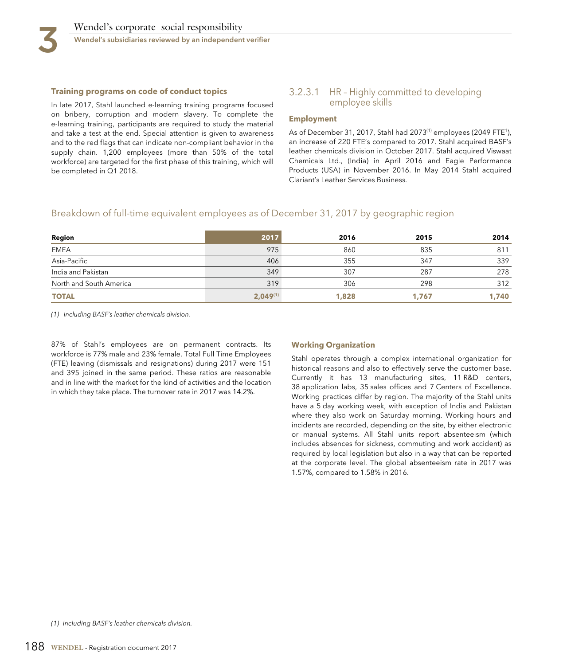

#### **Training programs on code of conduct topics**

In late 2017, Stahl launched e-learning training programs focused on bribery, corruption and modern slavery. To complete the e-learning training, participants are required to study the material and take a test at the end. Special attention is given to awareness and to the red flags that can indicate non-compliant behavior in the supply chain. 1,200 employees (more than 50% of the total workforce) are targeted for the first phase of this training, which will be completed in Q1 2018.

### 3.2.3.1 HR – Highly committed to developing employee skills

#### **Employment**

As of December 31, 2017, Stahl had 2073<sup>(1)</sup> employees (2049 FTE<sup>1</sup>), an increase of 220 FTE's compared to 2017. Stahl acquired BASF's leather chemicals division in October 2017. Stahl acquired Viswaat Chemicals Ltd., (India) in April 2016 and Eagle Performance Products (USA) in November 2016. In May 2014 Stahl acquired Clariant's Leather Services Business.

# Breakdown of full-time equivalent employees as of December 31, 2017 by geographic region

| Region                  | 2017          | 2016  | 2015  | 2014  |
|-------------------------|---------------|-------|-------|-------|
| <b>EMEA</b>             | 975           | 860   | 835   | 811   |
| Asia-Pacific            | 406           | 355   | 347   | 339   |
| India and Pakistan      | 349           | 307   | 287   | 278   |
| North and South America | 319           | 306   | 298   | 312   |
| <b>TOTAL</b>            | $2,049^{(1)}$ | 1,828 | 1,767 | 1,740 |

(1) Including BASF's leather chemicals division.

87% of Stahl's employees are on permanent contracts. Its workforce is 77% male and 23% female. Total Full Time Employees (FTE) leaving (dismissals and resignations) during 2017 were 151 and 395 joined in the same period. These ratios are reasonable and in line with the market for the kind of activities and the location in which they take place. The turnover rate in 2017 was 14.2%.

#### **Working Organization**

Stahl operates through a complex international organization for historical reasons and also to effectively serve the customer base. Currently it has 13 manufacturing sites, 11 R&D centers, 38 application labs, 35 sales offices and 7 Centers of Excellence. Working practices differ by region. The majority of the Stahl units have a 5 day working week, with exception of India and Pakistan where they also work on Saturday morning. Working hours and incidents are recorded, depending on the site, by either electronic or manual systems. All Stahl units report absenteeism (which includes absences for sickness, commuting and work accident) as required by local legislation but also in a way that can be reported at the corporate level. The global absenteeism rate in 2017 was 1.57%, compared to 1.58% in 2016.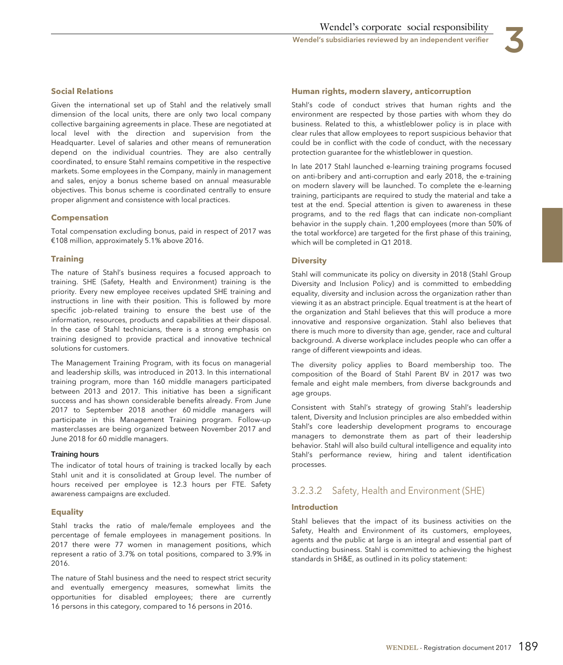

# **Social Relations**

Given the international set up of Stahl and the relatively small dimension of the local units, there are only two local company collective bargaining agreements in place. These are negotiated at local level with the direction and supervision from the Headquarter. Level of salaries and other means of remuneration depend on the individual countries. They are also centrally coordinated, to ensure Stahl remains competitive in the respective markets. Some employees in the Company, mainly in management and sales, enjoy a bonus scheme based on annual measurable objectives. This bonus scheme is coordinated centrally to ensure proper alignment and consistence with local practices.

# **Compensation**

Total compensation excluding bonus, paid in respect of 2017 was €108 million, approximately 5.1% above 2016.

#### **Training**

The nature of Stahl's business requires a focused approach to training. SHE (Safety, Health and Environment) training is the priority. Every new employee receives updated SHE training and instructions in line with their position. This is followed by more specific job-related training to ensure the best use of the information, resources, products and capabilities at their disposal. In the case of Stahl technicians, there is a strong emphasis on training designed to provide practical and innovative technical solutions for customers.

The Management Training Program, with its focus on managerial and leadership skills, was introduced in 2013. In this international training program, more than 160 middle managers participated between 2013 and 2017. This initiative has been a significant success and has shown considerable benefits already. From June 2017 to September 2018 another 60 middle managers will participate in this Management Training program. Follow-up masterclasses are being organized between November 2017 and June 2018 for 60 middle managers.

#### **Training hours**

The indicator of total hours of training is tracked locally by each Stahl unit and it is consolidated at Group level. The number of hours received per employee is 12.3 hours per FTE. Safety awareness campaigns are excluded.

#### **Equality**

Stahl tracks the ratio of male/female employees and the percentage of female employees in management positions. In 2017 there were 77 women in management positions, which represent a ratio of 3.7% on total positions, compared to 3.9% in 2016.

The nature of Stahl business and the need to respect strict security and eventually emergency measures, somewhat limits the opportunities for disabled employees; there are currently 16 persons in this category, compared to 16 persons in 2016.

### **Human rights, modern slavery, anticorruption**

Stahl's code of conduct strives that human rights and the environment are respected by those parties with whom they do business. Related to this, a whistleblower policy is in place with clear rules that allow employees to report suspicious behavior that could be in conflict with the code of conduct, with the necessary protection guarantee for the whistleblower in question.

In late 2017 Stahl launched e-learning training programs focused on anti-bribery and anti-corruption and early 2018, the e-training on modern slavery will be launched. To complete the e-learning training, participants are required to study the material and take a test at the end. Special attention is given to awareness in these programs, and to the red flags that can indicate non-compliant behavior in the supply chain. 1,200 employees (more than 50% of the total workforce) are targeted for the first phase of this training, which will be completed in Q1 2018.

## **Diversity**

Stahl will communicate its policy on diversity in 2018 (Stahl Group Diversity and Inclusion Policy) and is committed to embedding equality, diversity and inclusion across the organization rather than viewing it as an abstract principle. Equal treatment is at the heart of the organization and Stahl believes that this will produce a more innovative and responsive organization. Stahl also believes that there is much more to diversity than age, gender, race and cultural background. A diverse workplace includes people who can offer a range of different viewpoints and ideas.

The diversity policy applies to Board membership too. The composition of the Board of Stahl Parent BV in 2017 was two female and eight male members, from diverse backgrounds and age groups.

Consistent with Stahl's strategy of growing Stahl's leadership talent, Diversity and Inclusion principles are also embedded within Stahl's core leadership development programs to encourage managers to demonstrate them as part of their leadership behavior. Stahl will also build cultural intelligence and equality into Stahl's performance review, hiring and talent identification processes.

# 3.2.3.2 Safety, Health and Environment (SHE)

#### **Introduction**

Stahl believes that the impact of its business activities on the Safety, Health and Environment of its customers, employees, agents and the public at large is an integral and essential part of conducting business. Stahl is committed to achieving the highest standards in SH&E, as outlined in its policy statement: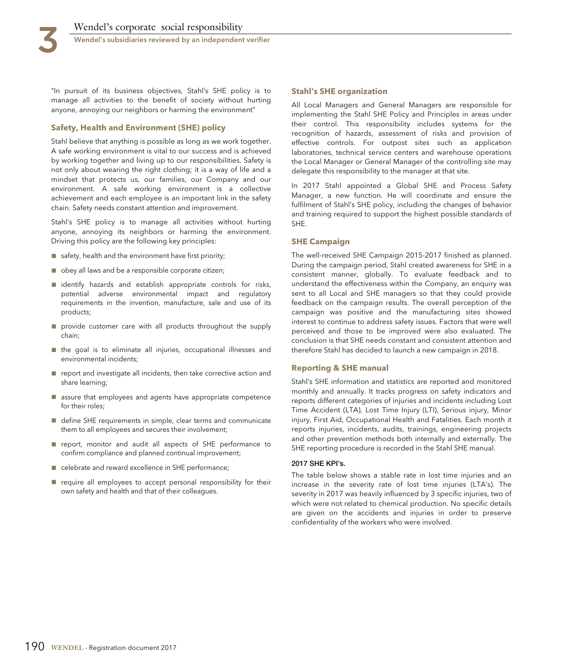"In pursuit of its business objectives, Stahl's SHE policy is to manage all activities to the benefit of society without hurting anyone, annoying our neighbors or harming the environment"

### **Safety, Health and Environment (SHE) policy**

Stahl believe that anything is possible as long as we work together. A safe working environment is vital to our success and is achieved by working together and living up to our responsibilities. Safety is not only about wearing the right clothing; it is a way of life and a mindset that protects us, our families, our Company and our environment. A safe working environment is a collective achievement and each employee is an important link in the safety chain. Safety needs constant attention and improvement.

Stahl's SHE policy is to manage all activities without hurting anyone, annoying its neighbors or harming the environment. Driving this policy are the following key principles:

- safety, health and the environment have first priority;
- obey all laws and be a responsible corporate citizen;
- identify hazards and establish appropriate controls for risks, potential adverse environmental impact and regulatory requirements in the invention, manufacture, sale and use of its products;
- provide customer care with all products throughout the supply chain;
- the goal is to eliminate all injuries, occupational illnesses and environmental incidents;
- report and investigate all incidents, then take corrective action and share learning;
- assure that employees and agents have appropriate competence for their roles;
- define SHE requirements in simple, clear terms and communicate them to all employees and secures their involvement;
- report, monitor and audit all aspects of SHE performance to confirm compliance and planned continual improvement;
- celebrate and reward excellence in SHE performance;
- require all employees to accept personal responsibility for their own safety and health and that of their colleagues.

#### **Stahl's SHE organization**

All Local Managers and General Managers are responsible for implementing the Stahl SHE Policy and Principles in areas under their control. This responsibility includes systems for the recognition of hazards, assessment of risks and provision of effective controls. For outpost sites such as application laboratories, technical service centers and warehouse operations the Local Manager or General Manager of the controlling site may delegate this responsibility to the manager at that site.

In 2017 Stahl appointed a Global SHE and Process Safety Manager, a new function. He will coordinate and ensure the fulfilment of Stahl's SHE policy, including the changes of behavior and training required to support the highest possible standards of SHE.

#### **SHE Campaign**

The well-received SHE Campaign 2015-2017 finished as planned. During the campaign period, Stahl created awareness for SHE in a consistent manner, globally. To evaluate feedback and to understand the effectiveness within the Company, an enquiry was sent to all Local and SHE managers so that they could provide feedback on the campaign results. The overall perception of the campaign was positive and the manufacturing sites showed interest to continue to address safety issues. Factors that were well perceived and those to be improved were also evaluated. The conclusion is that SHE needs constant and consistent attention and therefore Stahl has decided to launch a new campaign in 2018.

#### **Reporting & SHE manual**

Stahl's SHE information and statistics are reported and monitored monthly and annually. It tracks progress on safety indicators and reports different categories of injuries and incidents including Lost Time Accident (LTA), Lost Time Injury (LTI), Serious injury, Minor injury, First Aid, Occupational Health and Fatalities. Each month it reports injuries, incidents, audits, trainings, engineering projects and other prevention methods both internally and externally. The SHE reporting procedure is recorded in the Stahl SHE manual.

#### **2017 SHE KPI's.**

The table below shows a stable rate in lost time injuries and an increase in the severity rate of lost time injuries (LTA's). The severity in 2017 was heavily influenced by 3 specific injuries, two of which were not related to chemical production. No specific details are given on the accidents and injuries in order to preserve confidentiality of the workers who were involved.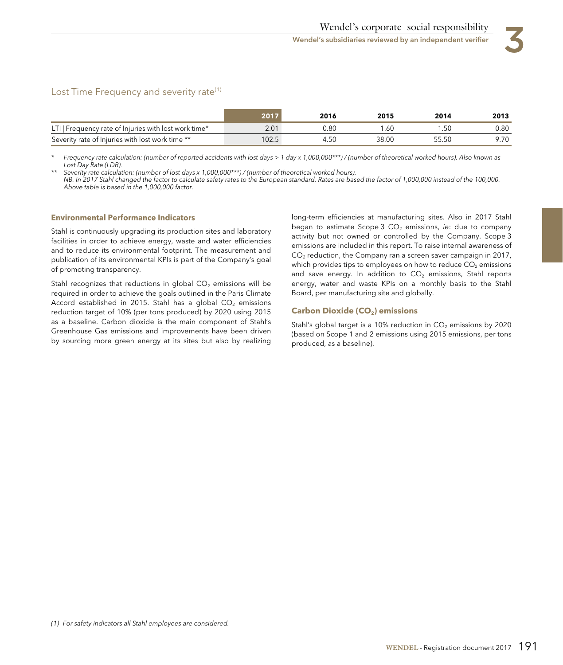# Lost Time Frequency and severity rate<sup>(1)</sup>

|                                                     | : 201 | 2016 | 2015  | 2014  | 2013 |
|-----------------------------------------------------|-------|------|-------|-------|------|
| LTI Frequency rate of Injuries with lost work time* | 2.01  | 0.80 |       | .50   | 0.80 |
| Severity rate of Injuries with lost work time **    | 102.5 | 4.50 | 38.OC | 55.50 |      |

Frequency rate calculation: (number of reported accidents with lost days > 1 day x 1,000,000\*\*\*) / (number of theoretical worked hours). Also known as Lost Day Rate (LDR).

Severity rate calculation: (number of lost days x 1,000,000\*\*\*) / (number of theoretical worked hours). NB. In 2017 Stahl changed the factor to calculate safety rates to the European standard. Rates are based the factor of 1,000,000 instead of the 100,000. Above table is based in the 1,000,000 factor.

#### **Environmental Performance Indicators**

Stahl is continuously upgrading its production sites and laboratory facilities in order to achieve energy, waste and water efficiencies and to reduce its environmental footprint. The measurement and publication of its environmental KPIs is part of the Company's goal of promoting transparency.

required in order to achieve the goals outlined in the Paris Climate Board, per manufacturing site and globally. Accord established in 2015. Stahl has a global  $CO<sub>2</sub>$  emissions reduction target of 10% (per tons produced) by 2020 using 2015 as a baseline. Carbon dioxide is the main component of Stahl's Greenhouse Gas emissions and improvements have been driven by sourcing more green energy at its sites but also by realizing

long-term efficiencies at manufacturing sites. Also in 2017 Stahl began to estimate Scope 3  $CO<sub>2</sub>$  emissions, ie: due to company activity but not owned or controlled by the Company. Scope 3 emissions are included in this report. To raise internal awareness of  $CO<sub>2</sub>$  reduction, the Company ran a screen saver campaign in 2017, which provides tips to employees on how to reduce  $CO<sub>2</sub>$  emissions and save energy. In addition to  $CO<sub>2</sub>$  emissions, Stahl reports Stahl recognizes that reductions in global  $CO<sub>2</sub>$  emissions will be energy, water and waste KPIs on a monthly basis to the Stahl

#### **Carbon Dioxide (CO<sub>2</sub>) emissions**

Stahl's global target is a 10% reduction in  $CO<sub>2</sub>$  emissions by 2020 (based on Scope 1 and 2 emissions using 2015 emissions, per tons produced, as a baseline).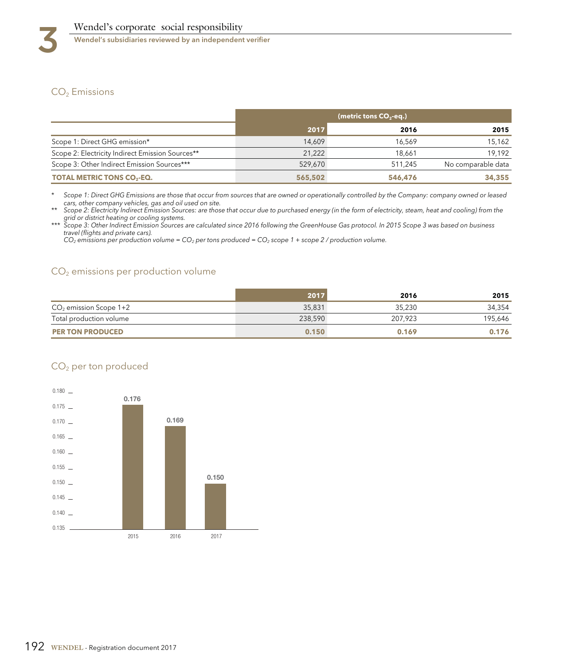# CO<sub>2</sub> Emissions

|                                                  | (metric tons $CO2$ -eq.) |         |                    |
|--------------------------------------------------|--------------------------|---------|--------------------|
|                                                  | 2017                     | 2016    | 2015               |
| Scope 1: Direct GHG emission*                    | 14.609                   | 16.569  | 15,162             |
| Scope 2: Electricity Indirect Emission Sources** | 21.222                   | 18.661  | 19.192             |
| Scope 3: Other Indirect Emission Sources***      | 529,670                  | 511.245 | No comparable data |
| <b>TOTAL METRIC TONS CO<sub>2</sub>-EQ.</b>      | 565,502                  | 546,476 | 34,355             |

Scope 1: Direct GHG Emissions are those that occur from sources that are owned or operationally controlled by the Company: company owned or leased

cars, other company vehicles, gas and oil used on site. \*\* Scope 2: Electricity Indirect Emission Sources: are those that occur due to purchased energy (in the form of electricity, steam, heat and cooling) from the

grid or district heating or cooling systems.<br>\*\*\* Scope 3: Other Indirect Emission Sources are calculated since 2016 following the GreenHouse Gas protocol. In 2015 Scope 3 was based on business travel (flights and private cars).

CO<sub>2</sub> emissions per production volume = CO<sub>2</sub> per tons produced = CO<sub>2</sub> scope 1 + scope 2 / production volume.

# $CO<sub>2</sub>$  emissions per production volume

|                          | 2017    | 2016    | 2015    |
|--------------------------|---------|---------|---------|
| $CO2$ emission Scope 1+2 | 35,831  | 35,230  | 34,354  |
| Total production volume  | 238,590 | 207.923 | 195,646 |
| <b>PER TON PRODUCED</b>  | 0.150   | 0.169   | 0.176   |

# CO2 per ton produced

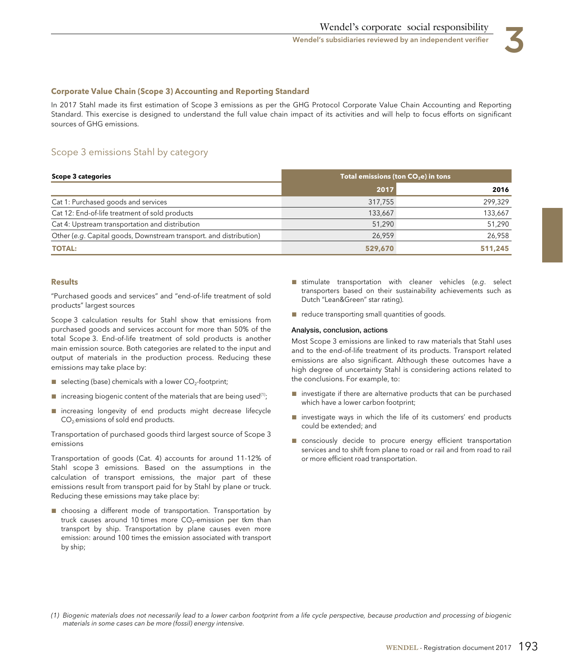#### **Corporate Value Chain (Scope 3) Accounting and Reporting Standard**

In 2017 Stahl made its first estimation of Scope 3 emissions as per the GHG Protocol Corporate Value Chain Accounting and Reporting Standard. This exercise is designed to understand the full value chain impact of its activities and will help to focus efforts on significant sources of GHG emissions.

# Scope 3 emissions Stahl by category

| <b>Scope 3 categories</b>                                          | Total emissions (ton $CO2e$ ) in tons |         |  |
|--------------------------------------------------------------------|---------------------------------------|---------|--|
|                                                                    | 2017                                  | 2016    |  |
| Cat 1: Purchased goods and services                                | 317,755                               | 299,329 |  |
| Cat 12: End-of-life treatment of sold products                     | 133,667                               | 133,667 |  |
| Cat 4: Upstream transportation and distribution                    | 51,290                                | 51,290  |  |
| Other (e.g. Capital goods, Downstream transport. and distribution) | 26.959                                | 26,958  |  |
| <b>TOTAL:</b>                                                      | 529,670                               | 511,245 |  |

#### **Results**

"Purchased goods and services" and "end-of-life treatment of sold products" largest sources

Scope 3 calculation results for Stahl show that emissions from purchased goods and services account for more than 50% of the total Scope 3. End-of-life treatment of sold products is another main emission source. Both categories are related to the input and output of materials in the production process. Reducing these emissions may take place by:

- $\blacksquare$  selecting (base) chemicals with a lower  $CO_2$ -footprint;
- $\blacksquare$  increasing biogenic content of the materials that are being used<sup>(1)</sup>;
- increasing longevity of end products might decrease lifecycle CO2-emissions of sold end products.

Transportation of purchased goods third largest source of Scope 3 emissions

Transportation of goods (Cat. 4) accounts for around 11-12% of Stahl scope 3 emissions. Based on the assumptions in the calculation of transport emissions, the major part of these emissions result from transport paid for by Stahl by plane or truck. Reducing these emissions may take place by:

■ choosing a different mode of transportation. Transportation by truck causes around 10 times more  $CO<sub>2</sub>$ -emission per tkm than transport by ship. Transportation by plane causes even more emission: around 100 times the emission associated with transport by ship;

- stimulate transportation with cleaner vehicles (e.g. select transporters based on their sustainability achievements such as Dutch "Lean&Green" star rating).
- reduce transporting small quantities of goods.

#### **Analysis, conclusion, actions**

Most Scope 3 emissions are linked to raw materials that Stahl uses and to the end-of-life treatment of its products. Transport related emissions are also significant. Although these outcomes have a high degree of uncertainty Stahl is considering actions related to the conclusions. For example, to:

- investigate if there are alternative products that can be purchased which have a lower carbon footprint;
- investigate ways in which the life of its customers' end products could be extended; and
- consciously decide to procure energy efficient transportation services and to shift from plane to road or rail and from road to rail or more efficient road transportation.

<sup>(1)</sup> Biogenic materials does not necessarily lead to a lower carbon footprint from a life cycle perspective, because production and processing of biogenic materials in some cases can be more (fossil) energy intensive.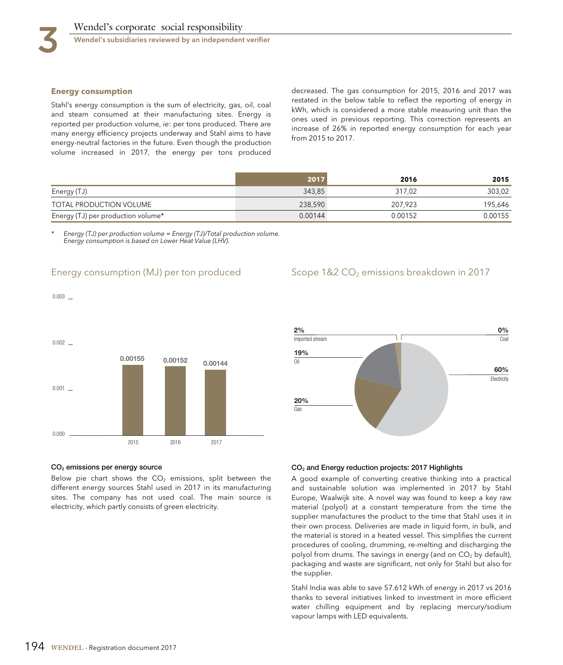$0.003$   $-$ 

Stahl's energy consumption is the sum of electricity, gas, oil, coal<br>and steam consumed at their manufacturing sites. Energy is<br>reported per production volume, *i*e: per tons produced. There are<br>many energy efficiency proj volume increased in 2017, the energy per tons produced

**Energy consumption**<br>**Energy consumption**<br>**Energy consumption** and *interviewed* in the below table to reflect the reporting of energy in

|                                    | 2017    | 2016    | 2015    |
|------------------------------------|---------|---------|---------|
| Energy (TJ)                        | 343.85  | 317.02  | 303,02  |
| TOTAL PRODUCTION VOLUME            | 238,590 | 207.923 | 195,646 |
| Energy (TJ) per production volume* | 0.00144 | 0.00152 | 0.00155 |

Energy (TJ) per production volume = Energy (TJ)/Total production volume. Energy consumption is based on Lower Heat Value (LHV).

# Energy consumption (MJ) per ton produced

# Scope 1&2 CO<sub>2</sub> emissions breakdown in 2017





#### **CO2 emissions per energy source**

Below pie chart shows the  $CO<sub>2</sub>$  emissions, split between the different energy sources Stahl used in 2017 in its manufacturing sites. The company has not used coal. The main source is electricity, which partly consists of green electricity.

#### **CO2 and Energy reduction projects: 2017 Highlights**

A good example of converting creative thinking into a practical and sustainable solution was implemented in 2017 by Stahl Europe, Waalwijk site. A novel way was found to keep a key raw material (polyol) at a constant temperature from the time the supplier manufactures the product to the time that Stahl uses it in their own process. Deliveries are made in liquid form, in bulk, and the material is stored in a heated vessel. This simplifies the current procedures of cooling, drumming, re-melting and discharging the polyol from drums. The savings in energy (and on  $CO<sub>2</sub>$  by default), packaging and waste are significant, not only for Stahl but also for the supplier.

Stahl India was able to save 57.612 kWh of energy in 2017 vs 2016 thanks to several initiatives linked to investment in more efficient water chilling equipment and by replacing mercury/sodium vapour lamps with LED equivalents.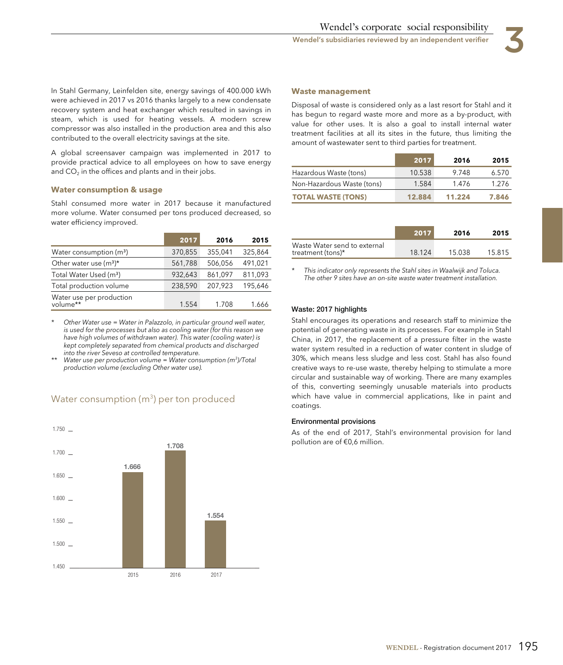In Stahl Germany, Leinfelden site, energy savings of 400.000 kWh were achieved in 2017 vs 2016 thanks largely to a new condensate recovery system and heat exchanger which resulted in savings in steam, which is used for heating vessels. A modern screw compressor was also installed in the production area and this also contributed to the overall electricity savings at the site.

A global screensaver campaign was implemented in 2017 to provide practical advice to all employees on how to save energy and  $CO<sub>2</sub>$  in the offices and plants and in their jobs.

### **Water consumption & usage**

Stahl consumed more water in 2017 because it manufactured more volume. Water consumed per tons produced decreased, so water efficiency improved.

|                                      | 2017    | 2016    | 2015    |
|--------------------------------------|---------|---------|---------|
| Water consumption $(m3)$             | 370,855 | 355,041 | 325,864 |
| Other water use $(m^3)^*$            | 561,788 | 506,056 | 491,021 |
| Total Water Used (m <sup>3</sup> )   | 932.643 | 861,097 | 811,093 |
| Total production volume              | 238,590 | 207,923 | 195,646 |
| Water use per production<br>volume** | 1.554   | 1.708   | 1.666   |

Other Water use = Water in Palazzolo, in particular ground well water, is used for the processes but also as cooling water (for this reason we have high volumes of withdrawn water). This water (cooling water) is kept completely separated from chemical products and discharged into the river Seveso at controlled temperature.

Water use per production volume = Water consumption ( $m^3$ )/Total production volume (excluding Other water use).



# Water consumption (m $^3$ ) per ton produced

#### **Waste management**

Disposal of waste is considered only as a last resort for Stahl and it has begun to regard waste more and more as a by-product, with value for other uses. It is also a goal to install internal water treatment facilities at all its sites in the future, thus limiting the amount of wastewater sent to third parties for treatment.

|                            | 2017   | 2016   | 2015  |
|----------------------------|--------|--------|-------|
| Hazardous Waste (tons)     | 10.538 | 9.748  | 6.570 |
| Non-Hazardous Waste (tons) | 1.584  | 1.476  | 1.276 |
| <b>TOTAL WASTE (TONS)</b>  | 12.884 | 11.224 | 7.846 |

|                                                   | 2017   | 2016   | 2015   |
|---------------------------------------------------|--------|--------|--------|
| Waste Water send to external<br>treatment (tons)* | 18.124 | 15 038 | 15.815 |

This indicator only represents the Stahl sites in Waalwijk and Toluca. The other 9 sites have an on-site waste water treatment installation.

#### **Waste: 2017 highlights**

Stahl encourages its operations and research staff to minimize the potential of generating waste in its processes. For example in Stahl China, in 2017, the replacement of a pressure filter in the waste water system resulted in a reduction of water content in sludge of 30%, which means less sludge and less cost. Stahl has also found creative ways to re-use waste, thereby helping to stimulate a more circular and sustainable way of working. There are many examples of this, converting seemingly unusable materials into products which have value in commercial applications, like in paint and coatings.

#### **Environmental provisions**

As of the end of 2017, Stahl's environmental provision for land pollution are of €0,6 million.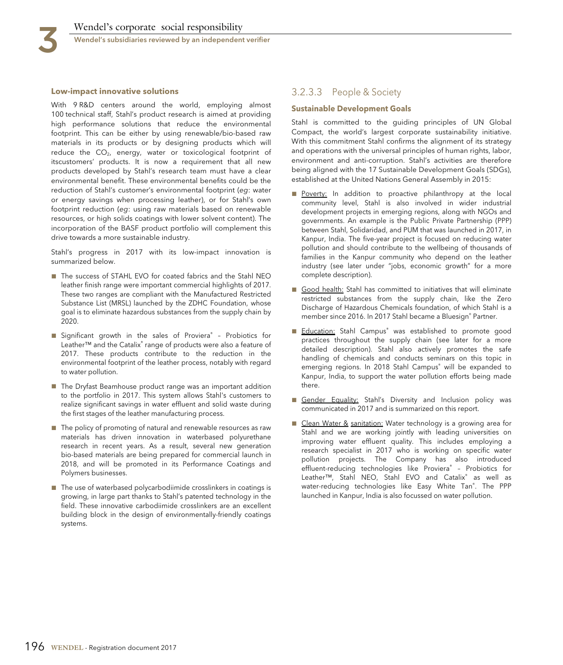

#### **Low-impact innovative solutions**

With 9 R&D centers around the world, employing almost 100 technical staff, Stahl's product research is aimed at providing high performance solutions that reduce the environmental footprint. This can be either by using renewable/bio-based raw materials in its products or by designing products which will reduce the  $CO<sub>2</sub>$ , energy, water or toxicological footprint of itscustomers' products. It is now a requirement that all new products developed by Stahl's research team must have a clear environmental benefit. These environmental benefits could be the reduction of Stahl's customer's environmental footprint (eg: water or energy savings when processing leather), or for Stahl's own footprint reduction (eg: using raw materials based on renewable resources, or high solids coatings with lower solvent content). The incorporation of the BASF product portfolio will complement this drive towards a more sustainable industry.

Stahl's progress in 2017 with its low-impact innovation is summarized below.

- The success of STAHL EVO for coated fabrics and the Stahl NEO leather finish range were important commercial highlights of 2017. These two ranges are compliant with the Manufactured Restricted Substance List (MRSL) launched by the ZDHC Foundation, whose goal is to eliminate hazardous substances from the supply chain by 2020.
- Significant growth in the sales of Proviera® Probiotics for Leather™ and the Catalix® range of products were also a feature of 2017. These products contribute to the reduction in the environmental footprint of the leather process, notably with regard to water pollution.
- The Dryfast Beamhouse product range was an important addition to the portfolio in 2017. This system allows Stahl's customers to realize significant savings in water effluent and solid waste during the first stages of the leather manufacturing process.
- The policy of promoting of natural and renewable resources as raw materials has driven innovation in waterbased polyurethane research in recent years. As a result, several new generation bio-based materials are being prepared for commercial launch in 2018, and will be promoted in its Performance Coatings and Polymers businesses.
- The use of waterbased polycarbodiimide crosslinkers in coatings is growing, in large part thanks to Stahl's patented technology in the field. These innovative carbodiimide crosslinkers are an excellent building block in the design of environmentally-friendly coatings systems.

# 3.2.3.3 People & Society

#### **Sustainable Development Goals**

Stahl is committed to the guiding principles of UN Global Compact, the world's largest corporate sustainability initiative. With this commitment Stahl confirms the alignment of its strategy and operations with the universal principles of human rights, labor, environment and anti-corruption. Stahl's activities are therefore being aligned with the 17 Sustainable Development Goals (SDGs), established at the United Nations General Assembly in 2015:

- Poverty: In addition to proactive philanthropy at the local community level, Stahl is also involved in wider industrial development projects in emerging regions, along with NGOs and governments. An example is the Public Private Partnership (PPP) between Stahl, Solidaridad, and PUM that was launched in 2017, in Kanpur, India. The five-year project is focused on reducing water pollution and should contribute to the wellbeing of thousands of families in the Kanpur community who depend on the leather industry (see later under "jobs, economic growth" for a more complete description).
- Good health: Stahl has committed to initiatives that will eliminate restricted substances from the supply chain, like the Zero Discharge of Hazardous Chemicals foundation, of which Stahl is a member since 2016. In 2017 Stahl became a Bluesign® Partner.
- Education: Stahl Campus<sup>®</sup> was established to promote good practices throughout the supply chain (see later for a more detailed description). Stahl also actively promotes the safe handling of chemicals and conducts seminars on this topic in emerging regions. In 2018 Stahl Campus® will be expanded to Kanpur, India, to support the water pollution efforts being made there.
- Gender Equality: Stahl's Diversity and Inclusion policy was communicated in 2017 and is summarized on this report.
- Clean Water & sanitation: Water technology is a growing area for Stahl and we are working jointly with leading universities on improving water effluent quality. This includes employing a research specialist in 2017 who is working on specific water pollution projects. The Company has also introduced effluent-reducing technologies like Proviera® – Probiotics for Leather™, Stahl NEO, Stahl EVO and Catalix® as well as water-reducing technologies like Easy White Tan® . The PPP launched in Kanpur, India is also focussed on water pollution.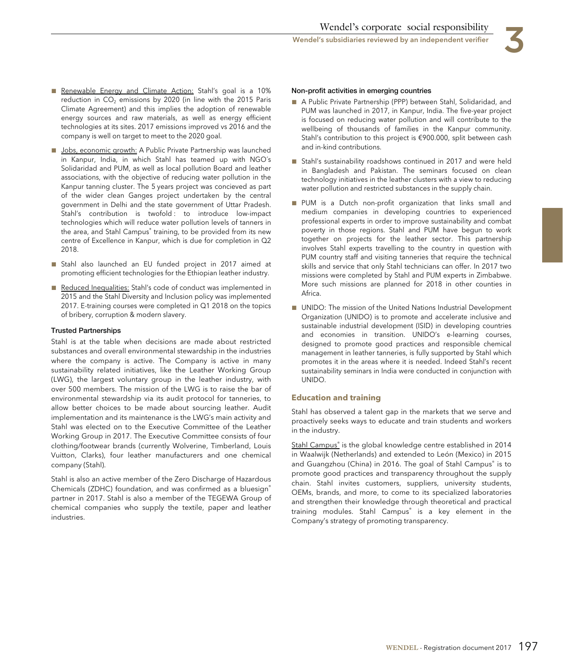

- Renewable Energy and Climate Action: Stahl's goal is a 10% reduction in  $CO<sub>2</sub>$  emissions by 2020 (in line with the 2015 Paris Climate Agreement) and this implies the adoption of renewable energy sources and raw materials, as well as energy efficient technologies at its sites. 2017 emissions improved vs 2016 and the company is well on target to meet to the 2020 goal.
- Jobs, economic growth: A Public Private Partnership was launched in Kanpur, India, in which Stahl has teamed up with NGO´s Solidaridad and PUM, as well as local pollution Board and leather associations, with the objective of reducing water pollution in the Kanpur tanning cluster. The 5 years project was concieved as part of the wider clean Ganges project undertaken by the central government in Delhi and the state government of Uttar Pradesh. Stahl's contribution is twofold : to introduce low-impact technologies which will reduce water pollution levels of tanners in the area, and Stahl Campus® training, to be provided from its new centre of Excellence in Kanpur, which is due for completion in Q2 2018.
- Stahl also launched an EU funded project in 2017 aimed at promoting efficient technologies for the Ethiopian leather industry.
- Reduced Inequalities: Stahl's code of conduct was implemented in 2015 and the Stahl Diversity and Inclusion policy was implemented 2017. E-training courses were completed in Q1 2018 on the topics of bribery, corruption & modern slavery.

#### **Trusted Partnerships**

Stahl is at the table when decisions are made about restricted substances and overall environmental stewardship in the industries where the company is active. The Company is active in many sustainability related initiatives, like the Leather Working Group (LWG), the largest voluntary group in the leather industry, with over 500 members. The mission of the LWG is to raise the bar of environmental stewardship via its audit protocol for tanneries, to allow better choices to be made about sourcing leather. Audit implementation and its maintenance is the LWG's main activity and Stahl was elected on to the Executive Committee of the Leather Working Group in 2017. The Executive Committee consists of four clothing/footwear brands (currently Wolverine, Timberland, Louis Vuitton, Clarks), four leather manufacturers and one chemical company (Stahl).

Stahl is also an active member of the Zero Discharge of Hazardous Chemicals (ZDHC) foundation, and was confirmed as a bluesign® partner in 2017. Stahl is also a member of the TEGEWA Group of chemical companies who supply the textile, paper and leather industries.

#### **Non-profit activities in emerging countries**

- A Public Private Partnership (PPP) between Stahl, Solidaridad, and PUM was launched in 2017, in Kanpur, India. The five-year project is focused on reducing water pollution and will contribute to the wellbeing of thousands of families in the Kanpur community. Stahl's contribution to this project is €900.000, split between cash and in-kind contributions.
- Stahl's sustainability roadshows continued in 2017 and were held in Bangladesh and Pakistan. The seminars focused on clean technology initiatives in the leather clusters with a view to reducing water pollution and restricted substances in the supply chain.
- PUM is a Dutch non-profit organization that links small and medium companies in developing countries to experienced professional experts in order to improve sustainability and combat poverty in those regions. Stahl and PUM have begun to work together on projects for the leather sector. This partnership involves Stahl experts travelling to the country in question with PUM country staff and visiting tanneries that require the technical skills and service that only Stahl technicians can offer. In 2017 two missions were completed by Stahl and PUM experts in Zimbabwe. More such missions are planned for 2018 in other counties in Africa.
- UNIDO: The mission of the United Nations Industrial Development Organization (UNIDO) is to promote and accelerate inclusive and sustainable industrial development (ISID) in developing countries and economies in transition. UNIDO's e-learning courses, designed to promote good practices and responsible chemical management in leather tanneries, is fully supported by Stahl which promotes it in the areas where it is needed. Indeed Stahl's recent sustainability seminars in India were conducted in conjunction with UNIDO.

#### **Education and training**

Stahl has observed a talent gap in the markets that we serve and proactively seeks ways to educate and train students and workers in the industry.

<u>Stahl Campus®</u> is the global knowledge centre established in 2014 in Waalwijk (Netherlands) and extended to León (Mexico) in 2015 and Guangzhou (China) in 2016. The goal of Stahl Campus® is to promote good practices and transparency throughout the supply chain. Stahl invites customers, suppliers, university students, OEMs, brands, and more, to come to its specialized laboratories and strengthen their knowledge through theoretical and practical training modules. Stahl Campus® is a key element in the Company's strategy of promoting transparency.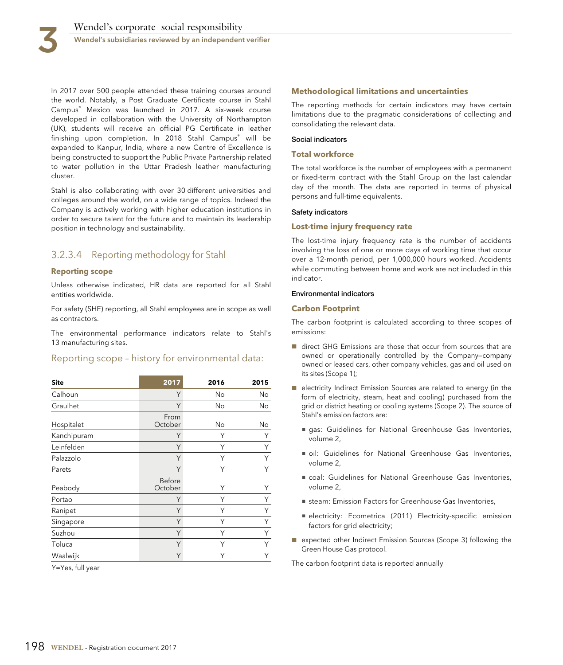In 2017 over 500 people attended these training courses around the world. Notably, a Post Graduate Certificate course in Stahl Campus® Mexico was launched in 2017. A six-week course developed in collaboration with the University of Northampton (UK), students will receive an official PG Certificate in leather finishing upon completion. In 2018 Stahl Campus® will be expanded to Kanpur, India, where a new Centre of Excellence is being constructed to support the Public Private Partnership related to water pollution in the Uttar Pradesh leather manufacturing cluster.

Stahl is also collaborating with over 30 different universities and colleges around the world, on a wide range of topics. Indeed the Company is actively working with higher education institutions in order to secure talent for the future and to maintain its leadership position in technology and sustainability.

# 3.2.3.4 Reporting methodology for Stahl

#### **Reporting scope**

Unless otherwise indicated, HR data are reported for all Stahl entities worldwide.

For safety (SHE) reporting, all Stahl employees are in scope as well as contractors.

The environmental performance indicators relate to Stahl's 13 manufacturing sites.

# Reporting scope – history for environmental data:

| <b>Site</b> | 2017              | 2016 | 2015 |
|-------------|-------------------|------|------|
| Calhoun     | Υ                 | No   | No   |
| Graulhet    | Y                 | No   | No   |
| Hospitalet  | From<br>October   | No   | No   |
| Kanchipuram | Y                 | Υ    | Υ    |
| Leinfelden  | Y                 | Υ    | Υ    |
| Palazzolo   | Υ                 | Υ    | Υ    |
| Parets      | Y                 | Υ    | Υ    |
| Peabody     | Before<br>October | Υ    | Υ    |
| Portao      | Υ                 | Υ    |      |
| Ranipet     | Y                 | Υ    | Υ    |
| Singapore   | Y                 | Υ    | Υ    |
| Suzhou      | Y                 | Υ    | Υ    |
| Toluca      | Y                 | Υ    | Υ    |
| Waalwijk    | Y                 | Υ    |      |

Y=Yes, full year

#### **Methodological limitations and uncertainties**

The reporting methods for certain indicators may have certain limitations due to the pragmatic considerations of collecting and consolidating the relevant data.

#### **Social indicators**

#### **Total workforce**

The total workforce is the number of employees with a permanent or fixed-term contract with the Stahl Group on the last calendar day of the month. The data are reported in terms of physical persons and full-time equivalents.

#### **Safety indicators**

#### **Lost-time injury frequency rate**

The lost-time injury frequency rate is the number of accidents involving the loss of one or more days of working time that occur over a 12-month period, per 1,000,000 hours worked. Accidents while commuting between home and work are not included in this indicator.

#### **Environmental indicators**

#### **Carbon Footprint**

The carbon footprint is calculated according to three scopes of emissions:

- direct GHG Emissions are those that occur from sources that are owned or operationally controlled by the Company—company owned or leased cars, other company vehicles, gas and oil used on its sites (Scope 1);
- electricity Indirect Emission Sources are related to energy (in the form of electricity, steam, heat and cooling) purchased from the grid or district heating or cooling systems (Scope 2). The source of Stahl's emission factors are:
	- gas: Guidelines for National Greenhouse Gas Inventories, volume 2,
	- oil: Guidelines for National Greenhouse Gas Inventories, volume 2,
	- coal: Guidelines for National Greenhouse Gas Inventories, volume 2,
	- steam: Emission Factors for Greenhouse Gas Inventories,
	- electricity: Ecometrica (2011) Electricity-specific emission factors for grid electricity;
- expected other Indirect Emission Sources (Scope 3) following the Green House Gas protocol.

The carbon footprint data is reported annually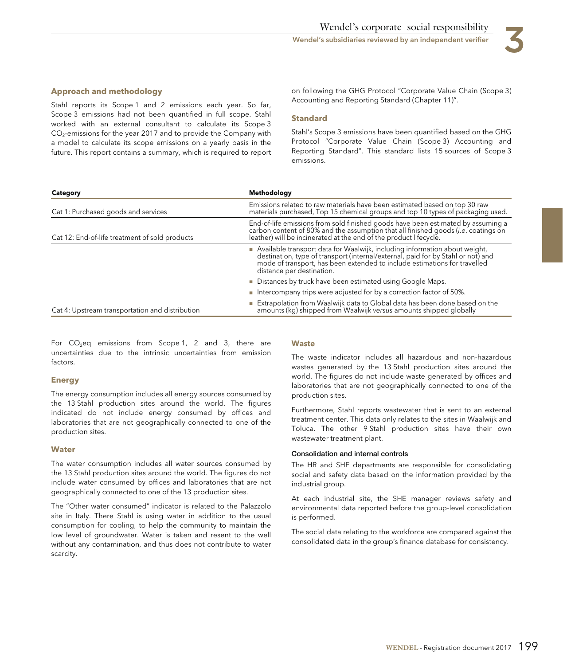

Stahl reports its Scope 1 and 2 emissions each year. So far, Scope 3 emissions had not been quantified in full scope. Stahl worked with an external consultant to calculate its Scope 3 CO<sub>2</sub>-emissions for the year 2017 and to provide the Company with a model to calculate its scope emissions on a yearly basis in the future. This report contains a summary, which is required to report

**Approach and methodology** on following the GHG Protocol "Corporate Value Chain (Scope 3)<br>Curline was to the counting and Reporting Standard (Chapter 11)".

#### **Standard**

Stahl's Scope 3 emissions have been quantified based on the GHG Protocol "Corporate Value Chain (Scope 3) Accounting and Reporting Standard". This standard lists 15 sources of Scope 3 emissions.

| Category                                        | Methodology                                                                                                                                                                                                                                                              |  |
|-------------------------------------------------|--------------------------------------------------------------------------------------------------------------------------------------------------------------------------------------------------------------------------------------------------------------------------|--|
| Cat 1: Purchased goods and services             | Emissions related to raw materials have been estimated based on top 30 raw<br>materials purchased, Top 15 chemical groups and top 10 types of packaging used.                                                                                                            |  |
| Cat 12: End-of-life treatment of sold products  | End-of-life emissions from sold finished goods have been estimated by assuming a<br>carbon content of 80% and the assumption that all finished goods (i.e. coatings on<br>leather) will be incinerated at the end of the product lifecycle.                              |  |
|                                                 | Available transport data for Waalwijk, including information about weight,<br>destination, type of transport (internal/external, paid for by Stahl or not) and<br>mode of transport, has been extended to include estimations for travelled<br>distance per destination. |  |
|                                                 | Distances by truck have been estimated using Google Maps.                                                                                                                                                                                                                |  |
|                                                 | Intercompany trips were adjusted for by a correction factor of 50%.                                                                                                                                                                                                      |  |
| Cat 4: Upstream transportation and distribution | Extrapolation from Waalwijk data to Global data has been done based on the amounts (kg) shipped from Waalwijk versus amounts shipped globally                                                                                                                            |  |

For  $CO<sub>2</sub>$ eq emissions from Scope 1, 2 and 3, there are uncertainties due to the intrinsic uncertainties from emission factors.

#### **Energy**

The energy consumption includes all energy sources consumed by the 13 Stahl production sites around the world. The figures indicated do not include energy consumed by offices and laboratories that are not geographically connected to one of the production sites.

#### **Water**

The water consumption includes all water sources consumed by the 13 Stahl production sites around the world. The figures do not include water consumed by offices and laboratories that are not geographically connected to one of the 13 production sites.

The "Other water consumed" indicator is related to the Palazzolo site in Italy. There Stahl is using water in addition to the usual consumption for cooling, to help the community to maintain the low level of groundwater. Water is taken and resent to the well without any contamination, and thus does not contribute to water scarcity.

#### **Waste**

The waste indicator includes all hazardous and non-hazardous wastes generated by the 13 Stahl production sites around the world. The figures do not include waste generated by offices and laboratories that are not geographically connected to one of the production sites.

Furthermore, Stahl reports wastewater that is sent to an external treatment center. This data only relates to the sites in Waalwijk and Toluca. The other 9 Stahl production sites have their own wastewater treatment plant.

#### **Consolidation and internal controls**

The HR and SHE departments are responsible for consolidating social and safety data based on the information provided by the industrial group.

At each industrial site, the SHE manager reviews safety and environmental data reported before the group-level consolidation is performed.

The social data relating to the workforce are compared against the consolidated data in the group's finance database for consistency.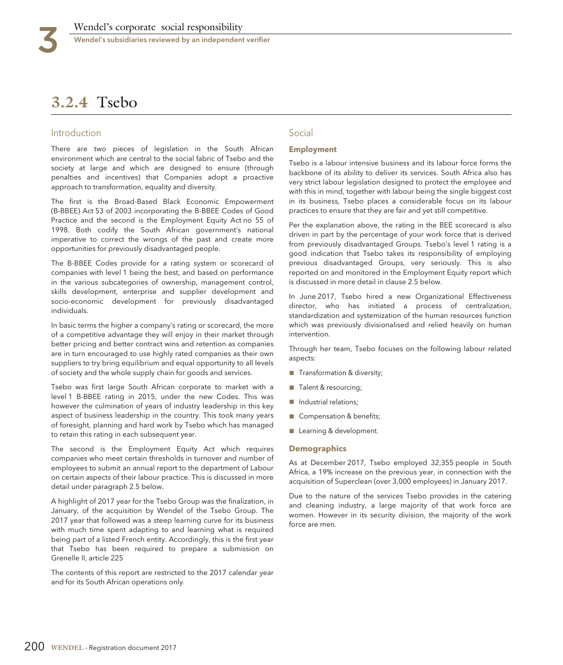# **3.2.4** Tsebo

# Introduction

There are two pieces of legislation in the South African environment which are central to the social fabric of Tsebo and the society at large and which are designed to ensure (through penalties and incentives) that Companies adopt a proactive approach to transformation, equality and diversity.

The first is the Broad-Based Black Economic Empowerment (B-BBEE) Act 53 of 2003 incorporating the B-BBEE Codes of Good Practice and the second is the Employment Equity Act no 55 of 1998. Both codify the South African government's national imperative to correct the wrongs of the past and create more opportunities for previously disadvantaged people.

The B-BBEE Codes provide for a rating system or scorecard of companies with level 1 being the best, and based on performance in the various subcategories of ownership, management control, skills development, enterprise and supplier development and socio-economic development for previously disadvantaged individuals.

In basic terms the higher a company's rating or scorecard, the more of a competitive advantage they will enjoy in their market through better pricing and better contract wins and retention as companies are in turn encouraged to use highly rated companies as their own suppliers to try bring equilibrium and equal opportunity to all levels of society and the whole supply chain for goods and services.

Tsebo was first large South African corporate to market with a level 1 B-BBEE rating in 2015, under the new Codes. This was however the culmination of years of industry leadership in this key aspect of business leadership in the country. This took many years of foresight, planning and hard work by Tsebo which has managed to retain this rating in each subsequent year.

The second is the Employment Equity Act which requires companies who meet certain thresholds in turnover and number of employees to submit an annual report to the department of Labour on certain aspects of their labour practice. This is discussed in more detail under paragraph 2.5 below.

A highlight of 2017 year for the Tsebo Group was the finalization, in January, of the acquisition by Wendel of the Tsebo Group. The 2017 year that followed was a steep learning curve for its business with much time spent adapting to and learning what is required being part of a listed French entity. Accordingly, this is the first year that Tsebo has been required to prepare a submission on Grenelle II, article 225

The contents of this report are restricted to the 2017 calendar year and for its South African operations only.

# Social

#### **Employment**

Tsebo is a labour intensive business and its labour force forms the backbone of its ability to deliver its services. South Africa also has very strict labour legislation designed to protect the employee and with this in mind, together with labour being the single biggest cost in its business, Tsebo places a considerable focus on its labour practices to ensure that they are fair and yet still competitive.

Per the explanation above, the rating in the BEE scorecard is also driven in part by the percentage of your work force that is derived from previously disadvantaged Groups. Tsebo's level 1 rating is a good indication that Tsebo takes its responsibility of employing previous disadvantaged Groups, very seriously. This is also reported on and monitored in the Employment Equity report which is discussed in more detail in clause 2.5 below.

In June 2017, Tsebo hired a new Organizational Effectiveness director, who has initiated a process of centralization, standardization and systemization of the human resources function which was previously divisionalised and relied heavily on human intervention.

Through her team, Tsebo focuses on the following labour related aspects:

- Transformation & diversity;
- Talent & resourcing;
- Industrial relations;
- Compensation & benefits;
- Learning & development.

#### **Demographics**

As at December 2017, Tsebo employed 32,355 people in South Africa, a 19% increase on the previous year, in connection with the acquisition of Superclean (over 3,000 employees) in January 2017.

Due to the nature of the services Tsebo provides in the catering and cleaning industry, a large majority of that work force are women. However in its security division, the majority of the work force are men.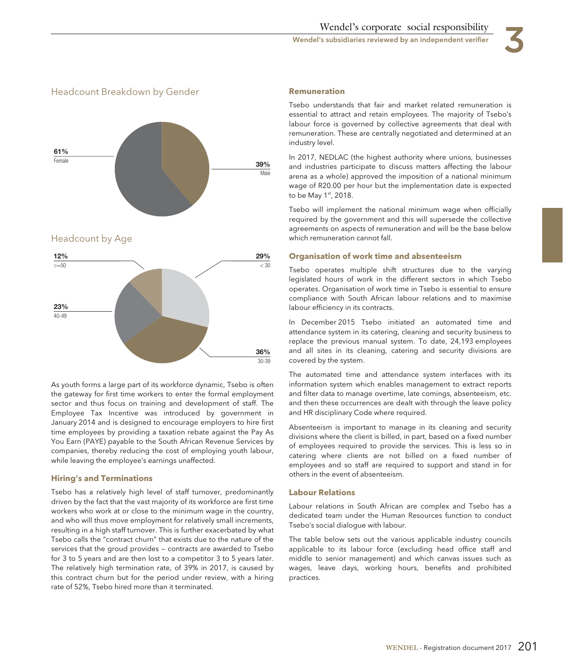



Headcount by Age



As youth forms a large part of its workforce dynamic, Tsebo is often the gateway for first time workers to enter the formal employment sector and thus focus on training and development of staff. The Employee Tax Incentive was introduced by government in January 2014 and is designed to encourage employers to hire first time employees by providing a taxation rebate against the Pay As You Earn (PAYE) payable to the South African Revenue Services by companies, thereby reducing the cost of employing youth labour, while leaving the employee's earnings unaffected.

#### **Hiring's and Terminations**

Tsebo has a relatively high level of staff turnover, predominantly driven by the fact that the vast majority of its workforce are first time workers who work at or close to the minimum wage in the country, and who will thus move employment for relatively small increments, resulting in a high staff turnover. This is further exacerbated by what Tsebo calls the "contract churn" that exists due to the nature of the services that the groud provides — contracts are awarded to Tsebo for 3 to 5 years and are then lost to a competitor 3 to 5 years later. The relatively high termination rate, of 39% in 2017, is caused by this contract churn but for the period under review, with a hiring rate of 52%, Tsebo hired more than it terminated.

#### **Remuneration**

Tsebo understands that fair and market related remuneration is essential to attract and retain employees. The majority of Tsebo's labour force is governed by collective agreements that deal with remuneration. These are centrally negotiated and determined at an industry level.

In 2017, NEDLAC (the highest authority where unions, businesses and industries participate to discuss matters affecting the labour arena as a whole) approved the imposition of a national minimum wage of R20.00 per hour but the implementation date is expected to be May 1st, 2018.

Tsebo will implement the national minimum wage when officially required by the government and this will supersede the collective agreements on aspects of remuneration and will be the base below which remuneration cannot fall.

#### **Organisation of work time and absenteeism**

Tsebo operates multiple shift structures due to the varying legislated hours of work in the different sectors in which Tsebo operates. Organisation of work time in Tsebo is essential to ensure compliance with South African labour relations and to maximise labour efficiency in its contracts.

In December 2015 Tsebo initiated an automated time and attendance system in its catering, cleaning and security business to replace the previous manual system. To date, 24,193 employees and all sites in its cleaning, catering and security divisions are covered by the system.

The automated time and attendance system interfaces with its information system which enables management to extract reports and filter data to manage overtime, late comings, absenteeism, etc. and then these occurrences are dealt with through the leave policy and HR disciplinary Code where required.

Absenteeism is important to manage in its cleaning and security divisions where the client is billed, in part, based on a fixed number of employees required to provide the services. This is less so in catering where clients are not billed on a fixed number of employees and so staff are required to support and stand in for others in the event of absenteeism.

#### **Labour Relations**

Labour relations in South African are complex and Tsebo has a dedicated team under the Human Resources function to conduct Tsebo's social dialogue with labour.

The table below sets out the various applicable industry councils applicable to its labour force (excluding head office staff and middle to senior management) and which canvas issues such as wages, leave days, working hours, benefits and prohibited practices.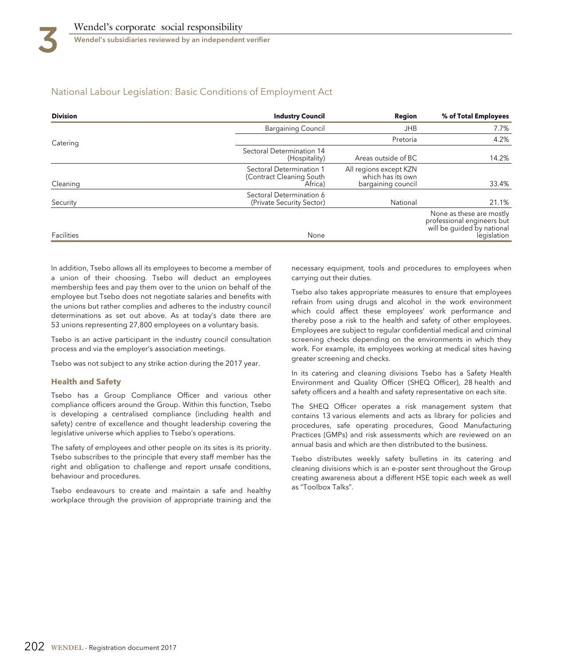# National Labour Legislation: Basic Conditions of Employment Act

| <b>Division</b> | <b>Industry Council</b>                                         | Region                                                            | % of Total Employees                                                                                |
|-----------------|-----------------------------------------------------------------|-------------------------------------------------------------------|-----------------------------------------------------------------------------------------------------|
|                 | <b>Bargaining Council</b>                                       | <b>JHB</b>                                                        | 7.7%                                                                                                |
| Catering        |                                                                 | Pretoria                                                          | 4.2%                                                                                                |
|                 | Sectoral Determination 14<br>(Hospitality)                      | Areas outside of BC                                               | 14.2%                                                                                               |
| Cleaning        | Sectoral Determination 1<br>(Contract Cleaning South<br>Africa) | All regions except KZN<br>which has its own<br>bargaining council | 33.4%                                                                                               |
| Security        | Sectoral Determination 6<br>(Private Security Sector)           | National                                                          | 21.1%                                                                                               |
| Facilities      | None                                                            |                                                                   | None as these are mostly<br>professional engineers but<br>will be guided by national<br>legislation |

In addition, Tsebo allows all its employees to become a member of a union of their choosing. Tsebo will deduct an employees membership fees and pay them over to the union on behalf of the employee but Tsebo does not negotiate salaries and benefits with the unions but rather complies and adheres to the industry council determinations as set out above. As at today's date there are 53 unions representing 27,800 employees on a voluntary basis.

Tsebo is an active participant in the industry council consultation process and via the employer's association meetings.

Tsebo was not subject to any strike action during the 2017 year.

#### **Health and Safety**

Tsebo has a Group Compliance Officer and various other compliance officers around the Group. Within this function, Tsebo is developing a centralised compliance (including health and safety) centre of excellence and thought leadership covering the legislative universe which applies to Tsebo's operations.

The safety of employees and other people on its sites is its priority. Tsebo subscribes to the principle that every staff member has the right and obligation to challenge and report unsafe conditions, behaviour and procedures.

Tsebo endeavours to create and maintain a safe and healthy workplace through the provision of appropriate training and the necessary equipment, tools and procedures to employees when carrying out their duties.

Tsebo also takes appropriate measures to ensure that employees refrain from using drugs and alcohol in the work environment which could affect these employees' work performance and thereby pose a risk to the health and safety of other employees. Employees are subject to regular confidential medical and criminal screening checks depending on the environments in which they work. For example, its employees working at medical sites having greater screening and checks.

In its catering and cleaning divisions Tsebo has a Safety Health Environment and Quality Officer (SHEQ Officer), 28 health and safety officers and a health and safety representative on each site.

The SHEQ Officer operates a risk management system that contains 13 various elements and acts as library for policies and procedures, safe operating procedures, Good Manufacturing Practices (GMPs) and risk assessments which are reviewed on an annual basis and which are then distributed to the business.

Tsebo distributes weekly safety bulletins in its catering and cleaning divisions which is an e-poster sent throughout the Group creating awareness about a different HSE topic each week as well as "Toolbox Talks".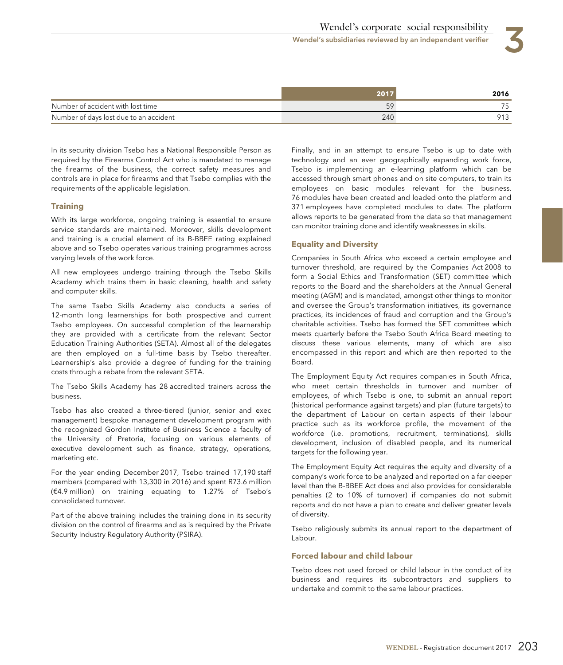|                                        | 101 | 2016 |
|----------------------------------------|-----|------|
| Number of accident with lost time      |     |      |
| Number of days lost due to an accident | 240 | .    |

In its security division Tsebo has a National Responsible Person as required by the Firearms Control Act who is mandated to manage the firearms of the business, the correct safety measures and controls are in place for firearms and that Tsebo complies with the requirements of the applicable legislation.

#### **Training**

With its large workforce, ongoing training is essential to ensure service standards are maintained. Moreover, skills development and training is a crucial element of its B-BBEE rating explained above and so Tsebo operates various training programmes across varying levels of the work force.

All new employees undergo training through the Tsebo Skills Academy which trains them in basic cleaning, health and safety and computer skills.

The same Tsebo Skills Academy also conducts a series of 12-month long learnerships for both prospective and current Tsebo employees. On successful completion of the learnership they are provided with a certificate from the relevant Sector Education Training Authorities (SETA). Almost all of the delegates are then employed on a full-time basis by Tsebo thereafter. Learnership's also provide a degree of funding for the training costs through a rebate from the relevant SETA.

The Tsebo Skills Academy has 28 accredited trainers across the business.

Tsebo has also created a three-tiered (junior, senior and exec management) bespoke management development program with the recognized Gordon Institute of Business Science a faculty of the University of Pretoria, focusing on various elements of executive development such as finance, strategy, operations, marketing etc.

For the year ending December 2017, Tsebo trained 17,190 staff members (compared with 13,300 in 2016) and spent R73.6 million (€4.9 million) on training equating to 1.27% of Tsebo's consolidated turnover.

Part of the above training includes the training done in its security division on the control of firearms and as is required by the Private Security Industry Regulatory Authority (PSIRA).

Finally, and in an attempt to ensure Tsebo is up to date with technology and an ever geographically expanding work force, Tsebo is implementing an e-learning platform which can be accessed through smart phones and on site computers, to train its employees on basic modules relevant for the business. 76 modules have been created and loaded onto the platform and 371 employees have completed modules to date. The platform allows reports to be generated from the data so that management can monitor training done and identify weaknesses in skills.

#### **Equality and Diversity**

Companies in South Africa who exceed a certain employee and turnover threshold, are required by the Companies Act 2008 to form a Social Ethics and Transformation (SET) committee which reports to the Board and the shareholders at the Annual General meeting (AGM) and is mandated, amongst other things to monitor and oversee the Group's transformation initiatives, its governance practices, its incidences of fraud and corruption and the Group's charitable activities. Tsebo has formed the SET committee which meets quarterly before the Tsebo South Africa Board meeting to discuss these various elements, many of which are also encompassed in this report and which are then reported to the Board.

The Employment Equity Act requires companies in South Africa, who meet certain thresholds in turnover and number of employees, of which Tsebo is one, to submit an annual report (historical performance against targets) and plan (future targets) to the department of Labour on certain aspects of their labour practice such as its workforce profile, the movement of the workforce (i.e. promotions, recruitment, terminations), skills development, inclusion of disabled people, and its numerical targets for the following year.

The Employment Equity Act requires the equity and diversity of a company's work force to be analyzed and reported on a far deeper level than the B-BBEE Act does and also provides for considerable penalties (2 to 10% of turnover) if companies do not submit reports and do not have a plan to create and deliver greater levels of diversity.

Tsebo religiously submits its annual report to the department of Labour.

#### **Forced labour and child labour**

Tsebo does not used forced or child labour in the conduct of its business and requires its subcontractors and suppliers to undertake and commit to the same labour practices.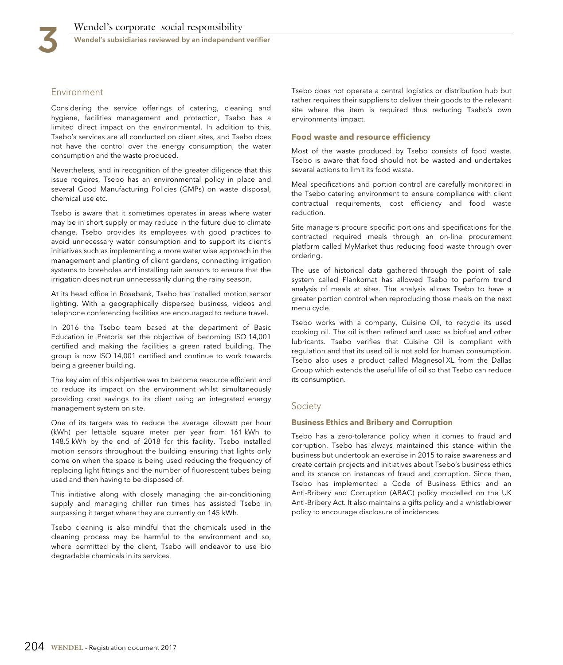# Environment

Considering the service offerings of catering, cleaning and hygiene, facilities management and protection, Tsebo has a limited direct impact on the environmental. In addition to this, Tsebo's services are all conducted on client sites, and Tsebo does not have the control over the energy consumption, the water consumption and the waste produced.

Nevertheless, and in recognition of the greater diligence that this issue requires, Tsebo has an environmental policy in place and several Good Manufacturing Policies (GMPs) on waste disposal, chemical use etc.

Tsebo is aware that it sometimes operates in areas where water may be in short supply or may reduce in the future due to climate change. Tsebo provides its employees with good practices to avoid unnecessary water consumption and to support its client's initiatives such as implementing a more water wise approach in the management and planting of client gardens, connecting irrigation systems to boreholes and installing rain sensors to ensure that the irrigation does not run unnecessarily during the rainy season.

At its head office in Rosebank, Tsebo has installed motion sensor lighting. With a geographically dispersed business, videos and telephone conferencing facilities are encouraged to reduce travel.

In 2016 the Tsebo team based at the department of Basic Education in Pretoria set the objective of becoming ISO 14,001 certified and making the facilities a green rated building. The group is now ISO 14,001 certified and continue to work towards being a greener building.

The key aim of this objective was to become resource efficient and to reduce its impact on the environment whilst simultaneously providing cost savings to its client using an integrated energy management system on site.

One of its targets was to reduce the average kilowatt per hour (kWh) per lettable square meter per year from 161 kWh to 148.5 kWh by the end of 2018 for this facility. Tsebo installed motion sensors throughout the building ensuring that lights only come on when the space is being used reducing the frequency of replacing light fittings and the number of fluorescent tubes being used and then having to be disposed of.

This initiative along with closely managing the air-conditioning supply and managing chiller run times has assisted Tsebo in surpassing it target where they are currently on 145 kWh.

Tsebo cleaning is also mindful that the chemicals used in the cleaning process may be harmful to the environment and so, where permitted by the client, Tsebo will endeavor to use bio degradable chemicals in its services.

Tsebo does not operate a central logistics or distribution hub but rather requires their suppliers to deliver their goods to the relevant site where the item is required thus reducing Tsebo's own environmental impact.

#### **Food waste and resource efficiency**

Most of the waste produced by Tsebo consists of food waste. Tsebo is aware that food should not be wasted and undertakes several actions to limit its food waste.

Meal specifications and portion control are carefully monitored in the Tsebo catering environment to ensure compliance with client contractual requirements, cost efficiency and food waste reduction.

Site managers procure specific portions and specifications for the contracted required meals through an on-line procurement platform called MyMarket thus reducing food waste through over ordering.

The use of historical data gathered through the point of sale system called Plankomat has allowed Tsebo to perform trend analysis of meals at sites. The analysis allows Tsebo to have a greater portion control when reproducing those meals on the next menu cycle.

Tsebo works with a company, Cuisine Oil, to recycle its used cooking oil. The oil is then refined and used as biofuel and other lubricants. Tsebo verifies that Cuisine Oil is compliant with regulation and that its used oil is not sold for human consumption. Tsebo also uses a product called Magnesol XL from the Dallas Group which extends the useful life of oil so that Tsebo can reduce its consumption.

# Society

#### **Business Ethics and Bribery and Corruption**

Tsebo has a zero-tolerance policy when it comes to fraud and corruption. Tsebo has always maintained this stance within the business but undertook an exercise in 2015 to raise awareness and create certain projects and initiatives about Tsebo's business ethics and its stance on instances of fraud and corruption. Since then, Tsebo has implemented a Code of Business Ethics and an Anti-Bribery and Corruption (ABAC) policy modelled on the UK Anti-Bribery Act. It also maintains a gifts policy and a whistleblower policy to encourage disclosure of incidences.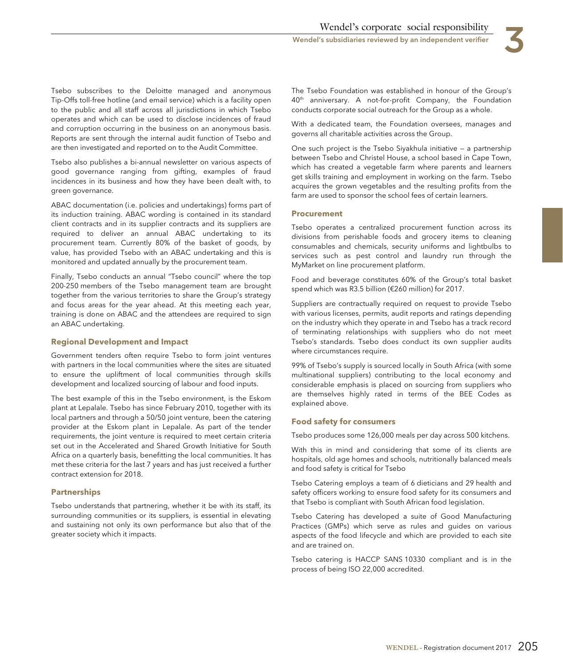

Tsebo subscribes to the Deloitte managed and anonymous Tip-Offs toll-free hotline (and email service) which is a facility open to the public and all staff across all jurisdictions in which Tsebo operates and which can be used to disclose incidences of fraud and corruption occurring in the business on an anonymous basis. Reports are sent through the internal audit function of Tsebo and are then investigated and reported on to the Audit Committee.

Tsebo also publishes a bi-annual newsletter on various aspects of good governance ranging from gifting, examples of fraud incidences in its business and how they have been dealt with, to green governance.

ABAC documentation (i.e. policies and undertakings) forms part of its induction training. ABAC wording is contained in its standard client contracts and in its supplier contracts and its suppliers are required to deliver an annual ABAC undertaking to its procurement team. Currently 80% of the basket of goods, by value, has provided Tsebo with an ABAC undertaking and this is monitored and updated annually by the procurement team.

Finally, Tsebo conducts an annual "Tsebo council" where the top 200-250 members of the Tsebo management team are brought together from the various territories to share the Group's strategy and focus areas for the year ahead. At this meeting each year, training is done on ABAC and the attendees are required to sign an ABAC undertaking.

# **Regional Development and Impact**

Government tenders often require Tsebo to form joint ventures with partners in the local communities where the sites are situated to ensure the upliftment of local communities through skills development and localized sourcing of labour and food inputs.

The best example of this in the Tsebo environment, is the Eskom plant at Lepalale. Tsebo has since February 2010, together with its local partners and through a 50/50 joint venture, been the catering provider at the Eskom plant in Lepalale. As part of the tender requirements, the joint venture is required to meet certain criteria set out in the Accelerated and Shared Growth Initiative for South Africa on a quarterly basis, benefitting the local communities. It has met these criteria for the last 7 years and has just received a further contract extension for 2018.

# **Partnerships**

Tsebo understands that partnering, whether it be with its staff, its surrounding communities or its suppliers, is essential in elevating and sustaining not only its own performance but also that of the greater society which it impacts.

The Tsebo Foundation was established in honour of the Group's 40<sup>th</sup> anniversary. A not-for-profit Company, the Foundation conducts corporate social outreach for the Group as a whole.

With a dedicated team, the Foundation oversees, manages and governs all charitable activities across the Group.

One such project is the Tsebo Siyakhula initiative — a partnership between Tsebo and Christel House, a school based in Cape Town, which has created a vegetable farm where parents and learners get skills training and employment in working on the farm. Tsebo acquires the grown vegetables and the resulting profits from the farm are used to sponsor the school fees of certain learners.

# **Procurement**

Tsebo operates a centralized procurement function across its divisions from perishable foods and grocery items to cleaning consumables and chemicals, security uniforms and lightbulbs to services such as pest control and laundry run through the MyMarket on line procurement platform.

Food and beverage constitutes 60% of the Group's total basket spend which was R3.5 billion (€260 million) for 2017.

Suppliers are contractually required on request to provide Tsebo with various licenses, permits, audit reports and ratings depending on the industry which they operate in and Tsebo has a track record of terminating relationships with suppliers who do not meet Tsebo's standards. Tsebo does conduct its own supplier audits where circumstances require.

99% of Tsebo's supply is sourced locally in South Africa (with some multinational suppliers) contributing to the local economy and considerable emphasis is placed on sourcing from suppliers who are themselves highly rated in terms of the BEE Codes as explained above.

# **Food safety for consumers**

Tsebo produces some 126,000 meals per day across 500 kitchens.

With this in mind and considering that some of its clients are hospitals, old age homes and schools, nutritionally balanced meals and food safety is critical for Tsebo

Tsebo Catering employs a team of 6 dieticians and 29 health and safety officers working to ensure food safety for its consumers and that Tsebo is compliant with South African food legislation.

Tsebo Catering has developed a suite of Good Manufacturing Practices (GMPs) which serve as rules and guides on various aspects of the food lifecycle and which are provided to each site and are trained on.

Tsebo catering is HACCP SANS 10330 compliant and is in the process of being ISO 22,000 accredited.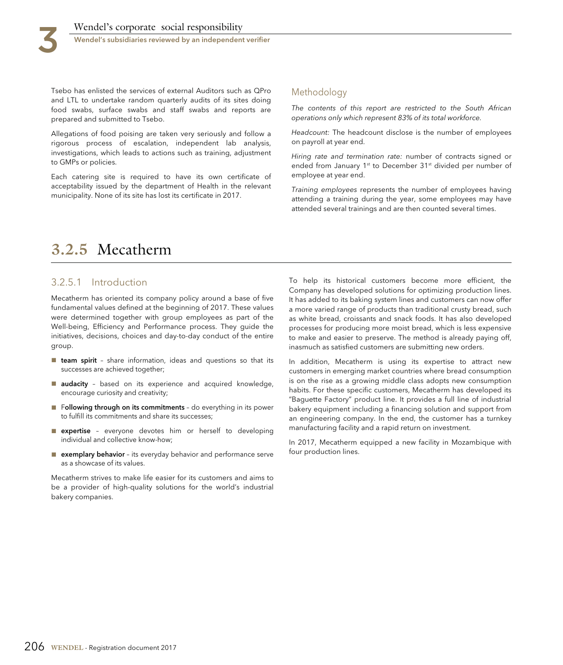Tsebo has enlisted the services of external Auditors such as QPro and LTL to undertake random quarterly audits of its sites doing food swabs, surface swabs and staff swabs and reports are prepared and submitted to Tsebo.

Allegations of food poising are taken very seriously and follow a rigorous process of escalation, independent lab analysis, investigations, which leads to actions such as training, adjustment to GMPs or policies.

Each catering site is required to have its own certificate of acceptability issued by the department of Health in the relevant municipality. None of its site has lost its certificate in 2017.

# Methodology

The contents of this report are restricted to the South African operations only which represent 83% of its total workforce.

Headcount: The headcount disclose is the number of employees on payroll at year end.

Hiring rate and termination rate: number of contracts signed or ended from January 1<sup>st</sup> to December 31<sup>st</sup> divided per number of employee at year end.

Training employees represents the number of employees having attending a training during the year, some employees may have attended several trainings and are then counted several times.

# **3.2.5** Mecatherm

# 3.2.5.1 Introduction

Mecatherm has oriented its company policy around a base of five fundamental values defined at the beginning of 2017. These values were determined together with group employees as part of the Well-being, Efficiency and Performance process. They guide the initiatives, decisions, choices and day-to-day conduct of the entire group.

- team spirit share information, ideas and questions so that its successes are achieved together;
- audacity based on its experience and acquired knowledge, encourage curiosity and creativity;
- Following through on its commitments do everything in its power to fulfill its commitments and share its successes;
- expertise everyone devotes him or herself to developing individual and collective know-how;
- exemplary behavior its everyday behavior and performance serve as a showcase of its values.

Mecatherm strives to make life easier for its customers and aims to be a provider of high-quality solutions for the world's industrial bakery companies.

To help its historical customers become more efficient, the Company has developed solutions for optimizing production lines. It has added to its baking system lines and customers can now offer a more varied range of products than traditional crusty bread, such as white bread, croissants and snack foods. It has also developed processes for producing more moist bread, which is less expensive to make and easier to preserve. The method is already paying off, inasmuch as satisfied customers are submitting new orders.

In addition, Mecatherm is using its expertise to attract new customers in emerging market countries where bread consumption is on the rise as a growing middle class adopts new consumption habits. For these specific customers, Mecatherm has developed its "Baguette Factory" product line. It provides a full line of industrial bakery equipment including a financing solution and support from an engineering company. In the end, the customer has a turnkey manufacturing facility and a rapid return on investment.

In 2017, Mecatherm equipped a new facility in Mozambique with four production lines.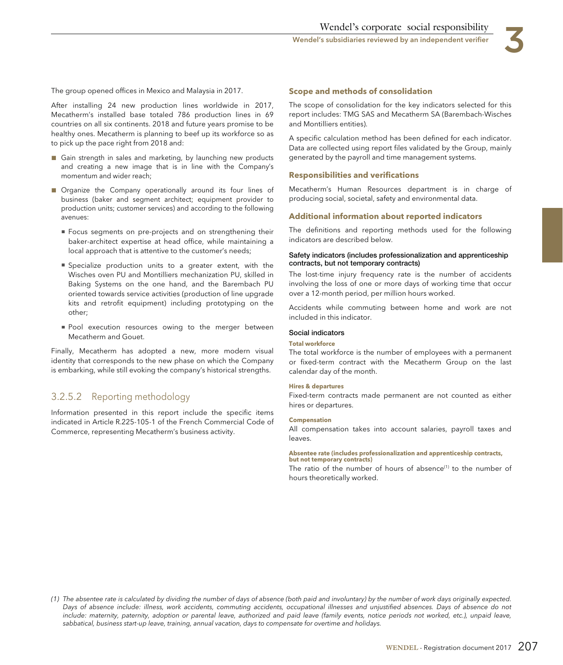

The group opened offices in Mexico and Malaysia in 2017.

After installing 24 new production lines worldwide in 2017, Mecatherm's installed base totaled 786 production lines in 69 countries on all six continents. 2018 and future years promise to be healthy ones. Mecatherm is planning to beef up its workforce so as to pick up the pace right from 2018 and:

- Gain strength in sales and marketing, by launching new products and creating a new image that is in line with the Company's momentum and wider reach;
- Organize the Company operationally around its four lines of business (baker and segment architect; equipment provider to production units; customer services) and according to the following avenues:
	- Focus segments on pre-projects and on strengthening their baker-architect expertise at head office, while maintaining a local approach that is attentive to the customer's needs;
	- Specialize production units to a greater extent, with the Wisches oven PU and Montilliers mechanization PU, skilled in Baking Systems on the one hand, and the Barembach PU oriented towards service activities (production of line upgrade kits and retrofit equipment) including prototyping on the other;
	- Pool execution resources owing to the merger between Mecatherm and Gouet.

Finally, Mecatherm has adopted a new, more modern visual identity that corresponds to the new phase on which the Company is embarking, while still evoking the company's historical strengths.

# 3.2.5.2 Reporting methodology

Information presented in this report include the specific items indicated in Article R.225-105-1 of the French Commercial Code of Commerce, representing Mecatherm's business activity.

#### **Scope and methods of consolidation**

The scope of consolidation for the key indicators selected for this report includes: TMG SAS and Mecatherm SA (Barembach-Wisches and Montilliers entities).

A specific calculation method has been defined for each indicator. Data are collected using report files validated by the Group, mainly generated by the payroll and time management systems.

#### **Responsibilities and verifications**

Mecatherm's Human Resources department is in charge of producing social, societal, safety and environmental data.

#### **Additional information about reported indicators**

The definitions and reporting methods used for the following indicators are described below.

#### **Safety indicators (includes professionalization and apprenticeship contracts, but not temporary contracts)**

The lost-time injury frequency rate is the number of accidents involving the loss of one or more days of working time that occur over a 12-month period, per million hours worked.

Accidents while commuting between home and work are not included in this indicator.

#### **Social indicators**

#### **Total workforce**

The total workforce is the number of employees with a permanent or fixed-term contract with the Mecatherm Group on the last calendar day of the month.

#### **Hires & departures**

Fixed-term contracts made permanent are not counted as either hires or departures.

#### **Compensation**

All compensation takes into account salaries, payroll taxes and leaves.

#### **Absentee rate (includes professionalization and apprenticeship contracts, but not temporary contracts)**

The ratio of the number of hours of absence<sup>(1)</sup> to the number of hours theoretically worked.

<sup>(1)</sup> The absentee rate is calculated by dividing the number of days of absence (both paid and involuntary) by the number of work days originally expected. Days of absence include: illness, work accidents, commuting accidents, occupational illnesses and unjustified absences. Days of absence do not include: maternity, paternity, adoption or parental leave, authorized and paid leave (family events, notice periods not worked, etc.), unpaid leave, sabbatical, business start-up leave, training, annual vacation, days to compensate for overtime and holidays.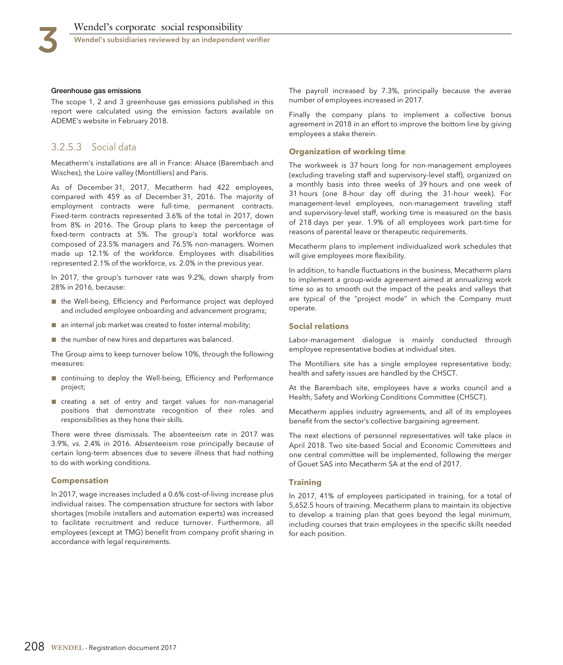#### **Greenhouse gas emissions**

The scope 1, 2 and 3 greenhouse gas emissions published in this report were calculated using the emission factors available on ADEME's website in February 2018.

## 3.2.5.3 Social data

Mecatherm's installations are all in France: Alsace (Barembach and Wisches), the Loire valley (Montilliers) and Paris.

As of December 31, 2017, Mecatherm had 422 employees, compared with 459 as of December 31, 2016. The majority of employment contracts were full-time, permanent contracts. Fixed-term contracts represented 3.6% of the total in 2017, down from 8% in 2016. The Group plans to keep the percentage of fixed-term contracts at 5%. The group's total workforce was composed of 23.5% managers and 76.5% non-managers. Women made up 12.1% of the workforce. Employees with disabilities represented 2.1% of the workforce, vs. 2.0% in the previous year.

In 2017, the group's turnover rate was 9.2%, down sharply from 28% in 2016, because:

- the Well-being, Efficiency and Performance project was deployed and included employee onboarding and advancement programs;
- an internal job market was created to foster internal mobility;
- the number of new hires and departures was balanced.

The Group aims to keep turnover below 10%, through the following measures:

- continuing to deploy the Well-being, Efficiency and Performance project;
- creating a set of entry and target values for non-managerial positions that demonstrate recognition of their roles and responsibilities as they hone their skills.

There were three dismissals. The absenteeism rate in 2017 was 3.9%, vs. 2.4% in 2016. Absenteeism rose principally because of certain long-term absences due to severe illness that had nothing to do with working conditions.

#### **Compensation**

In 2017, wage increases included a 0.6% cost-of-living increase plus individual raises. The compensation structure for sectors with labor shortages (mobile installers and automation experts) was increased to facilitate recruitment and reduce turnover. Furthermore, all employees (except at TMG) benefit from company profit sharing in accordance with legal requirements.

The payroll increased by 7.3%, principally because the averae number of employees increased in 2017.

Finally the company plans to implement a collective bonus agreement in 2018 in an effort to improve the bottom line by giving employees a stake therein.

#### **Organization of working time**

The workweek is 37 hours long for non-management employees (excluding traveling staff and supervisory-level staff), organized on a monthly basis into three weeks of 39 hours and one week of 31 hours (one 8-hour day off during the 31-hour week). For management-level employees, non-management traveling staff and supervisory-level staff, working time is measured on the basis of 218 days per year. 1.9% of all employees work part-time for reasons of parental leave or therapeutic requirements.

Mecatherm plans to implement individualized work schedules that will give employees more flexibility.

In addition, to handle fluctuations in the business, Mecatherm plans to implement a group-wide agreement aimed at annualizing work time so as to smooth out the impact of the peaks and valleys that are typical of the "project mode" in which the Company must operate.

#### **Social relations**

Labor-management dialogue is mainly conducted through employee representative bodies at individual sites.

The Montilliers site has a single employee representative body; health and safety issues are handled by the CHSCT.

At the Barembach site, employees have a works council and a Health, Safety and Working Conditions Committee (CHSCT).

Mecatherm applies industry agreements, and all of its employees benefit from the sector's collective bargaining agreement.

The next elections of personnel representatives will take place in April 2018. Two site-based Social and Economic Committees and one central committee will be implemented, following the merger of Gouet SAS into Mecatherm SA at the end of 2017.

#### **Training**

In 2017, 41% of employees participated in training, for a total of 5,652.5 hours of training. Mecatherm plans to maintain its objective to develop a training plan that goes beyond the legal minimum, including courses that train employees in the specific skills needed for each position.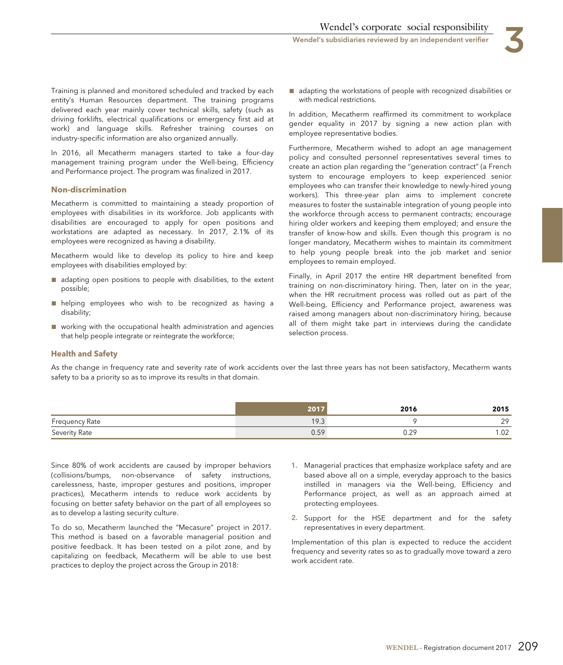Training is planned and monitored scheduled and tracked by each entity's Human Resources department. The training programs delivered each year mainly cover technical skills, safety (such as driving forklifts, electrical qualifications or emergency first aid at work) and language skills. Refresher training courses on industry-specific information are also organized annually.

In 2016, all Mecatherm managers started to take a four-day management training program under the Well-being, Efficiency and Performance project. The program was finalized in 2017.

## **Non-discrimination**

Mecatherm is committed to maintaining a steady proportion of employees with disabilities in its workforce. Job applicants with disabilities are encouraged to apply for open positions and workstations are adapted as necessary. In 2017, 2.1% of its employees were recognized as having a disability.

Mecatherm would like to develop its policy to hire and keep employees with disabilities employed by:

- adapting open positions to people with disabilities, to the extent possible;
- helping employees who wish to be recognized as having a disability;
- working with the occupational health administration and agencies that help people integrate or reintegrate the workforce;

■ adapting the workstations of people with recognized disabilities or with medical restrictions.

In addition, Mecatherm reaffirmed its commitment to workplace gender equality in 2017 by signing a new action plan with employee representative bodies.

Furthermore, Mecatherm wished to adopt an age management policy and consulted personnel representatives several times to create an action plan regarding the "generation contract" (a French system to encourage employers to keep experienced senior employees who can transfer their knowledge to newly-hired young workers). This three-year plan aims to implement concrete measures to foster the sustainable integration of young people into the workforce through access to permanent contracts; encourage hiring older workers and keeping them employed; and ensure the transfer of know-how and skills. Even though this program is no longer mandatory, Mecatherm wishes to maintain its commitment to help young people break into the job market and senior employees to remain employed.

Finally, in April 2017 the entire HR department benefited from training on non-discriminatory hiring. Then, later on in the year, when the HR recruitment process was rolled out as part of the Well-being, Efficiency and Performance project, awareness was raised among managers about non-discriminatory hiring, because all of them might take part in interviews during the candidate selection process.

#### **Health and Safety**

As the change in frequency rate and severity rate of work accidents over the last three years has not been satisfactory, Mecatherm wants safety to ba a priority so as to improve its results in that domain.

|                       |              | 2016       | 2015           |
|-----------------------|--------------|------------|----------------|
| <b>Frequency Rate</b> | 1 Ω 2<br>ن ، |            | 20             |
| Severity Rate         | ∪.∪          | ാറ<br>∪.∠∶ | $\sim$<br>L.UZ |

Since 80% of work accidents are caused by improper behaviors (collisions/bumps, non-observance of safety instructions, carelessness, haste, improper gestures and positions, improper practices), Mecatherm intends to reduce work accidents by focusing on better safety behavior on the part of all employees so as to develop a lasting security culture.

To do so, Mecatherm launched the "Mecasure" project in 2017. This method is based on a favorable managerial position and positive feedback. It has been tested on a pilot zone, and by capitalizing on feedback, Mecatherm will be able to use best practices to deploy the project across the Group in 2018:

- **1.** Managerial practices that emphasize workplace safety and are based above all on a simple, everyday approach to the basics instilled in managers via the Well-being, Efficiency and Performance project, as well as an approach aimed at protecting employees.
- **2.** Support for the HSE department and for the safety representatives in every department.

Implementation of this plan is expected to reduce the accident frequency and severity rates so as to gradually move toward a zero work accident rate.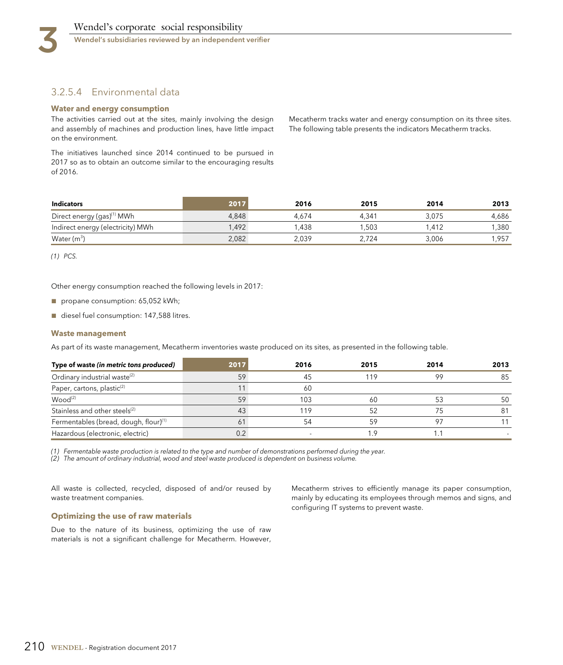# 3.2.5.4 Environmental data

#### **Water and energy consumption**

The activities carried out at the sites, mainly involving the design and assembly of machines and production lines, have little impact on the environment.

The initiatives launched since 2014 continued to be pursued in 2017 so as to obtain an outcome similar to the encouraging results of 2016.

Mecatherm tracks water and energy consumption on its three sites. The following table presents the indicators Mecatherm tracks.

| <b>Indicators</b>                      | 2017  | 2016  | 2015  | 2014  | 2013  |
|----------------------------------------|-------|-------|-------|-------|-------|
| Direct energy (gas) <sup>(1)</sup> MWh | 4.848 | 4.674 | 4.341 | 3.075 | 4.686 |
| Indirect energy (electricity) MWh      | .492  | .438  | .503  | .412  | 1.380 |
| Water $(m^3)$                          | 2,082 | 2,039 | 2.724 | 3.006 | 1,957 |

(1) PCS.

Other energy consumption reached the following levels in 2017:

- propane consumption: 65,052 kWh;
- diesel fuel consumption: 147,588 litres.

#### **Waste management**

As part of its waste management, Mecatherm inventories waste produced on its sites, as presented in the following table.

| Type of waste (in metric tons produced)           | 2017 | 2016  | 2015 | 2014    | 2013 |
|---------------------------------------------------|------|-------|------|---------|------|
| Ordinary industrial waste <sup>(2)</sup>          | 59   | 45    | 119  | $\circ$ | 85   |
| Paper, cartons, plastic <sup>(2)</sup>            |      | 60    |      |         |      |
| Wood <sup>(2)</sup>                               | 59   | 103   | 60   |         | 50   |
| Stainless and other steels <sup>(2)</sup>         | 43   | l 1 Q |      |         | 81   |
| Fermentables (bread, dough, flour) <sup>(1)</sup> | 61   | 54    | 59   |         |      |
| Hazardous (electronic, electric)                  | 0.2  |       | .9   |         |      |

(1) Fermentable waste production is related to the type and number of demonstrations performed during the year.

(2) The amount of ordinary industrial, wood and steel waste produced is dependent on business volume.

All waste is collected, recycled, disposed of and/or reused by waste treatment companies.

#### **Optimizing the use of raw materials**

Due to the nature of its business, optimizing the use of raw materials is not a significant challenge for Mecatherm. However, Mecatherm strives to efficiently manage its paper consumption, mainly by educating its employees through memos and signs, and configuring IT systems to prevent waste.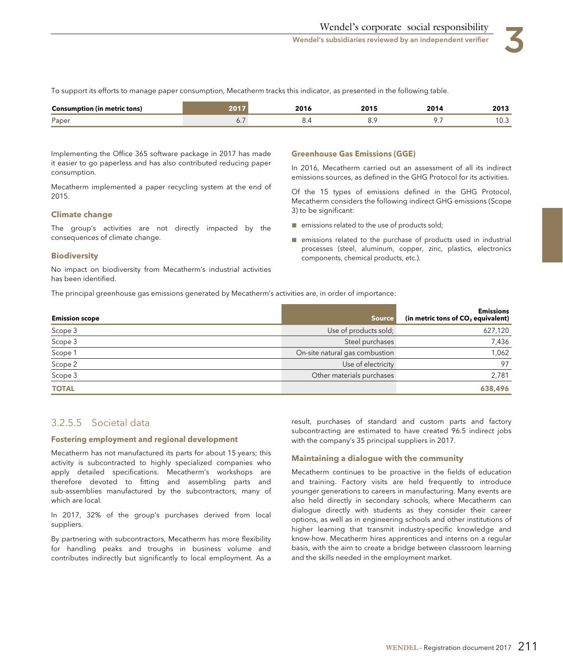To support its efforts to manage paper consumption, Mecatherm tracks this indicator, as presented in the following table.

| netric tons)<br>∴onsum<br>----   | <b>nna</b><br>$\sim$ $\sim$ | .<br>$\sim$ $\sim$ | <b>201</b> | 2013<br>$\sim$ $\sim$ |
|----------------------------------|-----------------------------|--------------------|------------|-----------------------|
| $\overline{\phantom{0}}$<br>Pape |                             | ັ.                 | $\cdots$   | ∣∪.⊾                  |

Implementing the Office 365 software package in 2017 has made it easier to go paperless and has also contributed reducing paper consumption.

Mecatherm implemented a paper recycling system at the end of 2015.

#### **Climate change**

The group's activities are not directly impacted by the consequences of climate change.

#### **Biodiversity**

No impact on biodiversity from Mecatherm's industrial activities has been identified.

#### **Greenhouse Gas Emissions (GGE)**

In 2016, Mecatherm carried out an assessment of all its indirect emissions sources, as defined in the GHG Protocol for its activities.

Of the 15 types of emissions defined in the GHG Protocol, Mecatherm considers the following indirect GHG emissions (Scope 3) to be significant:

- emissions related to the use of products sold;
- emissions related to the purchase of products used in industrial processes (steel, aluminum, copper, zinc, plastics, electronics components, chemical products, etc.).

The principal greenhouse gas emissions generated by Mecatherm's activities are, in order of importance:

| <b>Emission scope</b> | <b>Source</b>                  | <b>Emissions</b><br>(in metric tons of $CO2$ equivalent) |
|-----------------------|--------------------------------|----------------------------------------------------------|
| Scope 3               | Use of products sold;          | 627,120                                                  |
| Scope 3               | Steel purchases                | 7,436                                                    |
| Scope 1               | On-site natural gas combustion | 1,062                                                    |
| Scope 2               | Use of electricity             | 97                                                       |
| Scope 3               | Other materials purchases      | 2,781                                                    |
| <b>TOTAL</b>          |                                | 638,496                                                  |

# 3.2.5.5 Societal data

#### **Fostering employment and regional development**

Mecatherm has not manufactured its parts for about 15 years; this activity is subcontracted to highly specialized companies who apply detailed specifications. Mecatherm's workshops are therefore devoted to fitting and assembling parts and sub-assemblies manufactured by the subcontractors, many of which are local.

In 2017, 32% of the group's purchases derived from local suppliers.

By partnering with subcontractors, Mecatherm has more flexibility for handling peaks and troughs in business volume and contributes indirectly but significantly to local employment. As a result, purchases of standard and custom parts and factory subcontracting are estimated to have created 96.5 indirect jobs with the company's 35 principal suppliers in 2017.

#### **Maintaining a dialogue with the community**

Mecatherm continues to be proactive in the fields of education and training. Factory visits are held frequently to introduce younger generations to careers in manufacturing. Many events are also held directly in secondary schools, where Mecatherm can dialogue directly with students as they consider their career options, as well as in engineering schools and other institutions of higher learning that transmit industry-specific knowledge and know-how. Mecatherm hires apprentices and interns on a regular basis, with the aim to create a bridge between classroom learning and the skills needed in the employment market.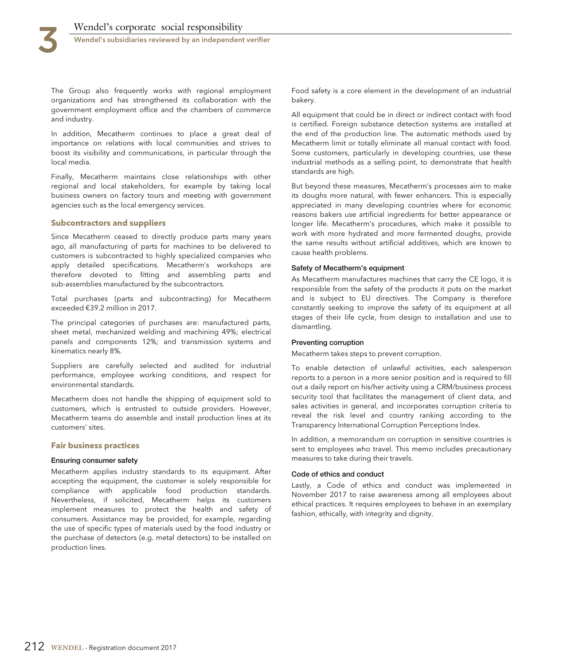

The Group also frequently works with regional employment organizations and has strengthened its collaboration with the government employment office and the chambers of commerce and industry.

In addition, Mecatherm continues to place a great deal of importance on relations with local communities and strives to boost its visibility and communications, in particular through the local media.

Finally, Mecatherm maintains close relationships with other regional and local stakeholders, for example by taking local business owners on factory tours and meeting with government agencies such as the local emergency services.

#### **Subcontractors and suppliers**

Since Mecatherm ceased to directly produce parts many years ago, all manufacturing of parts for machines to be delivered to customers is subcontracted to highly specialized companies who apply detailed specifications. Mecatherm's workshops are therefore devoted to fitting and assembling parts and sub-assemblies manufactured by the subcontractors.

Total purchases (parts and subcontracting) for Mecatherm exceeded €39.2 million in 2017.

The principal categories of purchases are: manufactured parts, sheet metal, mechanized welding and machining 49%; electrical panels and components 12%; and transmission systems and kinematics nearly 8%.

Suppliers are carefully selected and audited for industrial performance, employee working conditions, and respect for environmental standards.

Mecatherm does not handle the shipping of equipment sold to customers, which is entrusted to outside providers. However, Mecatherm teams do assemble and install production lines at its customers' sites.

#### **Fair business practices**

#### **Ensuring consumer safety**

Mecatherm applies industry standards to its equipment. After accepting the equipment, the customer is solely responsible for compliance with applicable food production standards. Nevertheless, if solicited, Mecatherm helps its customers implement measures to protect the health and safety of consumers. Assistance may be provided, for example, regarding the use of specific types of materials used by the food industry or the purchase of detectors (e.g. metal detectors) to be installed on production lines.

Food safety is a core element in the development of an industrial bakery.

All equipment that could be in direct or indirect contact with food is certified. Foreign substance detection systems are installed at the end of the production line. The automatic methods used by Mecatherm limit or totally eliminate all manual contact with food. Some customers, particularly in developing countries, use these industrial methods as a selling point, to demonstrate that health standards are high.

But beyond these measures, Mecatherm's processes aim to make its doughs more natural, with fewer enhancers. This is especially appreciated in many developing countries where for economic reasons bakers use artificial ingredients for better appearance or longer life. Mecatherm's procedures, which make it possible to work with more hydrated and more fermented doughs, provide the same results without artificial additives, which are known to cause health problems.

#### **Safety of Mecatherm's equipment**

As Mecatherm manufactures machines that carry the CE logo, it is responsible from the safety of the products it puts on the market and is subject to EU directives. The Company is therefore constantly seeking to improve the safety of its equipment at all stages of their life cycle, from design to installation and use to dismantling.

#### **Preventing corruption**

Mecatherm takes steps to prevent corruption.

To enable detection of unlawful activities, each salesperson reports to a person in a more senior position and is required to fill out a daily report on his/her activity using a CRM/business process security tool that facilitates the management of client data, and sales activities in general, and incorporates corruption criteria to reveal the risk level and country ranking according to the Transparency International Corruption Perceptions Index.

In addition, a memorandum on corruption in sensitive countries is sent to employees who travel. This memo includes precautionary measures to take during their travels.

#### **Code of ethics and conduct**

Lastly, a Code of ethics and conduct was implemented in November 2017 to raise awareness among all employees about ethical practices. It requires employees to behave in an exemplary fashion, ethically, with integrity and dignity.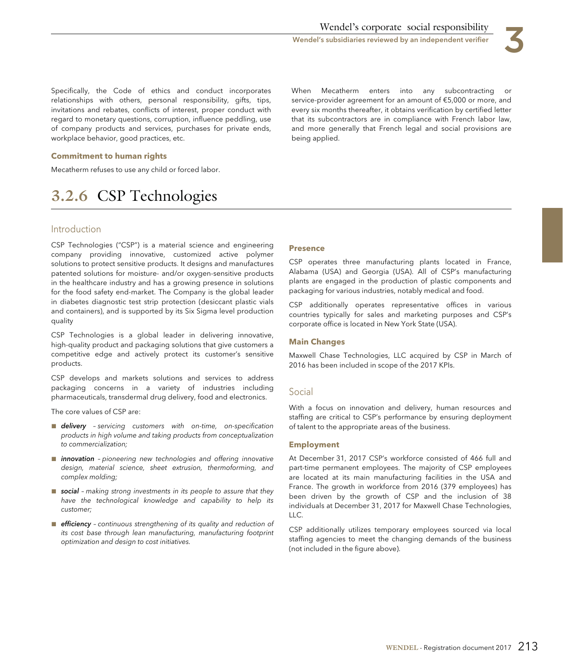

Specifically, the Code of ethics and conduct incorporates relationships with others, personal responsibility, gifts, tips, invitations and rebates, conflicts of interest, proper conduct with regard to monetary questions, corruption, influence peddling, use of company products and services, purchases for private ends, workplace behavior, good practices, etc.

When Mecatherm enters into any subcontracting or service-provider agreement for an amount of €5,000 or more, and every six months thereafter, it obtains verification by certified letter that its subcontractors are in compliance with French labor law, and more generally that French legal and social provisions are being applied.

#### **Commitment to human rights**

Mecatherm refuses to use any child or forced labor.

## **3.2.6** CSP Technologies

#### Introduction

CSP Technologies ("CSP") is a material science and engineering company providing innovative, customized active polymer solutions to protect sensitive products. It designs and manufactures patented solutions for moisture- and/or oxygen-sensitive products in the healthcare industry and has a growing presence in solutions for the food safety end-market. The Company is the global leader in diabetes diagnostic test strip protection (desiccant plastic vials and containers), and is supported by its Six Sigma level production quality

CSP Technologies is a global leader in delivering innovative, high-quality product and packaging solutions that give customers a competitive edge and actively protect its customer's sensitive products.

CSP develops and markets solutions and services to address packaging concerns in a variety of industries including pharmaceuticals, transdermal drug delivery, food and electronics.

The core values of CSP are:

- delivery servicing customers with on-time, on-specification products in high volume and taking products from conceptualization to commercialization;
- innovation pioneering new technologies and offering innovative design, material science, sheet extrusion, thermoforming, and complex molding;
- social making strong investments in its people to assure that they have the technological knowledge and capability to help its customer;
- efficiency continuous strengthening of its quality and reduction of its cost base through lean manufacturing, manufacturing footprint optimization and design to cost initiatives.

#### **Presence**

CSP operates three manufacturing plants located in France, Alabama (USA) and Georgia (USA). All of CSP's manufacturing plants are engaged in the production of plastic components and packaging for various industries, notably medical and food.

CSP additionally operates representative offices in various countries typically for sales and marketing purposes and CSP's corporate office is located in New York State (USA).

#### **Main Changes**

Maxwell Chase Technologies, LLC acquired by CSP in March of 2016 has been included in scope of the 2017 KPIs.

#### Social

With a focus on innovation and delivery, human resources and staffing are critical to CSP's performance by ensuring deployment of talent to the appropriate areas of the business.

#### **Employment**

At December 31, 2017 CSP's workforce consisted of 466 full and part-time permanent employees. The majority of CSP employees are located at its main manufacturing facilities in the USA and France. The growth in workforce from 2016 (379 employees) has been driven by the growth of CSP and the inclusion of 38 individuals at December 31, 2017 for Maxwell Chase Technologies,  $ILC$ .

CSP additionally utilizes temporary employees sourced via local staffing agencies to meet the changing demands of the business (not included in the figure above).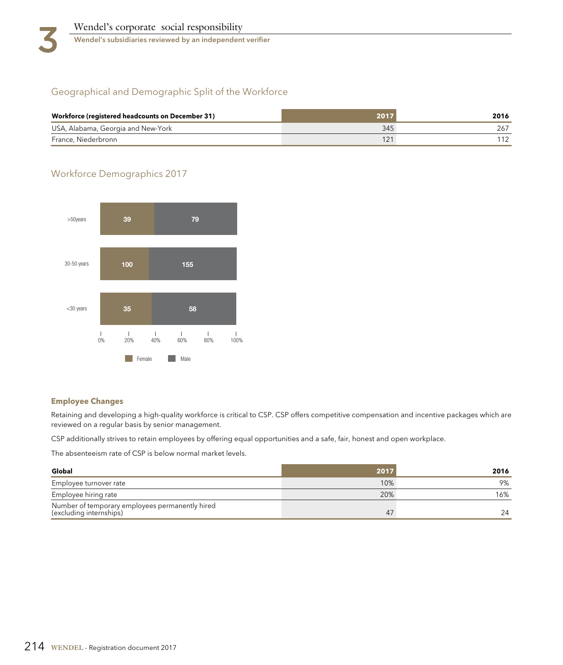

### Geographical and Demographic Split of the Workforce

| Workforce (registered headcounts on December 31) | 2017 | 2016 |
|--------------------------------------------------|------|------|
| USA, Alabama, Georgia and New-York               | 345  |      |
| France, Niederbronn                              |      |      |

## Workforce Demographics 2017



#### **Employee Changes**

Retaining and developing a high-quality workforce is critical to CSP. CSP offers competitive compensation and incentive packages which are reviewed on a regular basis by senior management.

CSP additionally strives to retain employees by offering equal opportunities and a safe, fair, honest and open workplace.

The absenteeism rate of CSP is below normal market levels.

| Global                                                                     | 2017           | 2016 |
|----------------------------------------------------------------------------|----------------|------|
| Employee turnover rate                                                     | 10%            | 9%   |
| Employee hiring rate                                                       | 20%            | 16%  |
| Number of temporary employees permanently hired<br>(excluding internships) | 4 <sub>l</sub> | 24   |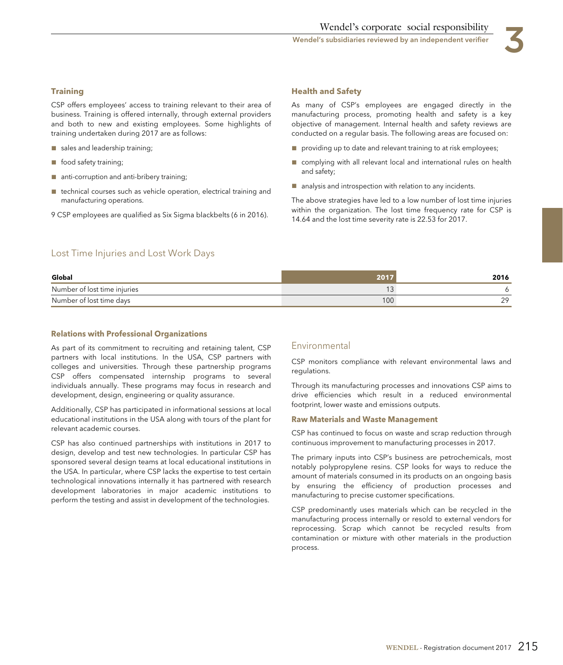Wendel's subsidiaries reviewed by an independent verifier

#### **Training**

CSP offers employees' access to training relevant to their area of business. Training is offered internally, through external providers and both to new and existing employees. Some highlights of training undertaken during 2017 are as follows:

- sales and leadership training;
- food safety training;
- anti-corruption and anti-bribery training;
- technical courses such as vehicle operation, electrical training and manufacturing operations.
- 9 CSP employees are qualified as Six Sigma blackbelts (6 in 2016).

#### **Health and Safety**

As many of CSP's employees are engaged directly in the manufacturing process, promoting health and safety is a key objective of management. Internal health and safety reviews are conducted on a regular basis. The following areas are focused on:

- providing up to date and relevant training to at risk employees;
- complying with all relevant local and international rules on health and safety;
- analysis and introspection with relation to any incidents.

The above strategies have led to a low number of lost time injuries within the organization. The lost time frequency rate for CSP is 14.64 and the lost time severity rate is 22.53 for 2017.

#### Lost Time Injuries and Lost Work Days

| Global                       | 2017 | 2016      |
|------------------------------|------|-----------|
| Number of lost time injuries |      |           |
| Number of lost time days     | 100  | າດ<br>، ے |

#### **Relations with Professional Organizations**

As part of its commitment to recruiting and retaining talent, CSP partners with local institutions. In the USA, CSP partners with colleges and universities. Through these partnership programs CSP offers compensated internship programs to several individuals annually. These programs may focus in research and development, design, engineering or quality assurance.

Additionally, CSP has participated in informational sessions at local educational institutions in the USA along with tours of the plant for relevant academic courses.

CSP has also continued partnerships with institutions in 2017 to design, develop and test new technologies. In particular CSP has sponsored several design teams at local educational institutions in the USA. In particular, where CSP lacks the expertise to test certain technological innovations internally it has partnered with research development laboratories in major academic institutions to perform the testing and assist in development of the technologies.

#### Environmental

CSP monitors compliance with relevant environmental laws and regulations.

Through its manufacturing processes and innovations CSP aims to drive efficiencies which result in a reduced environmental footprint, lower waste and emissions outputs.

#### **Raw Materials and Waste Management**

CSP has continued to focus on waste and scrap reduction through continuous improvement to manufacturing processes in 2017.

The primary inputs into CSP's business are petrochemicals, most notably polypropylene resins. CSP looks for ways to reduce the amount of materials consumed in its products on an ongoing basis by ensuring the efficiency of production processes and manufacturing to precise customer specifications.

CSP predominantly uses materials which can be recycled in the manufacturing process internally or resold to external vendors for reprocessing. Scrap which cannot be recycled results from contamination or mixture with other materials in the production process.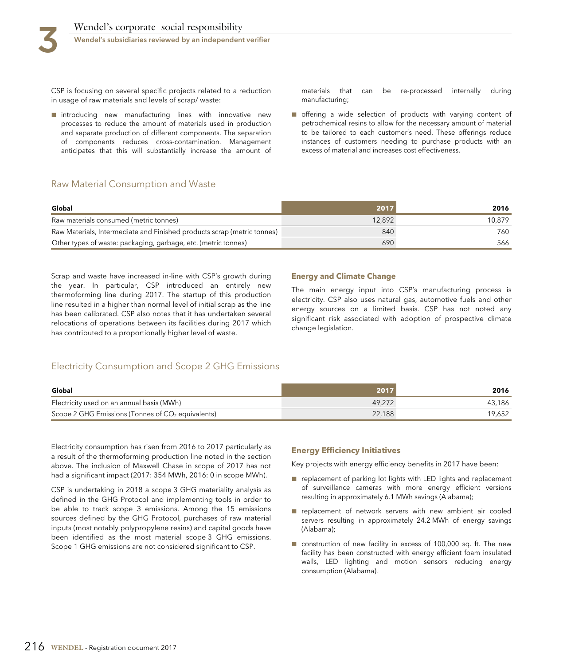CSP is focusing on several specific projects related to a reduction in usage of raw materials and levels of scrap/ waste:

■ introducing new manufacturing lines with innovative new processes to reduce the amount of materials used in production and separate production of different components. The separation of components reduces cross-contamination. Management anticipates that this will substantially increase the amount of materials that can be re-processed internally during manufacturing;

■ offering a wide selection of products with varying content of petrochemical resins to allow for the necessary amount of material to be tailored to each customer's need. These offerings reduce instances of customers needing to purchase products with an excess of material and increases cost effectiveness.

#### Raw Material Consumption and Waste

| Global                                                                  | 2017   | 2016   |
|-------------------------------------------------------------------------|--------|--------|
| Raw materials consumed (metric tonnes)                                  | 12.892 | 10.879 |
| Raw Materials, Intermediate and Finished products scrap (metric tonnes) | 840    | 760-   |
| Other types of waste: packaging, garbage, etc. (metric tonnes)          | 690    | 566    |

Scrap and waste have increased in-line with CSP's growth during the year. In particular, CSP introduced an entirely new thermoforming line during 2017. The startup of this production line resulted in a higher than normal level of initial scrap as the line has been calibrated. CSP also notes that it has undertaken several relocations of operations between its facilities during 2017 which has contributed to a proportionally higher level of waste.

#### **Energy and Climate Change**

The main energy input into CSP's manufacturing process is electricity. CSP also uses natural gas, automotive fuels and other energy sources on a limited basis. CSP has not noted any significant risk associated with adoption of prospective climate change legislation.

#### Electricity Consumption and Scope 2 GHG Emissions

| Global                                              | 2017   | 2016   |
|-----------------------------------------------------|--------|--------|
| Electricity used on an annual basis (MWh)           | 49.272 | 43.186 |
| Scope 2 GHG Emissions (Tonnes of $CO2$ equivalents) | 22,188 | 19,652 |

Electricity consumption has risen from 2016 to 2017 particularly as a result of the thermoforming production line noted in the section above. The inclusion of Maxwell Chase in scope of 2017 has not had a significant impact (2017: 354 MWh, 2016: 0 in scope MWh).

CSP is undertaking in 2018 a scope 3 GHG materiality analysis as defined in the GHG Protocol and implementing tools in order to be able to track scope 3 emissions. Among the 15 emissions sources defined by the GHG Protocol, purchases of raw material inputs (most notably polypropylene resins) and capital goods have been identified as the most material scope 3 GHG emissions. Scope 1 GHG emissions are not considered significant to CSP.

#### **Energy Efficiency Initiatives**

Key projects with energy efficiency benefits in 2017 have been:

- replacement of parking lot lights with LED lights and replacement of surveillance cameras with more energy efficient versions resulting in approximately 6.1 MWh savings (Alabama);
- replacement of network servers with new ambient air cooled servers resulting in approximately 24.2 MWh of energy savings (Alabama);
- construction of new facility in excess of 100,000 sq. ft. The new facility has been constructed with energy efficient foam insulated walls, LED lighting and motion sensors reducing energy consumption (Alabama).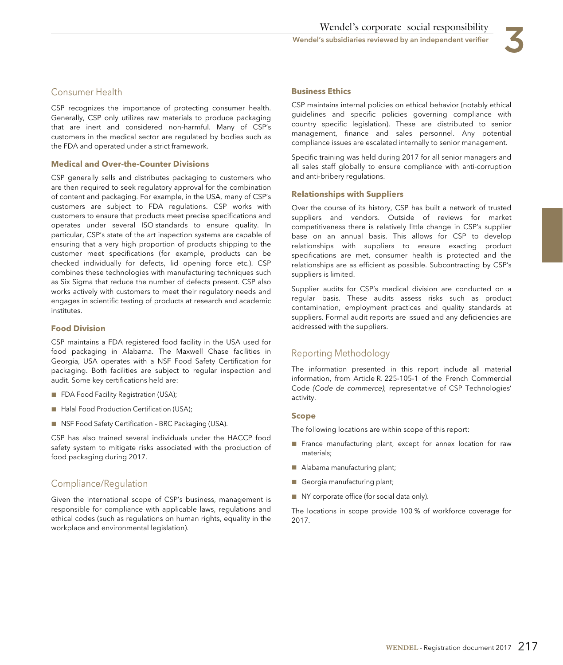

#### Consumer Health

CSP recognizes the importance of protecting consumer health. Generally, CSP only utilizes raw materials to produce packaging that are inert and considered non-harmful. Many of CSP's customers in the medical sector are regulated by bodies such as the FDA and operated under a strict framework.

#### **Medical and Over-the-Counter Divisions**

CSP generally sells and distributes packaging to customers who are then required to seek regulatory approval for the combination of content and packaging. For example, in the USA, many of CSP's customers are subject to FDA regulations. CSP works with customers to ensure that products meet precise specifications and operates under several ISO standards to ensure quality. In particular, CSP's state of the art inspection systems are capable of ensuring that a very high proportion of products shipping to the customer meet specifications (for example, products can be checked individually for defects, lid opening force etc.). CSP combines these technologies with manufacturing techniques such as Six Sigma that reduce the number of defects present. CSP also works actively with customers to meet their regulatory needs and engages in scientific testing of products at research and academic institutes.

#### **Food Division**

CSP maintains a FDA registered food facility in the USA used for food packaging in Alabama. The Maxwell Chase facilities in Georgia, USA operates with a NSF Food Safety Certification for packaging. Both facilities are subject to regular inspection and audit. Some key certifications held are:

- FDA Food Facility Registration (USA);
- Halal Food Production Certification (USA);
- NSF Food Safety Certification BRC Packaging (USA).

CSP has also trained several individuals under the HACCP food safety system to mitigate risks associated with the production of food packaging during 2017.

#### Compliance/Regulation

Given the international scope of CSP's business, management is responsible for compliance with applicable laws, regulations and ethical codes (such as regulations on human rights, equality in the workplace and environmental legislation).

#### **Business Ethics**

CSP maintains internal policies on ethical behavior (notably ethical guidelines and specific policies governing compliance with country specific legislation). These are distributed to senior management, finance and sales personnel. Any potential compliance issues are escalated internally to senior management.

Specific training was held during 2017 for all senior managers and all sales staff globally to ensure compliance with anti-corruption and anti-bribery regulations.

#### **Relationships with Suppliers**

Over the course of its history, CSP has built a network of trusted suppliers and vendors. Outside of reviews for market competitiveness there is relatively little change in CSP's supplier base on an annual basis. This allows for CSP to develop relationships with suppliers to ensure exacting product specifications are met, consumer health is protected and the relationships are as efficient as possible. Subcontracting by CSP's suppliers is limited.

Supplier audits for CSP's medical division are conducted on a regular basis. These audits assess risks such as product contamination, employment practices and quality standards at suppliers. Formal audit reports are issued and any deficiencies are addressed with the suppliers.

#### Reporting Methodology

The information presented in this report include all material information, from Article R. 225-105-1 of the French Commercial Code (Code de commerce), representative of CSP Technologies' activity.

#### **Scope**

The following locations are within scope of this report:

- France manufacturing plant, except for annex location for raw materials;
- Alabama manufacturing plant;
- Georgia manufacturing plant;
- NY corporate office (for social data only).

The locations in scope provide 100 % of workforce coverage for 2017.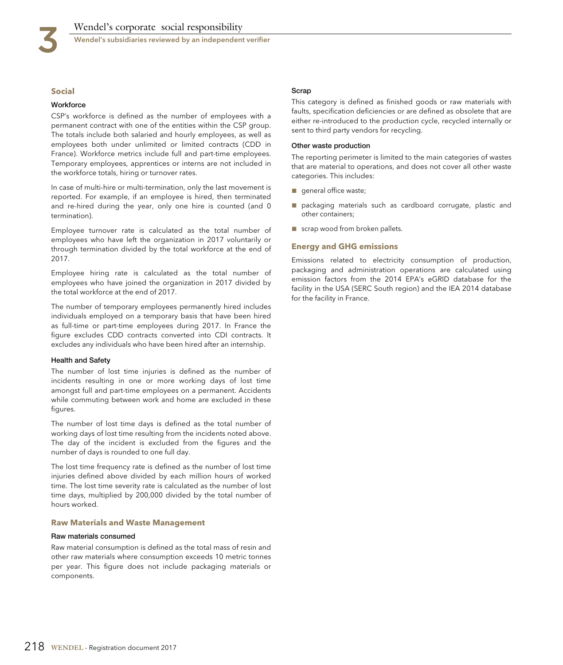#### **Social**

#### **Workforce**

CSP's workforce is defined as the number of employees with a permanent contract with one of the entities within the CSP group. The totals include both salaried and hourly employees, as well as employees both under unlimited or limited contracts (CDD in France). Workforce metrics include full and part-time employees. Temporary employees, apprentices or interns are not included in the workforce totals, hiring or turnover rates.

In case of multi-hire or multi-termination, only the last movement is reported. For example, if an employee is hired, then terminated and re-hired during the year, only one hire is counted (and 0 termination).

Employee turnover rate is calculated as the total number of employees who have left the organization in 2017 voluntarily or through termination divided by the total workforce at the end of 2017.

Employee hiring rate is calculated as the total number of employees who have joined the organization in 2017 divided by the total workforce at the end of 2017.

The number of temporary employees permanently hired includes individuals employed on a temporary basis that have been hired as full-time or part-time employees during 2017. In France the figure excludes CDD contracts converted into CDI contracts. It excludes any individuals who have been hired after an internship.

#### **Health and Safety**

The number of lost time injuries is defined as the number of incidents resulting in one or more working days of lost time amongst full and part-time employees on a permanent. Accidents while commuting between work and home are excluded in these figures.

The number of lost time days is defined as the total number of working days of lost time resulting from the incidents noted above. The day of the incident is excluded from the figures and the number of days is rounded to one full day.

The lost time frequency rate is defined as the number of lost time injuries defined above divided by each million hours of worked time. The lost time severity rate is calculated as the number of lost time days, multiplied by 200,000 divided by the total number of hours worked.

#### **Raw Materials and Waste Management**

#### **Raw materials consumed**

Raw material consumption is defined as the total mass of resin and other raw materials where consumption exceeds 10 metric tonnes per year. This figure does not include packaging materials or components.

#### **Scrap**

This category is defined as finished goods or raw materials with faults, specification deficiencies or are defined as obsolete that are either re-introduced to the production cycle, recycled internally or sent to third party vendors for recycling.

#### **Other waste production**

The reporting perimeter is limited to the main categories of wastes that are material to operations, and does not cover all other waste categories. This includes:

- general office waste;
- packaging materials such as cardboard corrugate, plastic and other containers;
- scrap wood from broken pallets.

#### **Energy and GHG emissions**

Emissions related to electricity consumption of production, packaging and administration operations are calculated using emission factors from the 2014 EPA's eGRID database for the facility in the USA (SERC South region) and the IEA 2014 database for the facility in France.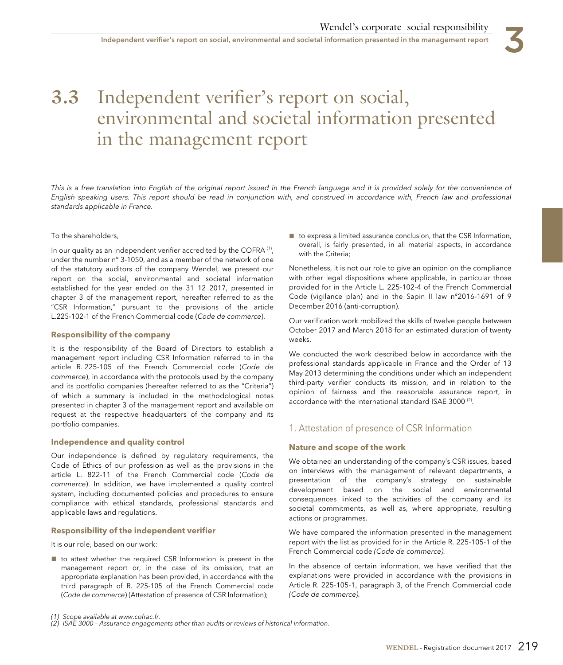# **3.3** Independent verifier's report on social, environmental and societal information presented in the management report

This is a free translation into English of the original report issued in the French language and it is provided solely for the convenience of English speaking users. This report should be read in conjunction with, and construed in accordance with, French law and professional standards applicable in France.

#### To the shareholders,

In our quality as an independent verifier accredited by the COFRA<sup>(1)</sup>, under the number n° 3-1050, and as a member of the network of one of the statutory auditors of the company Wendel, we present our report on the social, environmental and societal information established for the year ended on the 31 12 2017, presented in chapter 3 of the management report, hereafter referred to as the "CSR Information," pursuant to the provisions of the article L.225-102-1 of the French Commercial code (Code de commerce).

#### **Responsibility of the company**

It is the responsibility of the Board of Directors to establish a management report including CSR Information referred to in the article R. 225-105 of the French Commercial code (Code de commerce), in accordance with the protocols used by the company and its portfolio companies (hereafter referred to as the "Criteria") of which a summary is included in the methodological notes presented in chapter 3 of the management report and available on request at the respective headquarters of the company and its portfolio companies.

#### **Independence and quality control**

Our independence is defined by regulatory requirements, the Code of Ethics of our profession as well as the provisions in the article L. 822-11 of the French Commercial code (Code de commerce). In addition, we have implemented a quality control system, including documented policies and procedures to ensure compliance with ethical standards, professional standards and applicable laws and regulations.

#### **Responsibility of the independent verifier**

It is our role, based on our work:

■ to attest whether the required CSR Information is present in the management report or, in the case of its omission, that an appropriate explanation has been provided, in accordance with the third paragraph of R. 225-105 of the French Commercial code (Code de commerce) (Attestation of presence of CSR Information);

■ to express a limited assurance conclusion, that the CSR Information, overall, is fairly presented, in all material aspects, in accordance with the Criteria;

Nonetheless, it is not our role to give an opinion on the compliance with other legal dispositions where applicable, in particular those provided for in the Article L. 225-102-4 of the French Commercial Code (vigilance plan) and in the Sapin II law n°2016-1691 of 9 December 2016 (anti-corruption).

Our verification work mobilized the skills of twelve people between October 2017 and March 2018 for an estimated duration of twenty weeks.

We conducted the work described below in accordance with the professional standards applicable in France and the Order of 13 May 2013 determining the conditions under which an independent third-party verifier conducts its mission, and in relation to the opinion of fairness and the reasonable assurance report, in accordance with the international standard ISAE 3000 (2).

#### 1. Attestation of presence of CSR Information

#### **Nature and scope of the work**

We obtained an understanding of the company's CSR issues, based on interviews with the management of relevant departments, a presentation of the company's strategy on sustainable development based on the social and environmental consequences linked to the activities of the company and its societal commitments, as well as, where appropriate, resulting actions or programmes.

We have compared the information presented in the management report with the list as provided for in the Article R. 225-105-1 of the French Commercial code (Code de commerce).

In the absence of certain information, we have verified that the explanations were provided in accordance with the provisions in Article R. 225-105-1, paragraph 3, of the French Commercial code (Code de commerce).

<sup>(1)</sup> Scope available at www.cofrac.fr. (2) ISAE 3000 – Assurance engagements other than audits or reviews of historical information.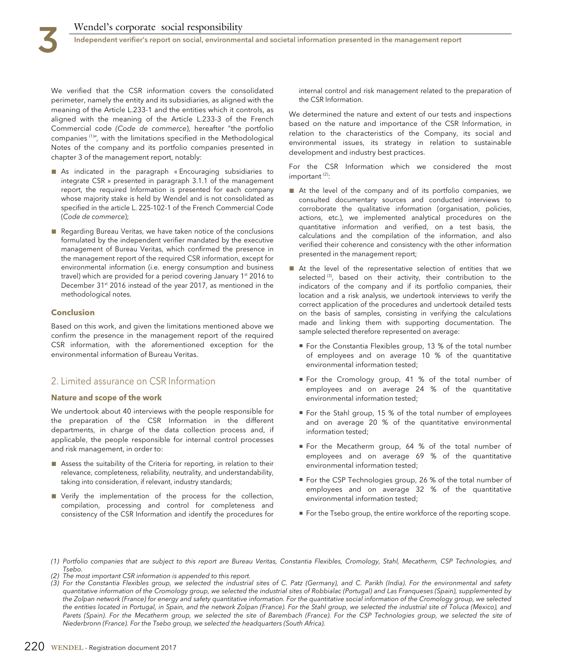Independent verifier's report on social, environmental and societal information presented in the management report

We verified that the CSR information covers the consolidated perimeter, namely the entity and its subsidiaries, as aligned with the meaning of the Article L.233-1 and the entities which it controls, as aligned with the meaning of the Article L.233-3 of the French Commercial code (Code de commerce), hereafter "the portfolio companies (1)", with the limitations specified in the Methodological Notes of the company and its portfolio companies presented in chapter 3 of the management report, notably:

- As indicated in the paragraph « Encouraging subsidiaries to integrate CSR » presented in paragraph 3.1.1 of the management report, the required Information is presented for each company whose majority stake is held by Wendel and is not consolidated as specified in the article L. 225-102-1 of the French Commercial Code (Code de commerce);
- Regarding Bureau Veritas, we have taken notice of the conclusions formulated by the independent verifier mandated by the executive management of Bureau Veritas, which confirmed the presence in the management report of the required CSR information, except for environmental information (i.e. energy consumption and business travel) which are provided for a period covering January 1<sup>st</sup> 2016 to December 31<sup>st</sup> 2016 instead of the year 2017, as mentioned in the methodological notes.

#### **Conclusion**

Based on this work, and given the limitations mentioned above we confirm the presence in the management report of the required CSR information, with the aforementioned exception for the environmental information of Bureau Veritas.

#### 2. Limited assurance on CSR Information

#### **Nature and scope of the work**

We undertook about 40 interviews with the people responsible for the preparation of the CSR Information in the different departments, in charge of the data collection process and, if applicable, the people responsible for internal control processes and risk management, in order to:

- Assess the suitability of the Criteria for reporting, in relation to their relevance, completeness, reliability, neutrality, and understandability, taking into consideration, if relevant, industry standards;
- Verify the implementation of the process for the collection, compilation, processing and control for completeness and consistency of the CSR Information and identify the procedures for

internal control and risk management related to the preparation of the CSR Information.

We determined the nature and extent of our tests and inspections based on the nature and importance of the CSR Information, in relation to the characteristics of the Company, its social and environmental issues, its strategy in relation to sustainable development and industry best practices.

For the CSR Information which we considered the most important (2):

- At the level of the company and of its portfolio companies, we consulted documentary sources and conducted interviews to corroborate the qualitative information (organisation, policies, actions, etc.), we implemented analytical procedures on the quantitative information and verified, on a test basis, the calculations and the compilation of the information, and also verified their coherence and consistency with the other information presented in the management report;
- At the level of the representative selection of entities that we selected  $(3)$ , based on their activity, their contribution to the indicators of the company and if its portfolio companies, their location and a risk analysis, we undertook interviews to verify the correct application of the procedures and undertook detailed tests on the basis of samples, consisting in verifying the calculations made and linking them with supporting documentation. The sample selected therefore represented on average:
	- For the Constantia Flexibles group, 13 % of the total number of employees and on average 10 % of the quantitative environmental information tested;
	- For the Cromology group, 41 % of the total number of employees and on average 24 % of the quantitative environmental information tested;
	- For the Stahl group, 15 % of the total number of employees and on average 20 % of the quantitative environmental information tested;
	- For the Mecatherm group, 64 % of the total number of employees and on average 69 % of the quantitative environmental information tested;
	- For the CSP Technologies group, 26 % of the total number of employees and on average 32 % of the quantitative environmental information tested;
	- For the Tsebo group, the entire workforce of the reporting scope.
- (1) Portfolio companies that are subject to this report are Bureau Veritas, Constantia Flexibles, Cromology, Stahl, Mecatherm, CSP Technologies, and Tsebo.
- (2) The most important CSR information is appended to this report.
- (3) For the Constantia Flexibles group, we selected the industrial sites of C. Patz (Germany), and C. Parikh (India). For the environmental and safety quantitative information of the Cromology group, we selected the industrial sites of Robbialac (Portugal) and Las Franqueses (Spain), supplemented by the Zolpan network (France) for energy and safety quantitative information. For the quantitative social information of the Cromology group, we selected the entities located in Portugal, in Spain, and the network Zolpan (France). For the Stahl group, we selected the industrial site of Toluca (Mexico), and Parets (Spain). For the Mecatherm group, we selected the site of Barembach (France). For the CSP Technologies group, we selected the site of Niederbronn (France). For the Tsebo group, we selected the headquarters (South Africa).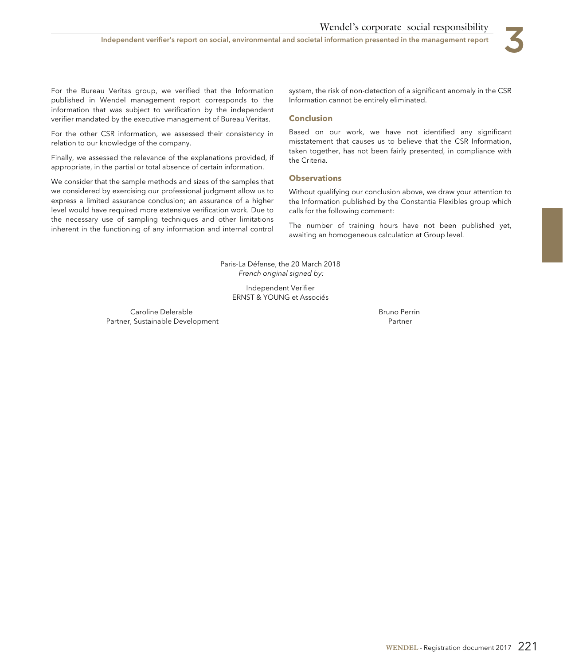Independent verifier's report on social, environmental and societal information presented in the management report

For the Bureau Veritas group, we verified that the Information published in Wendel management report corresponds to the information that was subject to verification by the independent verifier mandated by the executive management of Bureau Veritas.

For the other CSR information, we assessed their consistency in relation to our knowledge of the company.

Finally, we assessed the relevance of the explanations provided, if appropriate, in the partial or total absence of certain information.

We consider that the sample methods and sizes of the samples that we considered by exercising our professional judgment allow us to express a limited assurance conclusion; an assurance of a higher level would have required more extensive verification work. Due to the necessary use of sampling techniques and other limitations inherent in the functioning of any information and internal control system, the risk of non-detection of a significant anomaly in the CSR Information cannot be entirely eliminated.

#### **Conclusion**

Based on our work, we have not identified any significant misstatement that causes us to believe that the CSR Information, taken together, has not been fairly presented, in compliance with the Criteria.

#### **Observations**

Without qualifying our conclusion above, we draw your attention to the Information published by the Constantia Flexibles group which calls for the following comment:

The number of training hours have not been published yet, awaiting an homogeneous calculation at Group level.

Paris-La Défense, the 20 March 2018 French original signed by:

> Independent Verifier ERNST & YOUNG et Associés

Caroline Delerable Partner, Sustainable Development Bruno Perrin Partner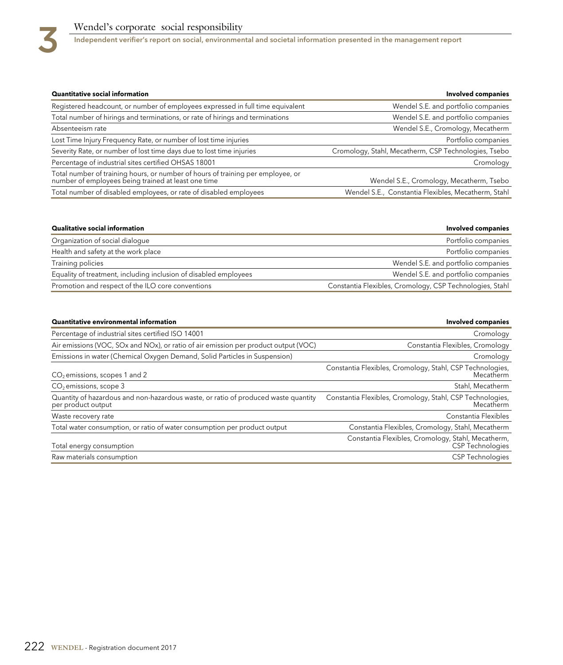

# Wendel's corporate social responsibility<br>Independent verifier's report on social, environment

Independent verifier's report on social, environmental and societal information presented in the management report

| Quantitative social information                                                                                                        | Involved companies                                   |
|----------------------------------------------------------------------------------------------------------------------------------------|------------------------------------------------------|
| Registered headcount, or number of employees expressed in full time equivalent                                                         | Wendel S.E. and portfolio companies                  |
| Total number of hirings and terminations, or rate of hirings and terminations                                                          | Wendel S.E. and portfolio companies                  |
| Absenteeism rate                                                                                                                       | Wendel S.E., Cromology, Mecatherm                    |
| Lost Time Injury Frequency Rate, or number of lost time injuries                                                                       | Portfolio companies                                  |
| Severity Rate, or number of lost time days due to lost time injuries                                                                   | Cromology, Stahl, Mecatherm, CSP Technologies, Tsebo |
| Percentage of industrial sites certified OHSAS 18001                                                                                   | Cromology                                            |
| Total number of training hours, or number of hours of training per employee, or<br>number of employees being trained at least one time | Wendel S.E., Cromology, Mecatherm, Tsebo             |
| Total number of disabled employees, or rate of disabled employees                                                                      | Wendel S.E., Constantia Flexibles, Mecatherm, Stahl  |

| <b>Qualitative social information</b>                            | <b>Involved companies</b>                                |
|------------------------------------------------------------------|----------------------------------------------------------|
| Organization of social dialogue                                  | Portfolio companies                                      |
| Health and safety at the work place                              | Portfolio companies                                      |
| Training policies                                                | Wendel S.E. and portfolio companies                      |
| Equality of treatment, including inclusion of disabled employees | Wendel S.E. and portfolio companies                      |
| Promotion and respect of the ILO core conventions                | Constantia Flexibles, Cromology, CSP Technologies, Stahl |

| <b>Quantitative environmental information</b>                                                            | <b>Involved companies</b>                                              |
|----------------------------------------------------------------------------------------------------------|------------------------------------------------------------------------|
| Percentage of industrial sites certified ISO 14001                                                       | Cromology                                                              |
| Air emissions (VOC, SOx and NOx), or ratio of air emission per product output (VOC)                      | Constantia Flexibles, Cromology                                        |
| Emissions in water (Chemical Oxygen Demand, Solid Particles in Suspension)                               | Cromology                                                              |
| $CO2$ emissions, scopes 1 and 2                                                                          | Constantia Flexibles, Cromology, Stahl, CSP Technologies,<br>Mecatherm |
| $CO2$ emissions, scope 3                                                                                 | Stahl, Mecatherm                                                       |
| Quantity of hazardous and non-hazardous waste, or ratio of produced waste quantity<br>per product output | Constantia Flexibles, Cromology, Stahl, CSP Technologies,<br>Mecatherm |
| Waste recovery rate                                                                                      | Constantia Flexibles                                                   |
| Total water consumption, or ratio of water consumption per product output                                | Constantia Flexibles, Cromology, Stahl, Mecatherm                      |
| Total energy consumption                                                                                 | Constantia Flexibles, Cromology, Stahl, Mecatherm,<br>CSP Technologies |
| Raw materials consumption                                                                                | <b>CSP Technologies</b>                                                |
|                                                                                                          |                                                                        |